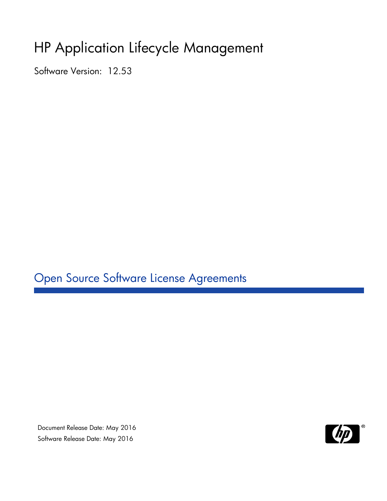# HP Application Lifecycle Management

Software Version: 12.53

Open Source Software License Agreements

Document Release Date: May 2016 Software Release Date: May 2016

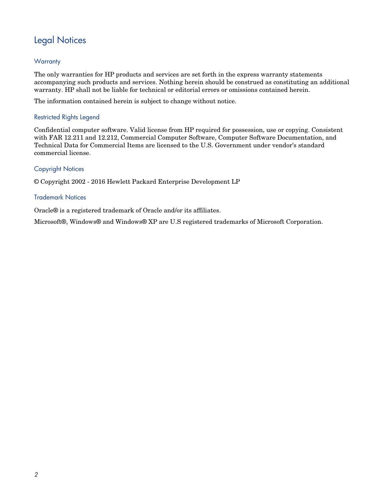## Legal Notices

#### **Warranty**

The only warranties for HP products and services are set forth in the express warranty statements accompanying such products and services. Nothing herein should be construed as constituting an additional warranty. HP shall not be liable for technical or editorial errors or omissions contained herein.

The information contained herein is subject to change without notice.

#### Restricted Rights Legend

Confidential computer software. Valid license from HP required for possession, use or copying. Consistent with FAR 12.211 and 12.212, Commercial Computer Software, Computer Software Documentation, and Technical Data for Commercial Items are licensed to the U.S. Government under vendor's standard commercial license.

#### Copyright Notices

© Copyright 2002 - 2016 Hewlett Packard Enterprise Development LP

#### Trademark Notices

Oracle® is a registered trademark of Oracle and/or its affiliates.

Microsoft®, Windows® and Windows® XP are U.S registered trademarks of Microsoft Corporation.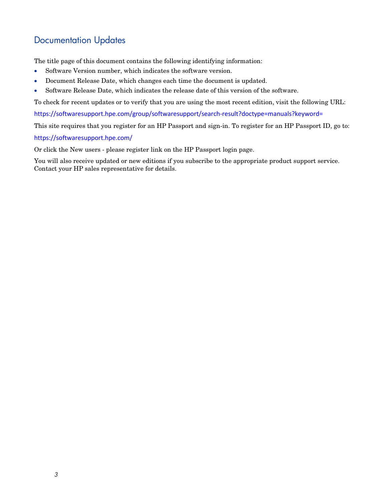## Documentation Updates

The title page of this document contains the following identifying information:

- Software Version number, which indicates the software version.
- Document Release Date, which changes each time the document is updated.
- Software Release Date, which indicates the release date of this version of the software.

To check for recent updates or to verify that you are using the most recent edition, visit the following URL:

<https://softwaresupport.hpe.com/group/softwaresupport/search-result?doctype=manuals?keyword=>

This site requires that you register for an HP Passport and sign-in. To register for an HP Passport ID, go to:

<https://softwaresupport.hpe.com/>

Or click the New users - please register link on the HP Passport login page.

You will also receive updated or new editions if you subscribe to the appropriate product support service. Contact your HP sales representative for details.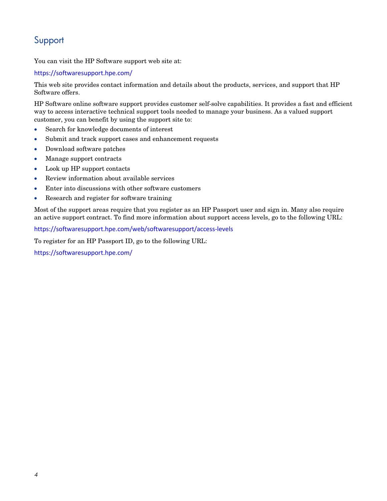## Support

You can visit the HP Software support web site at:

<https://softwaresupport.hpe.com/>

This web site provides contact information and details about the products, services, and support that HP Software offers.

HP Software online software support provides customer self-solve capabilities. It provides a fast and efficient way to access interactive technical support tools needed to manage your business. As a valued support customer, you can benefit by using the support site to:

- Search for knowledge documents of interest
- Submit and track support cases and enhancement requests
- Download software patches
- Manage support contracts
- Look up HP support contacts
- Review information about available services
- Enter into discussions with other software customers
- Research and register for software training

Most of the support areas require that you register as an HP Passport user and sign in. Many also require an active support contract. To find more information about support access levels, go to the following URL:

<https://softwaresupport.hpe.com/web/softwaresupport/access-levels>

To register for an HP Passport ID, go to the following URL:

<https://softwaresupport.hpe.com/>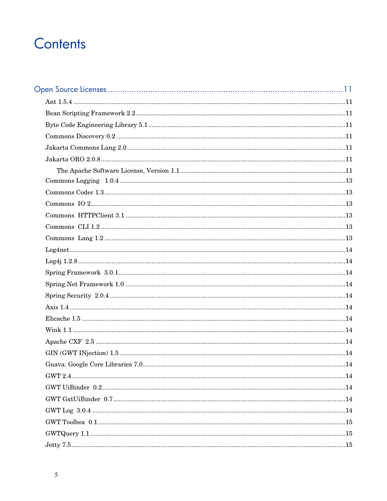# Contents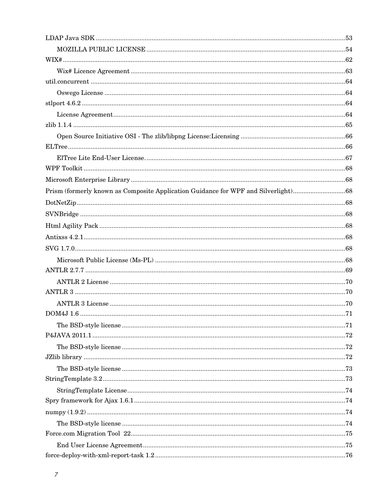| Prism (formerly known as Composite Application Guidance for WPF and Silverlight)68 |  |
|------------------------------------------------------------------------------------|--|
|                                                                                    |  |
|                                                                                    |  |
|                                                                                    |  |
|                                                                                    |  |
|                                                                                    |  |
|                                                                                    |  |
|                                                                                    |  |
|                                                                                    |  |
|                                                                                    |  |
|                                                                                    |  |
|                                                                                    |  |
|                                                                                    |  |
|                                                                                    |  |
|                                                                                    |  |
|                                                                                    |  |
|                                                                                    |  |
|                                                                                    |  |
|                                                                                    |  |
|                                                                                    |  |
|                                                                                    |  |
|                                                                                    |  |
|                                                                                    |  |
|                                                                                    |  |
|                                                                                    |  |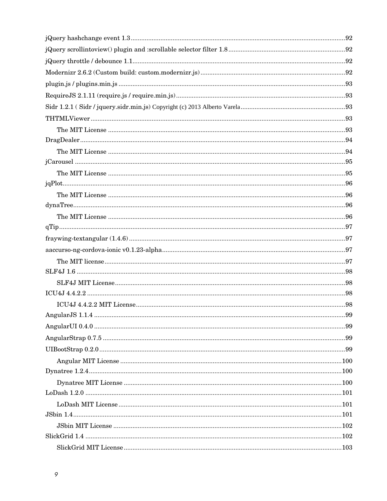| .99 |
|-----|
|     |
|     |
|     |
|     |
|     |
|     |
|     |
|     |
|     |
|     |
|     |
|     |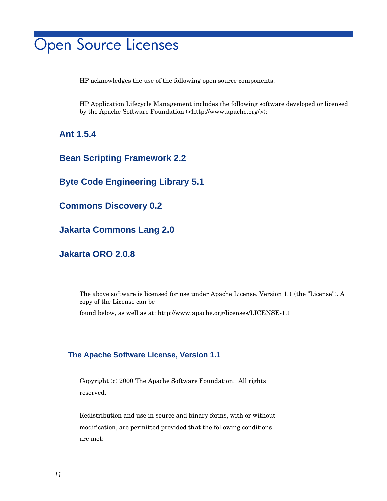# <span id="page-10-0"></span>Open Source Licenses

HP acknowledges the use of the following open source components.

HP Application Lifecycle Management includes the following software developed or licensed by the Apache Software Foundation (<http://www.apache.org/>):

<span id="page-10-1"></span>**Ant 1.5.4**

<span id="page-10-2"></span>**Bean Scripting Framework 2.2**

<span id="page-10-3"></span>**Byte Code Engineering Library 5.1**

<span id="page-10-4"></span>**Commons Discovery 0.2**

<span id="page-10-5"></span>**Jakarta Commons Lang 2.0**

<span id="page-10-6"></span>**Jakarta ORO 2.0.8**

The above software is licensed for use under Apache License, Version 1.1 (the "License"). A copy of the License can be found below, as well as at: http://www.apache.org/licenses/LICENSE-1.1

### <span id="page-10-7"></span>**The Apache Software License, Version 1.1**

Copyright (c) 2000 The Apache Software Foundation. All rights reserved.

Redistribution and use in source and binary forms, with or without modification, are permitted provided that the following conditions are met: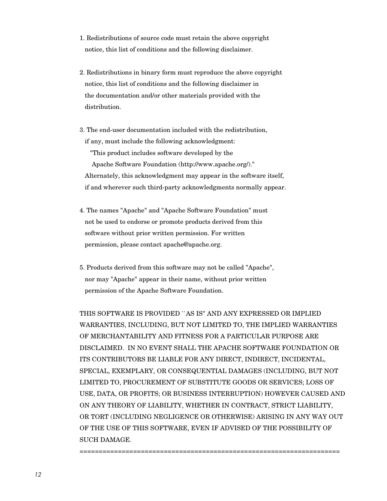- 1. Redistributions of source code must retain the above copyright notice, this list of conditions and the following disclaimer.
- 2. Redistributions in binary form must reproduce the above copyright notice, this list of conditions and the following disclaimer in the documentation and/or other materials provided with the distribution.
- 3. The end-user documentation included with the redistribution, if any, must include the following acknowledgment: "This product includes software developed by the Apache Software Foundation (http://www.apache.org/)." Alternately, this acknowledgment may appear in the software itself, if and wherever such third-party acknowledgments normally appear.
- 4. The names "Apache" and "Apache Software Foundation" must not be used to endorse or promote products derived from this software without prior written permission. For written permission, please contact apache@apache.org.
- 5. Products derived from this software may not be called "Apache", nor may "Apache" appear in their name, without prior written permission of the Apache Software Foundation.

====================================================================

THIS SOFTWARE IS PROVIDED ``AS IS'' AND ANY EXPRESSED OR IMPLIED WARRANTIES, INCLUDING, BUT NOT LIMITED TO, THE IMPLIED WARRANTIES OF MERCHANTABILITY AND FITNESS FOR A PARTICULAR PURPOSE ARE DISCLAIMED. IN NO EVENT SHALL THE APACHE SOFTWARE FOUNDATION OR ITS CONTRIBUTORS BE LIABLE FOR ANY DIRECT, INDIRECT, INCIDENTAL, SPECIAL, EXEMPLARY, OR CONSEQUENTIAL DAMAGES (INCLUDING, BUT NOT LIMITED TO, PROCUREMENT OF SUBSTITUTE GOODS OR SERVICES; LOSS OF USE, DATA, OR PROFITS; OR BUSINESS INTERRUPTION) HOWEVER CAUSED AND ON ANY THEORY OF LIABILITY, WHETHER IN CONTRACT, STRICT LIABILITY, OR TORT (INCLUDING NEGLIGENCE OR OTHERWISE) ARISING IN ANY WAY OUT OF THE USE OF THIS SOFTWARE, EVEN IF ADVISED OF THE POSSIBILITY OF SUCH DAMAGE.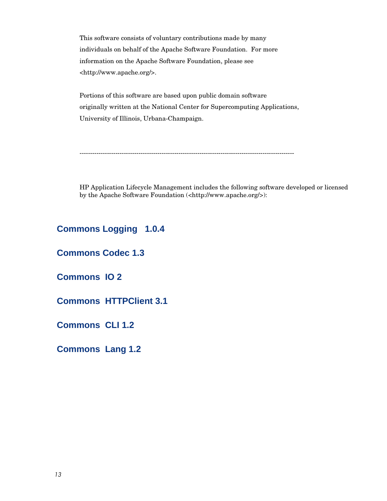This software consists of voluntary contributions made by many individuals on behalf of the Apache Software Foundation. For more information on the Apache Software Foundation, please see <http://www.apache.org/>.

Portions of this software are based upon public domain software originally written at the National Center for Supercomputing Applications, University of Illinois, Urbana-Champaign.

------------------------------------------------------------------------------------------------------

HP Application Lifecycle Management includes the following software developed or licensed by the Apache Software Foundation (<http://www.apache.org/>):

<span id="page-12-0"></span>**Commons Logging 1.0.4**

<span id="page-12-1"></span>**Commons Codec 1.3**

<span id="page-12-2"></span>**Commons IO 2**

<span id="page-12-3"></span>**Commons HTTPClient 3.1**

<span id="page-12-4"></span>**Commons CLI 1.2**

<span id="page-12-5"></span>**Commons Lang 1.2**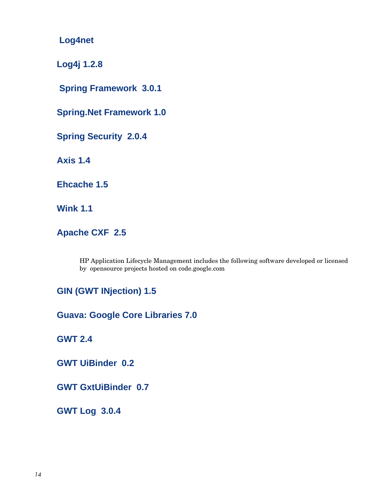<span id="page-13-0"></span>**Log4net**

<span id="page-13-1"></span>**Log4j 1.2.8**

<span id="page-13-2"></span>**Spring Framework 3.0.1**

<span id="page-13-3"></span>**Spring.Net Framework 1.0**

<span id="page-13-4"></span>**Spring Security 2.0.4**

<span id="page-13-5"></span>**Axis 1.4**

<span id="page-13-6"></span>**Ehcache 1.5**

<span id="page-13-7"></span>**Wink 1.1**

<span id="page-13-8"></span>**Apache CXF 2.5**

HP Application Lifecycle Management includes the following software developed or licensed by opensource projects hosted on code.google.com

<span id="page-13-9"></span>**[GIN \(GWT INjection\)](http://code.google.com/p/google-gin/) 1.5**

<span id="page-13-10"></span>**[Guava: Google Core Libraries 7](http://code.google.com/p/guava-libraries/).0**

<span id="page-13-11"></span>**GWT 2.4**

<span id="page-13-12"></span>**[GWT UiBinder](http://code.google.com/p/gwt-customuibinder/) 0.2**

<span id="page-13-13"></span>**[GWT GxtUiBinder](http://code.google.com/p/gwt-customuibinder/) 0.7**

<span id="page-13-14"></span>**[GWT Log](http://code.google.com/p/gwt-customuibinder/) 3.0.4**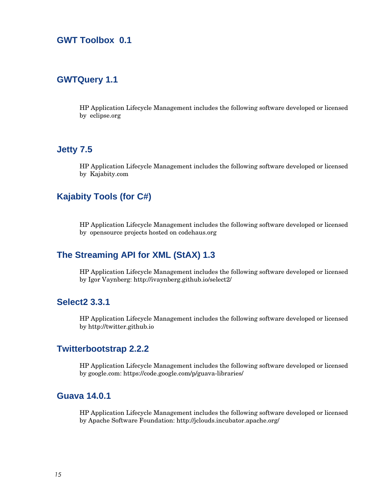## <span id="page-14-0"></span>**[GWT Toolbox](http://code.google.com/p/gwt-customuibinder/) 0.1**

## <span id="page-14-1"></span>**[GWTQuery 1.1](http://code.google.com/p/gwt-customuibinder/)**

HP Application Lifecycle Management includes the following software developed or licensed by eclipse.org

## <span id="page-14-2"></span>**[Jetty 7.5](http://code.google.com/p/gwt-customuibinder/)**

HP Application Lifecycle Management includes the following software developed or licensed by [Kajabity.com](http://www.kajabity.com/)

## <span id="page-14-3"></span>**Kajabity Tools (for C#)**

HP Application Lifecycle Management includes the following software developed or licensed by opensource projects hosted on codehaus.org

## <span id="page-14-4"></span>**The Streaming API for XML (StAX) 1.3**

HP Application Lifecycle Management includes the following software developed or licensed by Igor Vaynberg: http://ivaynberg.github.io/select2/

#### <span id="page-14-5"></span>**Select2 3.3.1**

HP Application Lifecycle Management includes the following software developed or licensed by http://twitter.github.io

#### <span id="page-14-6"></span>**Twitterbootstrap 2.2.2**

HP Application Lifecycle Management includes the following software developed or licensed by google.com: https://code.google.com/p/guava-libraries/

#### <span id="page-14-7"></span>**Guava 14.0.1**

HP Application Lifecycle Management includes the following software developed or licensed by Apache Software Foundation: http://jclouds.incubator.apache.org/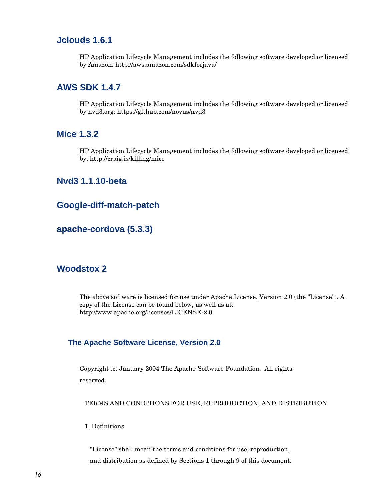## <span id="page-15-0"></span>**Jclouds 1.6.1**

HP Application Lifecycle Management includes the following software developed or licensed by Amazon: http://aws.amazon.com/sdkforjava/

## <span id="page-15-1"></span>**AWS SDK 1.4.7**

HP Application Lifecycle Management includes the following software developed or licensed by nvd3.org: https://github.com/novus/nvd3

#### <span id="page-15-2"></span>**Mice 1.3.2**

HP Application Lifecycle Management includes the following software developed or licensed by: http://craig.is/killing/mice

#### <span id="page-15-3"></span>**Nvd3 1.1.10-beta**

## <span id="page-15-4"></span>**Google-diff-match-patch**

## <span id="page-15-5"></span>**apache-cordova (5.3.3)**

#### <span id="page-15-6"></span>**Woodstox 2**

The above software is licensed for use under Apache License, Version 2.0 (the "License"). A copy of the License can be found below, as well as at: http://www.apache.org/licenses/LICENSE-2.0

#### <span id="page-15-7"></span>**The Apache Software License, Version 2.0**

Copyright (c) January 2004 The Apache Software Foundation. All rights reserved.

TERMS AND CONDITIONS FOR USE, REPRODUCTION, AND DISTRIBUTION

1. Definitions.

 "License" shall mean the terms and conditions for use, reproduction, and distribution as defined by Sections 1 through 9 of this document.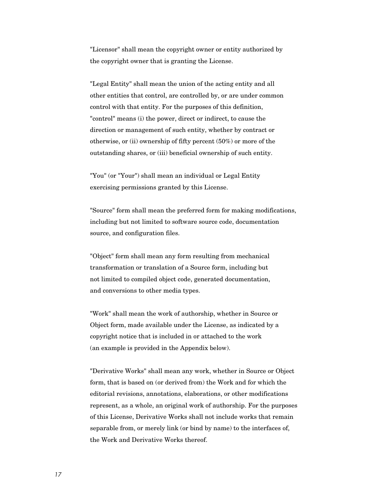"Licensor" shall mean the copyright owner or entity authorized by the copyright owner that is granting the License.

 "Legal Entity" shall mean the union of the acting entity and all other entities that control, are controlled by, or are under common control with that entity. For the purposes of this definition, "control" means (i) the power, direct or indirect, to cause the direction or management of such entity, whether by contract or otherwise, or (ii) ownership of fifty percent (50%) or more of the outstanding shares, or (iii) beneficial ownership of such entity.

 "You" (or "Your") shall mean an individual or Legal Entity exercising permissions granted by this License.

 "Source" form shall mean the preferred form for making modifications, including but not limited to software source code, documentation source, and configuration files.

 "Object" form shall mean any form resulting from mechanical transformation or translation of a Source form, including but not limited to compiled object code, generated documentation, and conversions to other media types.

 "Work" shall mean the work of authorship, whether in Source or Object form, made available under the License, as indicated by a copyright notice that is included in or attached to the work (an example is provided in the Appendix below).

 "Derivative Works" shall mean any work, whether in Source or Object form, that is based on (or derived from) the Work and for which the editorial revisions, annotations, elaborations, or other modifications represent, as a whole, an original work of authorship. For the purposes of this License, Derivative Works shall not include works that remain separable from, or merely link (or bind by name) to the interfaces of, the Work and Derivative Works thereof.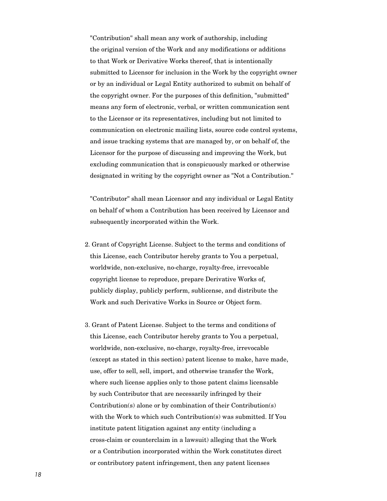"Contribution" shall mean any work of authorship, including the original version of the Work and any modifications or additions to that Work or Derivative Works thereof, that is intentionally submitted to Licensor for inclusion in the Work by the copyright owner or by an individual or Legal Entity authorized to submit on behalf of the copyright owner. For the purposes of this definition, "submitted" means any form of electronic, verbal, or written communication sent to the Licensor or its representatives, including but not limited to communication on electronic mailing lists, source code control systems, and issue tracking systems that are managed by, or on behalf of, the Licensor for the purpose of discussing and improving the Work, but excluding communication that is conspicuously marked or otherwise designated in writing by the copyright owner as "Not a Contribution."

 "Contributor" shall mean Licensor and any individual or Legal Entity on behalf of whom a Contribution has been received by Licensor and subsequently incorporated within the Work.

- 2. Grant of Copyright License. Subject to the terms and conditions of this License, each Contributor hereby grants to You a perpetual, worldwide, non-exclusive, no-charge, royalty-free, irrevocable copyright license to reproduce, prepare Derivative Works of, publicly display, publicly perform, sublicense, and distribute the Work and such Derivative Works in Source or Object form.
- 3. Grant of Patent License. Subject to the terms and conditions of this License, each Contributor hereby grants to You a perpetual, worldwide, non-exclusive, no-charge, royalty-free, irrevocable (except as stated in this section) patent license to make, have made, use, offer to sell, sell, import, and otherwise transfer the Work, where such license applies only to those patent claims licensable by such Contributor that are necessarily infringed by their Contribution(s) alone or by combination of their Contribution(s) with the Work to which such Contribution(s) was submitted. If You institute patent litigation against any entity (including a cross-claim or counterclaim in a lawsuit) alleging that the Work or a Contribution incorporated within the Work constitutes direct or contributory patent infringement, then any patent licenses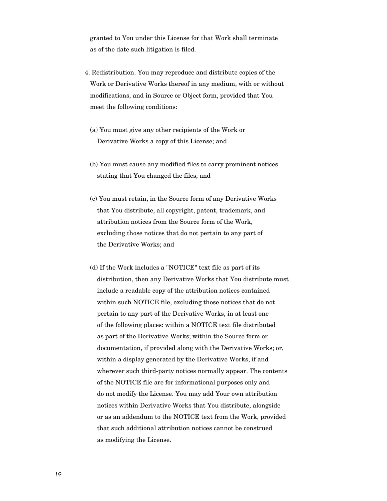granted to You under this License for that Work shall terminate as of the date such litigation is filed.

- 4. Redistribution. You may reproduce and distribute copies of the Work or Derivative Works thereof in any medium, with or without modifications, and in Source or Object form, provided that You meet the following conditions:
	- (a) You must give any other recipients of the Work or Derivative Works a copy of this License; and
	- (b) You must cause any modified files to carry prominent notices stating that You changed the files; and
	- (c) You must retain, in the Source form of any Derivative Works that You distribute, all copyright, patent, trademark, and attribution notices from the Source form of the Work, excluding those notices that do not pertain to any part of the Derivative Works; and
	- (d) If the Work includes a "NOTICE" text file as part of its distribution, then any Derivative Works that You distribute must include a readable copy of the attribution notices contained within such NOTICE file, excluding those notices that do not pertain to any part of the Derivative Works, in at least one of the following places: within a NOTICE text file distributed as part of the Derivative Works; within the Source form or documentation, if provided along with the Derivative Works; or, within a display generated by the Derivative Works, if and wherever such third-party notices normally appear. The contents of the NOTICE file are for informational purposes only and do not modify the License. You may add Your own attribution notices within Derivative Works that You distribute, alongside or as an addendum to the NOTICE text from the Work, provided that such additional attribution notices cannot be construed as modifying the License.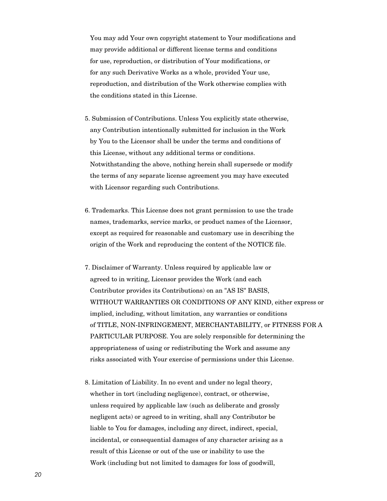You may add Your own copyright statement to Your modifications and may provide additional or different license terms and conditions for use, reproduction, or distribution of Your modifications, or for any such Derivative Works as a whole, provided Your use, reproduction, and distribution of the Work otherwise complies with the conditions stated in this License.

- 5. Submission of Contributions. Unless You explicitly state otherwise, any Contribution intentionally submitted for inclusion in the Work by You to the Licensor shall be under the terms and conditions of this License, without any additional terms or conditions. Notwithstanding the above, nothing herein shall supersede or modify the terms of any separate license agreement you may have executed with Licensor regarding such Contributions.
- 6. Trademarks. This License does not grant permission to use the trade names, trademarks, service marks, or product names of the Licensor, except as required for reasonable and customary use in describing the origin of the Work and reproducing the content of the NOTICE file.
- 7. Disclaimer of Warranty. Unless required by applicable law or agreed to in writing, Licensor provides the Work (and each Contributor provides its Contributions) on an "AS IS" BASIS, WITHOUT WARRANTIES OR CONDITIONS OF ANY KIND, either express or implied, including, without limitation, any warranties or conditions of TITLE, NON-INFRINGEMENT, MERCHANTABILITY, or FITNESS FOR A PARTICULAR PURPOSE. You are solely responsible for determining the appropriateness of using or redistributing the Work and assume any risks associated with Your exercise of permissions under this License.
- 8. Limitation of Liability. In no event and under no legal theory, whether in tort (including negligence), contract, or otherwise, unless required by applicable law (such as deliberate and grossly negligent acts) or agreed to in writing, shall any Contributor be liable to You for damages, including any direct, indirect, special, incidental, or consequential damages of any character arising as a result of this License or out of the use or inability to use the Work (including but not limited to damages for loss of goodwill,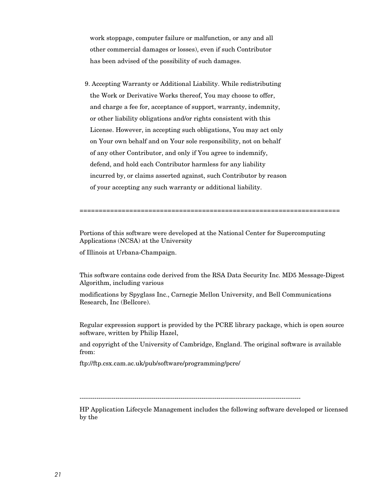work stoppage, computer failure or malfunction, or any and all other commercial damages or losses), even if such Contributor has been advised of the possibility of such damages.

 9. Accepting Warranty or Additional Liability. While redistributing the Work or Derivative Works thereof, You may choose to offer, and charge a fee for, acceptance of support, warranty, indemnity, or other liability obligations and/or rights consistent with this License. However, in accepting such obligations, You may act only on Your own behalf and on Your sole responsibility, not on behalf of any other Contributor, and only if You agree to indemnify, defend, and hold each Contributor harmless for any liability incurred by, or claims asserted against, such Contributor by reason of your accepting any such warranty or additional liability.

====================================================================

Portions of this software were developed at the National Center for Supercomputing Applications (NCSA) at the University

of Illinois at Urbana-Champaign.

This software contains code derived from the RSA Data Security Inc. MD5 Message-Digest Algorithm, including various

modifications by Spyglass Inc., Carnegie Mellon University, and Bell Communications Research, Inc (Bellcore).

Regular expression support is provided by the PCRE library package, which is open source software, written by Philip Hazel,

and copyright of the University of Cambridge, England. The original software is available from:

ftp://ftp.csx.cam.ac.uk/pub/software/programming/pcre/

---------------------------------------------------------------------------------------------------------

HP Application Lifecycle Management includes the following software developed or licensed by the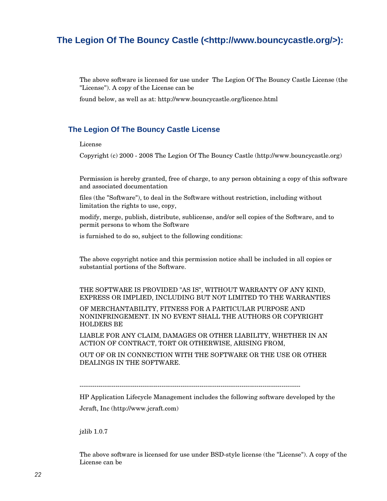## <span id="page-21-0"></span>**The Legion Of The Bouncy Castle (<http://www.bouncycastle.org/>):**

The above software is licensed for use under The Legion Of The Bouncy Castle License (the "License"). A copy of the License can be

found below, as well as at: http://www.bouncycastle.org/licence.html

#### <span id="page-21-1"></span>**The Legion Of The Bouncy Castle License**

#### License

Copyright (c) 2000 - 2008 The Legion Of The Bouncy Castle (http://www.bouncycastle.org)

Permission is hereby granted, free of charge, to any person obtaining a copy of this software and associated documentation

files (the "Software"), to deal in the Software without restriction, including without limitation the rights to use, copy,

modify, merge, publish, distribute, sublicense, and/or sell copies of the Software, and to permit persons to whom the Software

is furnished to do so, subject to the following conditions:

The above copyright notice and this permission notice shall be included in all copies or substantial portions of the Software.

THE SOFTWARE IS PROVIDED "AS IS", WITHOUT WARRANTY OF ANY KIND, EXPRESS OR IMPLIED, INCLUDING BUT NOT LIMITED TO THE WARRANTIES

OF MERCHANTABILITY, FITNESS FOR A PARTICULAR PURPOSE AND NONINFRINGEMENT. IN NO EVENT SHALL THE AUTHORS OR COPYRIGHT HOLDERS BE

LIABLE FOR ANY CLAIM, DAMAGES OR OTHER LIABILITY, WHETHER IN AN ACTION OF CONTRACT, TORT OR OTHERWISE, ARISING FROM,

OUT OF OR IN CONNECTION WITH THE SOFTWARE OR THE USE OR OTHER DEALINGS IN THE SOFTWARE.

---------------------------------------------------------------------------------------------------------

HP Application Lifecycle Management includes the following software developed by the Jcraft, Inc (http://www.jcraft.com)

jzlib 1.0.7

The above software is licensed for use under BSD-style license (the "License"). A copy of the License can be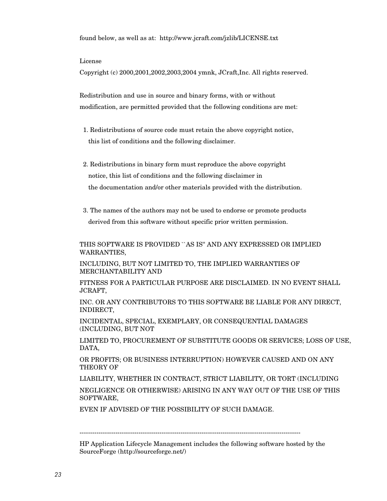found below, as well as at: http://www.jcraft.com/jzlib/LICENSE.txt

#### License

Copyright (c) 2000,2001,2002,2003,2004 ymnk, JCraft,Inc. All rights reserved.

Redistribution and use in source and binary forms, with or without modification, are permitted provided that the following conditions are met:

- 1. Redistributions of source code must retain the above copyright notice, this list of conditions and the following disclaimer.
- 2. Redistributions in binary form must reproduce the above copyright notice, this list of conditions and the following disclaimer in the documentation and/or other materials provided with the distribution.
- 3. The names of the authors may not be used to endorse or promote products derived from this software without specific prior written permission.

THIS SOFTWARE IS PROVIDED ``AS IS'' AND ANY EXPRESSED OR IMPLIED WARRANTIES,

INCLUDING, BUT NOT LIMITED TO, THE IMPLIED WARRANTIES OF MERCHANTABILITY AND

FITNESS FOR A PARTICULAR PURPOSE ARE DISCLAIMED. IN NO EVENT SHALL JCRAFT,

INC. OR ANY CONTRIBUTORS TO THIS SOFTWARE BE LIABLE FOR ANY DIRECT, INDIRECT,

INCIDENTAL, SPECIAL, EXEMPLARY, OR CONSEQUENTIAL DAMAGES (INCLUDING, BUT NOT

LIMITED TO, PROCUREMENT OF SUBSTITUTE GOODS OR SERVICES; LOSS OF USE, DATA,

OR PROFITS; OR BUSINESS INTERRUPTION) HOWEVER CAUSED AND ON ANY THEORY OF

LIABILITY, WHETHER IN CONTRACT, STRICT LIABILITY, OR TORT (INCLUDING

NEGLIGENCE OR OTHERWISE) ARISING IN ANY WAY OUT OF THE USE OF THIS SOFTWARE,

EVEN IF ADVISED OF THE POSSIBILITY OF SUCH DAMAGE.

HP Application Lifecycle Management includes the following software hosted by the SourceForge (http://sourceforge.net/)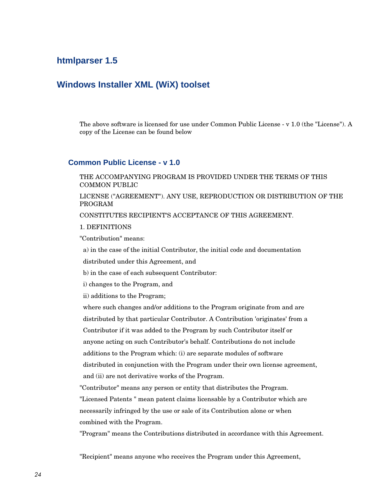## <span id="page-23-0"></span>**htmlparser 1.5**

### <span id="page-23-1"></span>**Windows Installer XML (WiX) toolset**

The above software is licensed for use under Common Public License - v 1.0 (the "License"). A copy of the License can be found below

#### <span id="page-23-2"></span>**Common Public License - v 1.0**

THE ACCOMPANYING PROGRAM IS PROVIDED UNDER THE TERMS OF THIS COMMON PUBLIC

LICENSE ("AGREEMENT"). ANY USE, REPRODUCTION OR DISTRIBUTION OF THE PROGRAM

CONSTITUTES RECIPIENT'S ACCEPTANCE OF THIS AGREEMENT.

#### 1. DEFINITIONS

"Contribution" means:

a) in the case of the initial Contributor, the initial code and documentation

distributed under this Agreement, and

b) in the case of each subsequent Contributor:

i) changes to the Program, and

ii) additions to the Program;

 where such changes and/or additions to the Program originate from and are distributed by that particular Contributor. A Contribution 'originates' from a Contributor if it was added to the Program by such Contributor itself or anyone acting on such Contributor's behalf. Contributions do not include additions to the Program which: (i) are separate modules of software distributed in conjunction with the Program under their own license agreement, and (ii) are not derivative works of the Program.

"Contributor" means any person or entity that distributes the Program.

"Licensed Patents " mean patent claims licensable by a Contributor which are necessarily infringed by the use or sale of its Contribution alone or when combined with the Program.

"Program" means the Contributions distributed in accordance with this Agreement.

"Recipient" means anyone who receives the Program under this Agreement,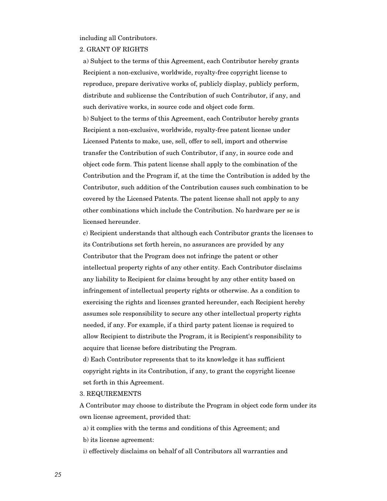including all Contributors.

#### 2. GRANT OF RIGHTS

 a) Subject to the terms of this Agreement, each Contributor hereby grants Recipient a non-exclusive, worldwide, royalty-free copyright license to reproduce, prepare derivative works of, publicly display, publicly perform, distribute and sublicense the Contribution of such Contributor, if any, and such derivative works, in source code and object code form.

 b) Subject to the terms of this Agreement, each Contributor hereby grants Recipient a non-exclusive, worldwide, royalty-free patent license under Licensed Patents to make, use, sell, offer to sell, import and otherwise transfer the Contribution of such Contributor, if any, in source code and object code form. This patent license shall apply to the combination of the Contribution and the Program if, at the time the Contribution is added by the Contributor, such addition of the Contribution causes such combination to be covered by the Licensed Patents. The patent license shall not apply to any other combinations which include the Contribution. No hardware per se is licensed hereunder.

 c) Recipient understands that although each Contributor grants the licenses to its Contributions set forth herein, no assurances are provided by any Contributor that the Program does not infringe the patent or other intellectual property rights of any other entity. Each Contributor disclaims any liability to Recipient for claims brought by any other entity based on infringement of intellectual property rights or otherwise. As a condition to exercising the rights and licenses granted hereunder, each Recipient hereby assumes sole responsibility to secure any other intellectual property rights needed, if any. For example, if a third party patent license is required to allow Recipient to distribute the Program, it is Recipient's responsibility to acquire that license before distributing the Program.

 d) Each Contributor represents that to its knowledge it has sufficient copyright rights in its Contribution, if any, to grant the copyright license set forth in this Agreement.

#### 3. REQUIREMENTS

A Contributor may choose to distribute the Program in object code form under its own license agreement, provided that:

a) it complies with the terms and conditions of this Agreement; and

b) its license agreement:

i) effectively disclaims on behalf of all Contributors all warranties and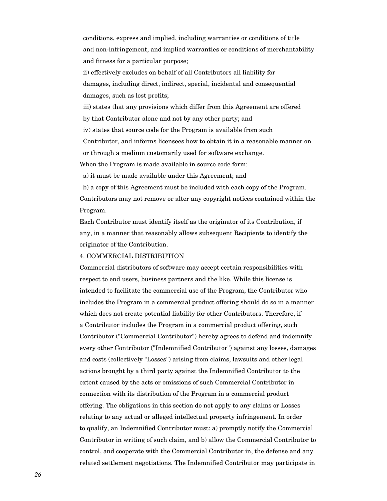conditions, express and implied, including warranties or conditions of title and non-infringement, and implied warranties or conditions of merchantability and fitness for a particular purpose;

 ii) effectively excludes on behalf of all Contributors all liability for damages, including direct, indirect, special, incidental and consequential damages, such as lost profits;

 iii) states that any provisions which differ from this Agreement are offered by that Contributor alone and not by any other party; and

iv) states that source code for the Program is available from such

 Contributor, and informs licensees how to obtain it in a reasonable manner on or through a medium customarily used for software exchange.

When the Program is made available in source code form:

a) it must be made available under this Agreement; and

 b) a copy of this Agreement must be included with each copy of the Program. Contributors may not remove or alter any copyright notices contained within the Program.

Each Contributor must identify itself as the originator of its Contribution, if any, in a manner that reasonably allows subsequent Recipients to identify the originator of the Contribution.

#### 4. COMMERCIAL DISTRIBUTION

Commercial distributors of software may accept certain responsibilities with respect to end users, business partners and the like. While this license is intended to facilitate the commercial use of the Program, the Contributor who includes the Program in a commercial product offering should do so in a manner which does not create potential liability for other Contributors. Therefore, if a Contributor includes the Program in a commercial product offering, such Contributor ("Commercial Contributor") hereby agrees to defend and indemnify every other Contributor ("Indemnified Contributor") against any losses, damages and costs (collectively "Losses") arising from claims, lawsuits and other legal actions brought by a third party against the Indemnified Contributor to the extent caused by the acts or omissions of such Commercial Contributor in connection with its distribution of the Program in a commercial product offering. The obligations in this section do not apply to any claims or Losses relating to any actual or alleged intellectual property infringement. In order to qualify, an Indemnified Contributor must: a) promptly notify the Commercial Contributor in writing of such claim, and b) allow the Commercial Contributor to control, and cooperate with the Commercial Contributor in, the defense and any related settlement negotiations. The Indemnified Contributor may participate in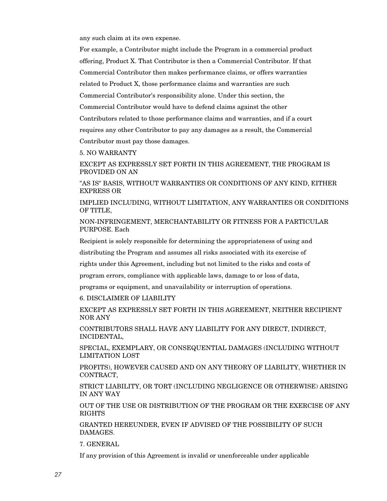any such claim at its own expense.

For example, a Contributor might include the Program in a commercial product offering, Product X. That Contributor is then a Commercial Contributor. If that Commercial Contributor then makes performance claims, or offers warranties related to Product X, those performance claims and warranties are such Commercial Contributor's responsibility alone. Under this section, the Commercial Contributor would have to defend claims against the other Contributors related to those performance claims and warranties, and if a court requires any other Contributor to pay any damages as a result, the Commercial Contributor must pay those damages.

5. NO WARRANTY

EXCEPT AS EXPRESSLY SET FORTH IN THIS AGREEMENT, THE PROGRAM IS PROVIDED ON AN

"AS IS" BASIS, WITHOUT WARRANTIES OR CONDITIONS OF ANY KIND, EITHER EXPRESS OR

IMPLIED INCLUDING, WITHOUT LIMITATION, ANY WARRANTIES OR CONDITIONS OF TITLE,

NON-INFRINGEMENT, MERCHANTABILITY OR FITNESS FOR A PARTICULAR PURPOSE. Each

Recipient is solely responsible for determining the appropriateness of using and

distributing the Program and assumes all risks associated with its exercise of

rights under this Agreement, including but not limited to the risks and costs of

program errors, compliance with applicable laws, damage to or loss of data,

programs or equipment, and unavailability or interruption of operations.

6. DISCLAIMER OF LIABILITY

EXCEPT AS EXPRESSLY SET FORTH IN THIS AGREEMENT, NEITHER RECIPIENT NOR ANY

CONTRIBUTORS SHALL HAVE ANY LIABILITY FOR ANY DIRECT, INDIRECT, INCIDENTAL,

SPECIAL, EXEMPLARY, OR CONSEQUENTIAL DAMAGES (INCLUDING WITHOUT LIMITATION LOST

PROFITS), HOWEVER CAUSED AND ON ANY THEORY OF LIABILITY, WHETHER IN CONTRACT,

STRICT LIABILITY, OR TORT (INCLUDING NEGLIGENCE OR OTHERWISE) ARISING IN ANY WAY

OUT OF THE USE OR DISTRIBUTION OF THE PROGRAM OR THE EXERCISE OF ANY RIGHTS

GRANTED HEREUNDER, EVEN IF ADVISED OF THE POSSIBILITY OF SUCH DAMAGES.

7. GENERAL

If any provision of this Agreement is invalid or unenforceable under applicable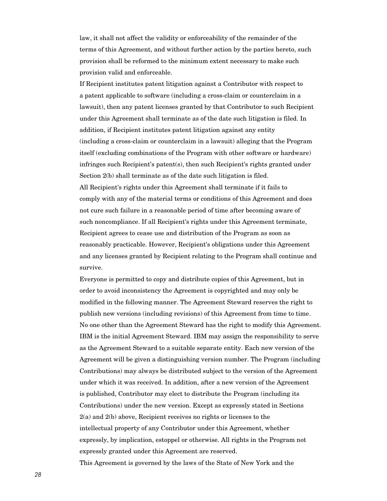law, it shall not affect the validity or enforceability of the remainder of the terms of this Agreement, and without further action by the parties hereto, such provision shall be reformed to the minimum extent necessary to make such provision valid and enforceable.

If Recipient institutes patent litigation against a Contributor with respect to a patent applicable to software (including a cross-claim or counterclaim in a lawsuit), then any patent licenses granted by that Contributor to such Recipient under this Agreement shall terminate as of the date such litigation is filed. In addition, if Recipient institutes patent litigation against any entity (including a cross-claim or counterclaim in a lawsuit) alleging that the Program itself (excluding combinations of the Program with other software or hardware) infringes such Recipient's patent(s), then such Recipient's rights granted under Section 2(b) shall terminate as of the date such litigation is filed. All Recipient's rights under this Agreement shall terminate if it fails to comply with any of the material terms or conditions of this Agreement and does not cure such failure in a reasonable period of time after becoming aware of such noncompliance. If all Recipient's rights under this Agreement terminate, Recipient agrees to cease use and distribution of the Program as soon as reasonably practicable. However, Recipient's obligations under this Agreement and any licenses granted by Recipient relating to the Program shall continue and survive.

Everyone is permitted to copy and distribute copies of this Agreement, but in order to avoid inconsistency the Agreement is copyrighted and may only be modified in the following manner. The Agreement Steward reserves the right to publish new versions (including revisions) of this Agreement from time to time. No one other than the Agreement Steward has the right to modify this Agreement. IBM is the initial Agreement Steward. IBM may assign the responsibility to serve as the Agreement Steward to a suitable separate entity. Each new version of the Agreement will be given a distinguishing version number. The Program (including Contributions) may always be distributed subject to the version of the Agreement under which it was received. In addition, after a new version of the Agreement is published, Contributor may elect to distribute the Program (including its Contributions) under the new version. Except as expressly stated in Sections 2(a) and 2(b) above, Recipient receives no rights or licenses to the intellectual property of any Contributor under this Agreement, whether expressly, by implication, estoppel or otherwise. All rights in the Program not expressly granted under this Agreement are reserved. This Agreement is governed by the laws of the State of New York and the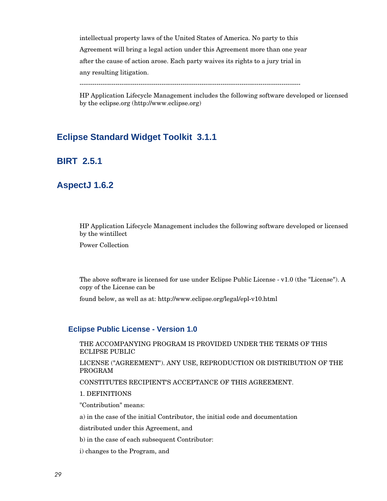intellectual property laws of the United States of America. No party to this Agreement will bring a legal action under this Agreement more than one year after the cause of action arose. Each party waives its rights to a jury trial in any resulting litigation.

---------------------------------------------------------------------------------------------------------

HP Application Lifecycle Management includes the following software developed or licensed by the eclipse.org (http://www.eclipse.org)

## <span id="page-28-0"></span>**Eclipse Standard Widget Toolkit 3.1.1**

## <span id="page-28-1"></span>**BIRT 2.5.1**

## <span id="page-28-2"></span>**AspectJ 1.6.2**

HP Application Lifecycle Management includes the following software developed or licensed by the wintillect

Power Collection

The above software is licensed for use under Eclipse Public License - v1.0 (the "License"). A copy of the License can be

found below, as well as at: http://www.eclipse.org/legal/epl-v10.html

#### <span id="page-28-3"></span>**Eclipse Public License - Version 1.0**

THE ACCOMPANYING PROGRAM IS PROVIDED UNDER THE TERMS OF THIS ECLIPSE PUBLIC

LICENSE ("AGREEMENT"). ANY USE, REPRODUCTION OR DISTRIBUTION OF THE PROGRAM

CONSTITUTES RECIPIENT'S ACCEPTANCE OF THIS AGREEMENT.

#### 1. DEFINITIONS

"Contribution" means:

a) in the case of the initial Contributor, the initial code and documentation

distributed under this Agreement, and

b) in the case of each subsequent Contributor:

i) changes to the Program, and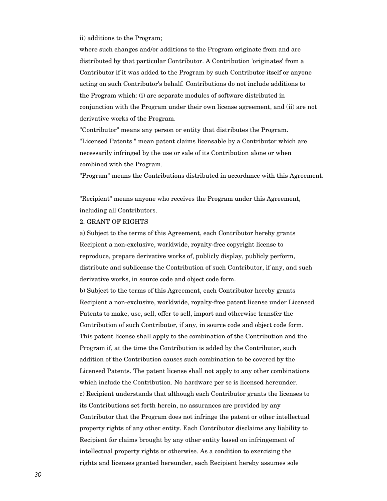ii) additions to the Program;

where such changes and/or additions to the Program originate from and are distributed by that particular Contributor. A Contribution 'originates' from a Contributor if it was added to the Program by such Contributor itself or anyone acting on such Contributor's behalf. Contributions do not include additions to the Program which: (i) are separate modules of software distributed in conjunction with the Program under their own license agreement, and (ii) are not derivative works of the Program.

"Contributor" means any person or entity that distributes the Program. "Licensed Patents " mean patent claims licensable by a Contributor which are necessarily infringed by the use or sale of its Contribution alone or when combined with the Program.

"Program" means the Contributions distributed in accordance with this Agreement.

"Recipient" means anyone who receives the Program under this Agreement, including all Contributors.

#### 2. GRANT OF RIGHTS

a) Subject to the terms of this Agreement, each Contributor hereby grants Recipient a non-exclusive, worldwide, royalty-free copyright license to reproduce, prepare derivative works of, publicly display, publicly perform, distribute and sublicense the Contribution of such Contributor, if any, and such derivative works, in source code and object code form.

b) Subject to the terms of this Agreement, each Contributor hereby grants Recipient a non-exclusive, worldwide, royalty-free patent license under Licensed Patents to make, use, sell, offer to sell, import and otherwise transfer the Contribution of such Contributor, if any, in source code and object code form. This patent license shall apply to the combination of the Contribution and the Program if, at the time the Contribution is added by the Contributor, such addition of the Contribution causes such combination to be covered by the Licensed Patents. The patent license shall not apply to any other combinations which include the Contribution. No hardware per se is licensed hereunder. c) Recipient understands that although each Contributor grants the licenses to its Contributions set forth herein, no assurances are provided by any Contributor that the Program does not infringe the patent or other intellectual property rights of any other entity. Each Contributor disclaims any liability to Recipient for claims brought by any other entity based on infringement of intellectual property rights or otherwise. As a condition to exercising the rights and licenses granted hereunder, each Recipient hereby assumes sole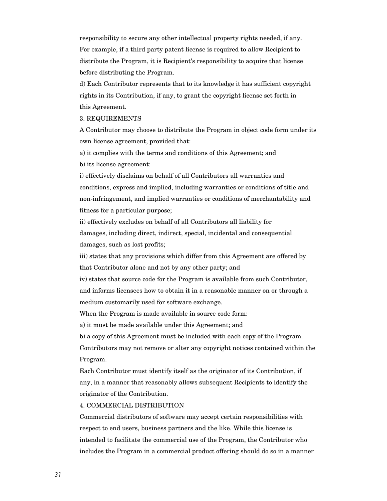responsibility to secure any other intellectual property rights needed, if any. For example, if a third party patent license is required to allow Recipient to distribute the Program, it is Recipient's responsibility to acquire that license before distributing the Program.

d) Each Contributor represents that to its knowledge it has sufficient copyright rights in its Contribution, if any, to grant the copyright license set forth in this Agreement.

#### 3. REQUIREMENTS

A Contributor may choose to distribute the Program in object code form under its own license agreement, provided that:

a) it complies with the terms and conditions of this Agreement; and

b) its license agreement:

i) effectively disclaims on behalf of all Contributors all warranties and conditions, express and implied, including warranties or conditions of title and non-infringement, and implied warranties or conditions of merchantability and fitness for a particular purpose;

ii) effectively excludes on behalf of all Contributors all liability for damages, including direct, indirect, special, incidental and consequential damages, such as lost profits;

iii) states that any provisions which differ from this Agreement are offered by that Contributor alone and not by any other party; and

iv) states that source code for the Program is available from such Contributor, and informs licensees how to obtain it in a reasonable manner on or through a medium customarily used for software exchange.

When the Program is made available in source code form:

a) it must be made available under this Agreement; and

b) a copy of this Agreement must be included with each copy of the Program.

Contributors may not remove or alter any copyright notices contained within the Program.

Each Contributor must identify itself as the originator of its Contribution, if any, in a manner that reasonably allows subsequent Recipients to identify the originator of the Contribution.

#### 4. COMMERCIAL DISTRIBUTION

Commercial distributors of software may accept certain responsibilities with respect to end users, business partners and the like. While this license is intended to facilitate the commercial use of the Program, the Contributor who includes the Program in a commercial product offering should do so in a manner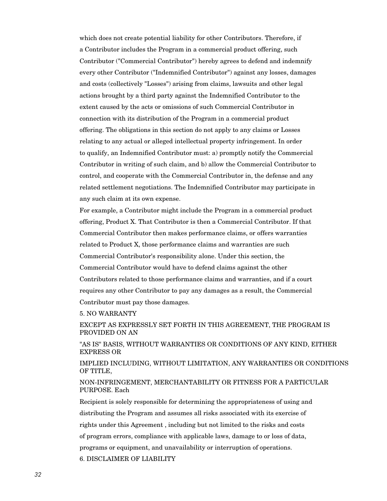which does not create potential liability for other Contributors. Therefore, if a Contributor includes the Program in a commercial product offering, such Contributor ("Commercial Contributor") hereby agrees to defend and indemnify every other Contributor ("Indemnified Contributor") against any losses, damages and costs (collectively "Losses") arising from claims, lawsuits and other legal actions brought by a third party against the Indemnified Contributor to the extent caused by the acts or omissions of such Commercial Contributor in connection with its distribution of the Program in a commercial product offering. The obligations in this section do not apply to any claims or Losses relating to any actual or alleged intellectual property infringement. In order to qualify, an Indemnified Contributor must: a) promptly notify the Commercial Contributor in writing of such claim, and b) allow the Commercial Contributor to control, and cooperate with the Commercial Contributor in, the defense and any related settlement negotiations. The Indemnified Contributor may participate in any such claim at its own expense.

For example, a Contributor might include the Program in a commercial product offering, Product X. That Contributor is then a Commercial Contributor. If that Commercial Contributor then makes performance claims, or offers warranties related to Product X, those performance claims and warranties are such Commercial Contributor's responsibility alone. Under this section, the Commercial Contributor would have to defend claims against the other Contributors related to those performance claims and warranties, and if a court requires any other Contributor to pay any damages as a result, the Commercial Contributor must pay those damages.

#### 5. NO WARRANTY

EXCEPT AS EXPRESSLY SET FORTH IN THIS AGREEMENT, THE PROGRAM IS PROVIDED ON AN

"AS IS" BASIS, WITHOUT WARRANTIES OR CONDITIONS OF ANY KIND, EITHER EXPRESS OR

IMPLIED INCLUDING, WITHOUT LIMITATION, ANY WARRANTIES OR CONDITIONS OF TITLE,

NON-INFRINGEMENT, MERCHANTABILITY OR FITNESS FOR A PARTICULAR PURPOSE. Each

Recipient is solely responsible for determining the appropriateness of using and distributing the Program and assumes all risks associated with its exercise of rights under this Agreement , including but not limited to the risks and costs of program errors, compliance with applicable laws, damage to or loss of data, programs or equipment, and unavailability or interruption of operations. 6. DISCLAIMER OF LIABILITY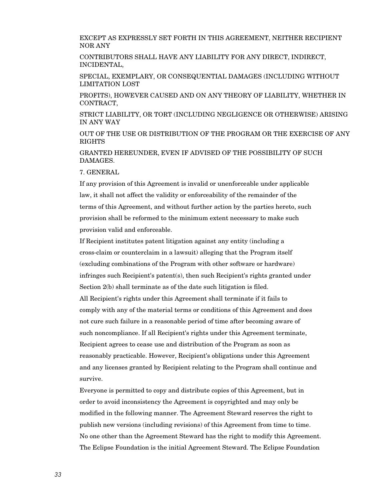EXCEPT AS EXPRESSLY SET FORTH IN THIS AGREEMENT, NEITHER RECIPIENT NOR ANY

CONTRIBUTORS SHALL HAVE ANY LIABILITY FOR ANY DIRECT, INDIRECT, INCIDENTAL,

SPECIAL, EXEMPLARY, OR CONSEQUENTIAL DAMAGES (INCLUDING WITHOUT LIMITATION LOST

PROFITS), HOWEVER CAUSED AND ON ANY THEORY OF LIABILITY, WHETHER IN CONTRACT,

STRICT LIABILITY, OR TORT (INCLUDING NEGLIGENCE OR OTHERWISE) ARISING IN ANY WAY

OUT OF THE USE OR DISTRIBUTION OF THE PROGRAM OR THE EXERCISE OF ANY RIGHTS

GRANTED HEREUNDER, EVEN IF ADVISED OF THE POSSIBILITY OF SUCH DAMAGES.

7. GENERAL

If any provision of this Agreement is invalid or unenforceable under applicable law, it shall not affect the validity or enforceability of the remainder of the terms of this Agreement, and without further action by the parties hereto, such provision shall be reformed to the minimum extent necessary to make such provision valid and enforceable.

If Recipient institutes patent litigation against any entity (including a cross-claim or counterclaim in a lawsuit) alleging that the Program itself (excluding combinations of the Program with other software or hardware) infringes such Recipient's patent(s), then such Recipient's rights granted under Section 2(b) shall terminate as of the date such litigation is filed. All Recipient's rights under this Agreement shall terminate if it fails to comply with any of the material terms or conditions of this Agreement and does not cure such failure in a reasonable period of time after becoming aware of such noncompliance. If all Recipient's rights under this Agreement terminate, Recipient agrees to cease use and distribution of the Program as soon as reasonably practicable. However, Recipient's obligations under this Agreement and any licenses granted by Recipient relating to the Program shall continue and survive.

Everyone is permitted to copy and distribute copies of this Agreement, but in order to avoid inconsistency the Agreement is copyrighted and may only be modified in the following manner. The Agreement Steward reserves the right to publish new versions (including revisions) of this Agreement from time to time. No one other than the Agreement Steward has the right to modify this Agreement. The Eclipse Foundation is the initial Agreement Steward. The Eclipse Foundation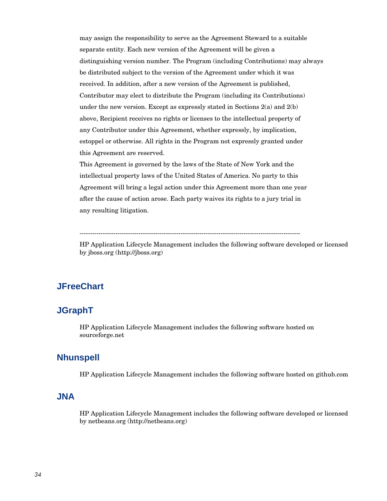may assign the responsibility to serve as the Agreement Steward to a suitable separate entity. Each new version of the Agreement will be given a distinguishing version number. The Program (including Contributions) may always be distributed subject to the version of the Agreement under which it was received. In addition, after a new version of the Agreement is published, Contributor may elect to distribute the Program (including its Contributions) under the new version. Except as expressly stated in Sections  $2(a)$  and  $2(b)$ above, Recipient receives no rights or licenses to the intellectual property of any Contributor under this Agreement, whether expressly, by implication, estoppel or otherwise. All rights in the Program not expressly granted under this Agreement are reserved.

This Agreement is governed by the laws of the State of New York and the intellectual property laws of the United States of America. No party to this Agreement will bring a legal action under this Agreement more than one year after the cause of action arose. Each party waives its rights to a jury trial in any resulting litigation.

---------------------------------------------------------------------------------------------------------

HP Application Lifecycle Management includes the following software developed or licensed by jboss.org (http://jboss.org)

## <span id="page-33-0"></span>**JFreeChart**

## <span id="page-33-1"></span>**JGraphT**

HP Application Lifecycle Management includes the following software hosted on sourceforge.net

#### <span id="page-33-2"></span>**Nhunspell**

HP Application Lifecycle Management includes the following software hosted on github.com

## <span id="page-33-3"></span>**JNA**

HP Application Lifecycle Management includes the following software developed or licensed by netbeans.org (http://netbeans.org)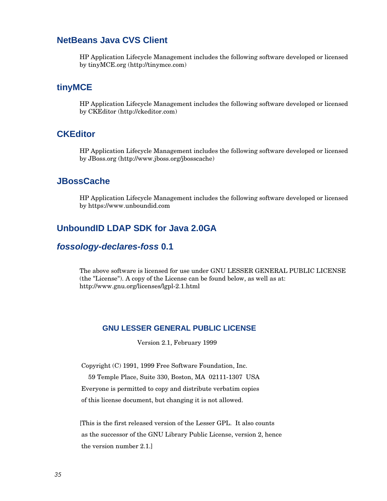### <span id="page-34-0"></span>**NetBeans Java CVS Client**

HP Application Lifecycle Management includes the following software developed or licensed by tinyMCE.org (http://tinymce.com)

### <span id="page-34-1"></span>**tinyMCE**

HP Application Lifecycle Management includes the following software developed or licensed by CKEditor (http://ckeditor.com)

#### <span id="page-34-2"></span>**CKEditor**

HP Application Lifecycle Management includes the following software developed or licensed by JBoss.org [\(http://www.jboss.org/jbosscache\)](http://www.jboss.org/jbosscache)

#### <span id="page-34-3"></span>**JBossCache**

HP Application Lifecycle Management includes the following software developed or licensed by https://www.unboundid.com

## <span id="page-34-4"></span>**UnboundID LDAP SDK for Java 2.0GA**

## *[fossology-declares-foss](http://fossology.usa.hp.com/)* **0.1**

The above software is licensed for use under GNU LESSER GENERAL PUBLIC LICENSE (the "License"). A copy of the License can be found below, as well as at: http://www.gnu.org/licenses/lgpl-2.1.html

#### <span id="page-34-5"></span>**GNU LESSER GENERAL PUBLIC LICENSE**

Version 2.1, February 1999

Copyright (C) 1991, 1999 Free Software Foundation, Inc.

 59 Temple Place, Suite 330, Boston, MA 02111-1307 USA Everyone is permitted to copy and distribute verbatim copies of this license document, but changing it is not allowed.

[This is the first released version of the Lesser GPL. It also counts as the successor of the GNU Library Public License, version 2, hence the version number 2.1.]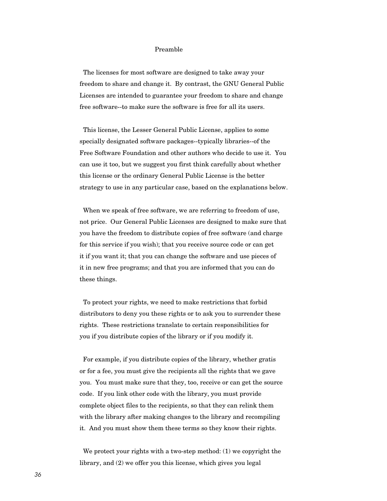#### Preamble

 The licenses for most software are designed to take away your freedom to share and change it. By contrast, the GNU General Public Licenses are intended to guarantee your freedom to share and change free software--to make sure the software is free for all its users.

 This license, the Lesser General Public License, applies to some specially designated software packages--typically libraries--of the Free Software Foundation and other authors who decide to use it. You can use it too, but we suggest you first think carefully about whether this license or the ordinary General Public License is the better strategy to use in any particular case, based on the explanations below.

 When we speak of free software, we are referring to freedom of use, not price. Our General Public Licenses are designed to make sure that you have the freedom to distribute copies of free software (and charge for this service if you wish); that you receive source code or can get it if you want it; that you can change the software and use pieces of it in new free programs; and that you are informed that you can do these things.

 To protect your rights, we need to make restrictions that forbid distributors to deny you these rights or to ask you to surrender these rights. These restrictions translate to certain responsibilities for you if you distribute copies of the library or if you modify it.

 For example, if you distribute copies of the library, whether gratis or for a fee, you must give the recipients all the rights that we gave you. You must make sure that they, too, receive or can get the source code. If you link other code with the library, you must provide complete object files to the recipients, so that they can relink them with the library after making changes to the library and recompiling it. And you must show them these terms so they know their rights.

 We protect your rights with a two-step method: (1) we copyright the library, and (2) we offer you this license, which gives you legal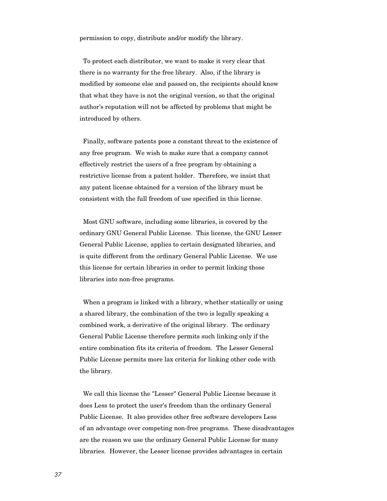permission to copy, distribute and/or modify the library.

 To protect each distributor, we want to make it very clear that there is no warranty for the free library. Also, if the library is modified by someone else and passed on, the recipients should know that what they have is not the original version, so that the original author's reputation will not be affected by problems that might be introduced by others.

 Finally, software patents pose a constant threat to the existence of any free program. We wish to make sure that a company cannot effectively restrict the users of a free program by obtaining a restrictive license from a patent holder. Therefore, we insist that any patent license obtained for a version of the library must be consistent with the full freedom of use specified in this license.

 Most GNU software, including some libraries, is covered by the ordinary GNU General Public License. This license, the GNU Lesser General Public License, applies to certain designated libraries, and is quite different from the ordinary General Public License. We use this license for certain libraries in order to permit linking those libraries into non-free programs.

 When a program is linked with a library, whether statically or using a shared library, the combination of the two is legally speaking a combined work, a derivative of the original library. The ordinary General Public License therefore permits such linking only if the entire combination fits its criteria of freedom. The Lesser General Public License permits more lax criteria for linking other code with the library.

 We call this license the "Lesser" General Public License because it does Less to protect the user's freedom than the ordinary General Public License. It also provides other free software developers Less of an advantage over competing non-free programs. These disadvantages are the reason we use the ordinary General Public License for many libraries. However, the Lesser license provides advantages in certain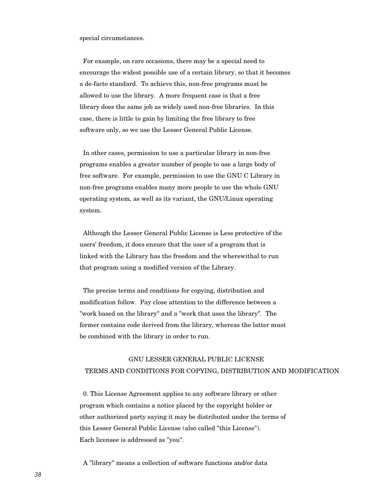special circumstances.

 For example, on rare occasions, there may be a special need to encourage the widest possible use of a certain library, so that it becomes a de-facto standard. To achieve this, non-free programs must be allowed to use the library. A more frequent case is that a free library does the same job as widely used non-free libraries. In this case, there is little to gain by limiting the free library to free software only, so we use the Lesser General Public License.

 In other cases, permission to use a particular library in non-free programs enables a greater number of people to use a large body of free software. For example, permission to use the GNU C Library in non-free programs enables many more people to use the whole GNU operating system, as well as its variant, the GNU/Linux operating system.

 Although the Lesser General Public License is Less protective of the users' freedom, it does ensure that the user of a program that is linked with the Library has the freedom and the wherewithal to run that program using a modified version of the Library.

 The precise terms and conditions for copying, distribution and modification follow. Pay close attention to the difference between a "work based on the library" and a "work that uses the library". The former contains code derived from the library, whereas the latter must be combined with the library in order to run.

# GNU LESSER GENERAL PUBLIC LICENSE TERMS AND CONDITIONS FOR COPYING, DISTRIBUTION AND MODIFICATION

 0. This License Agreement applies to any software library or other program which contains a notice placed by the copyright holder or other authorized party saying it may be distributed under the terms of this Lesser General Public License (also called "this License"). Each licensee is addressed as "you".

A "library" means a collection of software functions and/or data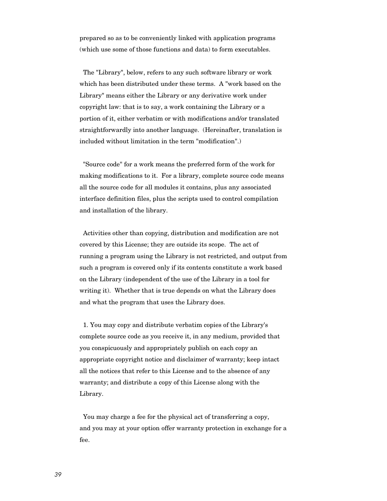prepared so as to be conveniently linked with application programs (which use some of those functions and data) to form executables.

 The "Library", below, refers to any such software library or work which has been distributed under these terms. A "work based on the Library" means either the Library or any derivative work under copyright law: that is to say, a work containing the Library or a portion of it, either verbatim or with modifications and/or translated straightforwardly into another language. (Hereinafter, translation is included without limitation in the term "modification".)

 "Source code" for a work means the preferred form of the work for making modifications to it. For a library, complete source code means all the source code for all modules it contains, plus any associated interface definition files, plus the scripts used to control compilation and installation of the library.

 Activities other than copying, distribution and modification are not covered by this License; they are outside its scope. The act of running a program using the Library is not restricted, and output from such a program is covered only if its contents constitute a work based on the Library (independent of the use of the Library in a tool for writing it). Whether that is true depends on what the Library does and what the program that uses the Library does.

 1. You may copy and distribute verbatim copies of the Library's complete source code as you receive it, in any medium, provided that you conspicuously and appropriately publish on each copy an appropriate copyright notice and disclaimer of warranty; keep intact all the notices that refer to this License and to the absence of any warranty; and distribute a copy of this License along with the Library.

 You may charge a fee for the physical act of transferring a copy, and you may at your option offer warranty protection in exchange for a fee.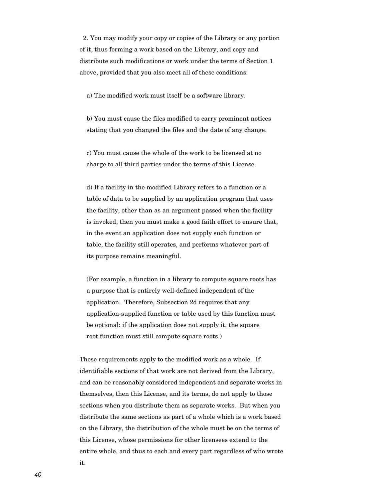2. You may modify your copy or copies of the Library or any portion of it, thus forming a work based on the Library, and copy and distribute such modifications or work under the terms of Section 1 above, provided that you also meet all of these conditions:

a) The modified work must itself be a software library.

 b) You must cause the files modified to carry prominent notices stating that you changed the files and the date of any change.

 c) You must cause the whole of the work to be licensed at no charge to all third parties under the terms of this License.

 d) If a facility in the modified Library refers to a function or a table of data to be supplied by an application program that uses the facility, other than as an argument passed when the facility is invoked, then you must make a good faith effort to ensure that, in the event an application does not supply such function or table, the facility still operates, and performs whatever part of its purpose remains meaningful.

 (For example, a function in a library to compute square roots has a purpose that is entirely well-defined independent of the application. Therefore, Subsection 2d requires that any application-supplied function or table used by this function must be optional: if the application does not supply it, the square root function must still compute square roots.)

These requirements apply to the modified work as a whole. If identifiable sections of that work are not derived from the Library, and can be reasonably considered independent and separate works in themselves, then this License, and its terms, do not apply to those sections when you distribute them as separate works. But when you distribute the same sections as part of a whole which is a work based on the Library, the distribution of the whole must be on the terms of this License, whose permissions for other licensees extend to the entire whole, and thus to each and every part regardless of who wrote it.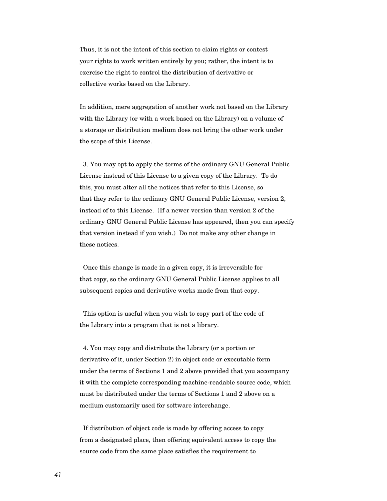Thus, it is not the intent of this section to claim rights or contest your rights to work written entirely by you; rather, the intent is to exercise the right to control the distribution of derivative or collective works based on the Library.

In addition, mere aggregation of another work not based on the Library with the Library (or with a work based on the Library) on a volume of a storage or distribution medium does not bring the other work under the scope of this License.

 3. You may opt to apply the terms of the ordinary GNU General Public License instead of this License to a given copy of the Library. To do this, you must alter all the notices that refer to this License, so that they refer to the ordinary GNU General Public License, version 2, instead of to this License. (If a newer version than version 2 of the ordinary GNU General Public License has appeared, then you can specify that version instead if you wish.) Do not make any other change in these notices.

 Once this change is made in a given copy, it is irreversible for that copy, so the ordinary GNU General Public License applies to all subsequent copies and derivative works made from that copy.

 This option is useful when you wish to copy part of the code of the Library into a program that is not a library.

 4. You may copy and distribute the Library (or a portion or derivative of it, under Section 2) in object code or executable form under the terms of Sections 1 and 2 above provided that you accompany it with the complete corresponding machine-readable source code, which must be distributed under the terms of Sections 1 and 2 above on a medium customarily used for software interchange.

 If distribution of object code is made by offering access to copy from a designated place, then offering equivalent access to copy the source code from the same place satisfies the requirement to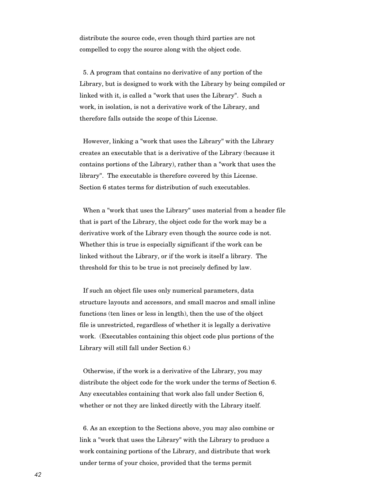distribute the source code, even though third parties are not compelled to copy the source along with the object code.

 5. A program that contains no derivative of any portion of the Library, but is designed to work with the Library by being compiled or linked with it, is called a "work that uses the Library". Such a work, in isolation, is not a derivative work of the Library, and therefore falls outside the scope of this License.

 However, linking a "work that uses the Library" with the Library creates an executable that is a derivative of the Library (because it contains portions of the Library), rather than a "work that uses the library". The executable is therefore covered by this License. Section 6 states terms for distribution of such executables.

 When a "work that uses the Library" uses material from a header file that is part of the Library, the object code for the work may be a derivative work of the Library even though the source code is not. Whether this is true is especially significant if the work can be linked without the Library, or if the work is itself a library. The threshold for this to be true is not precisely defined by law.

 If such an object file uses only numerical parameters, data structure layouts and accessors, and small macros and small inline functions (ten lines or less in length), then the use of the object file is unrestricted, regardless of whether it is legally a derivative work. (Executables containing this object code plus portions of the Library will still fall under Section 6.)

 Otherwise, if the work is a derivative of the Library, you may distribute the object code for the work under the terms of Section 6. Any executables containing that work also fall under Section 6, whether or not they are linked directly with the Library itself.

 6. As an exception to the Sections above, you may also combine or link a "work that uses the Library" with the Library to produce a work containing portions of the Library, and distribute that work under terms of your choice, provided that the terms permit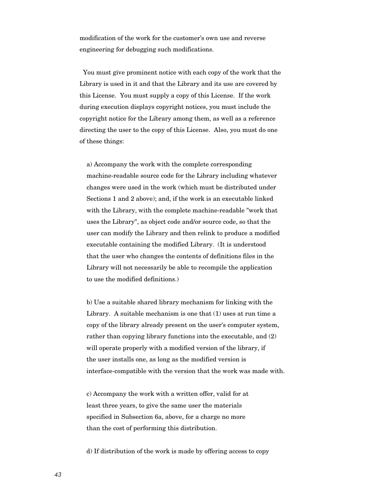modification of the work for the customer's own use and reverse engineering for debugging such modifications.

 You must give prominent notice with each copy of the work that the Library is used in it and that the Library and its use are covered by this License. You must supply a copy of this License. If the work during execution displays copyright notices, you must include the copyright notice for the Library among them, as well as a reference directing the user to the copy of this License. Also, you must do one of these things:

 a) Accompany the work with the complete corresponding machine-readable source code for the Library including whatever changes were used in the work (which must be distributed under Sections 1 and 2 above); and, if the work is an executable linked with the Library, with the complete machine-readable "work that uses the Library", as object code and/or source code, so that the user can modify the Library and then relink to produce a modified executable containing the modified Library. (It is understood that the user who changes the contents of definitions files in the Library will not necessarily be able to recompile the application to use the modified definitions.)

 b) Use a suitable shared library mechanism for linking with the Library. A suitable mechanism is one that (1) uses at run time a copy of the library already present on the user's computer system, rather than copying library functions into the executable, and (2) will operate properly with a modified version of the library, if the user installs one, as long as the modified version is interface-compatible with the version that the work was made with.

 c) Accompany the work with a written offer, valid for at least three years, to give the same user the materials specified in Subsection 6a, above, for a charge no more than the cost of performing this distribution.

d) If distribution of the work is made by offering access to copy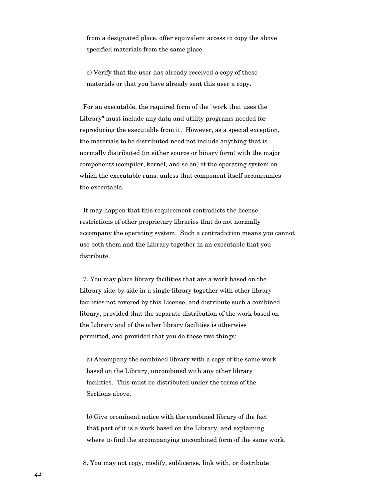from a designated place, offer equivalent access to copy the above specified materials from the same place.

 e) Verify that the user has already received a copy of these materials or that you have already sent this user a copy.

 For an executable, the required form of the "work that uses the Library" must include any data and utility programs needed for reproducing the executable from it. However, as a special exception, the materials to be distributed need not include anything that is normally distributed (in either source or binary form) with the major components (compiler, kernel, and so on) of the operating system on which the executable runs, unless that component itself accompanies the executable.

 It may happen that this requirement contradicts the license restrictions of other proprietary libraries that do not normally accompany the operating system. Such a contradiction means you cannot use both them and the Library together in an executable that you distribute.

 7. You may place library facilities that are a work based on the Library side-by-side in a single library together with other library facilities not covered by this License, and distribute such a combined library, provided that the separate distribution of the work based on the Library and of the other library facilities is otherwise permitted, and provided that you do these two things:

 a) Accompany the combined library with a copy of the same work based on the Library, uncombined with any other library facilities. This must be distributed under the terms of the Sections above.

 b) Give prominent notice with the combined library of the fact that part of it is a work based on the Library, and explaining where to find the accompanying uncombined form of the same work.

8. You may not copy, modify, sublicense, link with, or distribute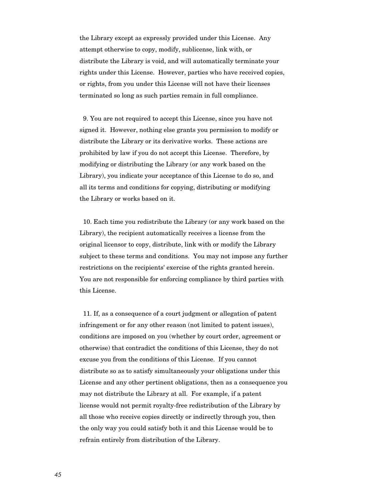the Library except as expressly provided under this License. Any attempt otherwise to copy, modify, sublicense, link with, or distribute the Library is void, and will automatically terminate your rights under this License. However, parties who have received copies, or rights, from you under this License will not have their licenses terminated so long as such parties remain in full compliance.

 9. You are not required to accept this License, since you have not signed it. However, nothing else grants you permission to modify or distribute the Library or its derivative works. These actions are prohibited by law if you do not accept this License. Therefore, by modifying or distributing the Library (or any work based on the Library), you indicate your acceptance of this License to do so, and all its terms and conditions for copying, distributing or modifying the Library or works based on it.

 10. Each time you redistribute the Library (or any work based on the Library), the recipient automatically receives a license from the original licensor to copy, distribute, link with or modify the Library subject to these terms and conditions. You may not impose any further restrictions on the recipients' exercise of the rights granted herein. You are not responsible for enforcing compliance by third parties with this License.

 11. If, as a consequence of a court judgment or allegation of patent infringement or for any other reason (not limited to patent issues), conditions are imposed on you (whether by court order, agreement or otherwise) that contradict the conditions of this License, they do not excuse you from the conditions of this License. If you cannot distribute so as to satisfy simultaneously your obligations under this License and any other pertinent obligations, then as a consequence you may not distribute the Library at all. For example, if a patent license would not permit royalty-free redistribution of the Library by all those who receive copies directly or indirectly through you, then the only way you could satisfy both it and this License would be to refrain entirely from distribution of the Library.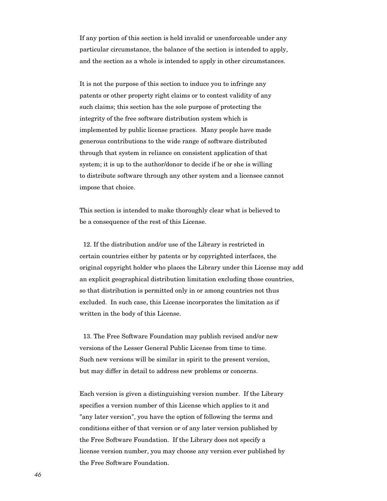If any portion of this section is held invalid or unenforceable under any particular circumstance, the balance of the section is intended to apply, and the section as a whole is intended to apply in other circumstances.

It is not the purpose of this section to induce you to infringe any patents or other property right claims or to contest validity of any such claims; this section has the sole purpose of protecting the integrity of the free software distribution system which is implemented by public license practices. Many people have made generous contributions to the wide range of software distributed through that system in reliance on consistent application of that system; it is up to the author/donor to decide if he or she is willing to distribute software through any other system and a licensee cannot impose that choice.

This section is intended to make thoroughly clear what is believed to be a consequence of the rest of this License.

 12. If the distribution and/or use of the Library is restricted in certain countries either by patents or by copyrighted interfaces, the original copyright holder who places the Library under this License may add an explicit geographical distribution limitation excluding those countries, so that distribution is permitted only in or among countries not thus excluded. In such case, this License incorporates the limitation as if written in the body of this License.

 13. The Free Software Foundation may publish revised and/or new versions of the Lesser General Public License from time to time. Such new versions will be similar in spirit to the present version, but may differ in detail to address new problems or concerns.

Each version is given a distinguishing version number. If the Library specifies a version number of this License which applies to it and "any later version", you have the option of following the terms and conditions either of that version or of any later version published by the Free Software Foundation. If the Library does not specify a license version number, you may choose any version ever published by the Free Software Foundation.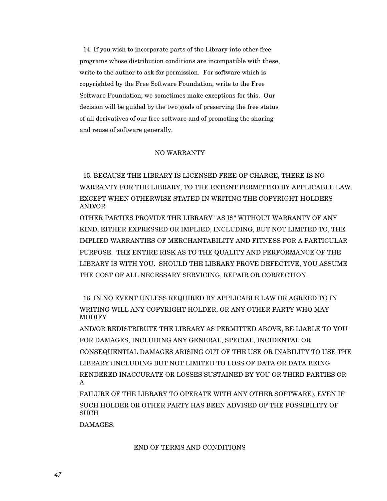14. If you wish to incorporate parts of the Library into other free programs whose distribution conditions are incompatible with these, write to the author to ask for permission. For software which is copyrighted by the Free Software Foundation, write to the Free Software Foundation; we sometimes make exceptions for this. Our decision will be guided by the two goals of preserving the free status of all derivatives of our free software and of promoting the sharing and reuse of software generally.

## NO WARRANTY

 15. BECAUSE THE LIBRARY IS LICENSED FREE OF CHARGE, THERE IS NO WARRANTY FOR THE LIBRARY, TO THE EXTENT PERMITTED BY APPLICABLE LAW. EXCEPT WHEN OTHERWISE STATED IN WRITING THE COPYRIGHT HOLDERS AND/OR

OTHER PARTIES PROVIDE THE LIBRARY "AS IS" WITHOUT WARRANTY OF ANY KIND, EITHER EXPRESSED OR IMPLIED, INCLUDING, BUT NOT LIMITED TO, THE IMPLIED WARRANTIES OF MERCHANTABILITY AND FITNESS FOR A PARTICULAR PURPOSE. THE ENTIRE RISK AS TO THE QUALITY AND PERFORMANCE OF THE LIBRARY IS WITH YOU. SHOULD THE LIBRARY PROVE DEFECTIVE, YOU ASSUME THE COST OF ALL NECESSARY SERVICING, REPAIR OR CORRECTION.

 16. IN NO EVENT UNLESS REQUIRED BY APPLICABLE LAW OR AGREED TO IN WRITING WILL ANY COPYRIGHT HOLDER, OR ANY OTHER PARTY WHO MAY MODIFY

AND/OR REDISTRIBUTE THE LIBRARY AS PERMITTED ABOVE, BE LIABLE TO YOU FOR DAMAGES, INCLUDING ANY GENERAL, SPECIAL, INCIDENTAL OR CONSEQUENTIAL DAMAGES ARISING OUT OF THE USE OR INABILITY TO USE THE LIBRARY (INCLUDING BUT NOT LIMITED TO LOSS OF DATA OR DATA BEING RENDERED INACCURATE OR LOSSES SUSTAINED BY YOU OR THIRD PARTIES OR A

FAILURE OF THE LIBRARY TO OPERATE WITH ANY OTHER SOFTWARE), EVEN IF SUCH HOLDER OR OTHER PARTY HAS BEEN ADVISED OF THE POSSIBILITY OF **SUCH** 

DAMAGES.

### END OF TERMS AND CONDITIONS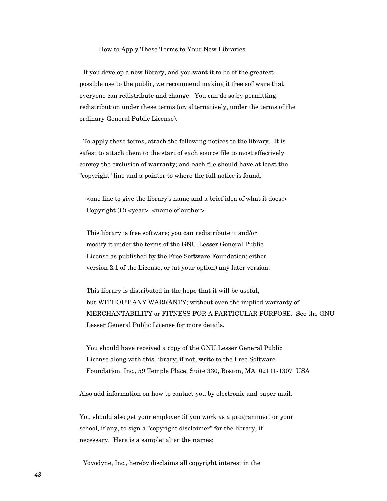#### How to Apply These Terms to Your New Libraries

 If you develop a new library, and you want it to be of the greatest possible use to the public, we recommend making it free software that everyone can redistribute and change. You can do so by permitting redistribution under these terms (or, alternatively, under the terms of the ordinary General Public License).

 To apply these terms, attach the following notices to the library. It is safest to attach them to the start of each source file to most effectively convey the exclusion of warranty; and each file should have at least the "copyright" line and a pointer to where the full notice is found.

 <one line to give the library's name and a brief idea of what it does.> Copyright  $(C)$  <year > <name of author

 This library is free software; you can redistribute it and/or modify it under the terms of the GNU Lesser General Public License as published by the Free Software Foundation; either version 2.1 of the License, or (at your option) any later version.

 This library is distributed in the hope that it will be useful, but WITHOUT ANY WARRANTY; without even the implied warranty of MERCHANTABILITY or FITNESS FOR A PARTICULAR PURPOSE. See the GNU Lesser General Public License for more details.

 You should have received a copy of the GNU Lesser General Public License along with this library; if not, write to the Free Software Foundation, Inc., 59 Temple Place, Suite 330, Boston, MA 02111-1307 USA

Also add information on how to contact you by electronic and paper mail.

You should also get your employer (if you work as a programmer) or your school, if any, to sign a "copyright disclaimer" for the library, if necessary. Here is a sample; alter the names:

Yoyodyne, Inc., hereby disclaims all copyright interest in the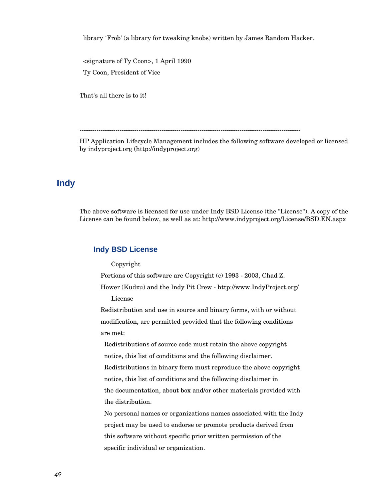library `Frob' (a library for tweaking knobs) written by James Random Hacker.

 <signature of Ty Coon>, 1 April 1990 Ty Coon, President of Vice

That's all there is to it!

---------------------------------------------------------------------------------------------------------

HP Application Lifecycle Management includes the following software developed or licensed by indyproject.org (http://indyproject.org)

# **Indy**

The above software is licensed for use under Indy BSD License (the "License"). A copy of the License can be found below, as well as at: http://www.indyproject.org/License/BSD.EN.aspx

## **Indy BSD License**

Copyright

Portions of this software are Copyright (c) 1993 - 2003, Chad Z.

 Hower (Kudzu) and the Indy Pit Crew - http://www.IndyProject.org/ License

 Redistribution and use in source and binary forms, with or without modification, are permitted provided that the following conditions are met:

 Redistributions of source code must retain the above copyright notice, this list of conditions and the following disclaimer.

 Redistributions in binary form must reproduce the above copyright notice, this list of conditions and the following disclaimer in the documentation, about box and/or other materials provided with the distribution.

 No personal names or organizations names associated with the Indy project may be used to endorse or promote products derived from this software without specific prior written permission of the specific individual or organization.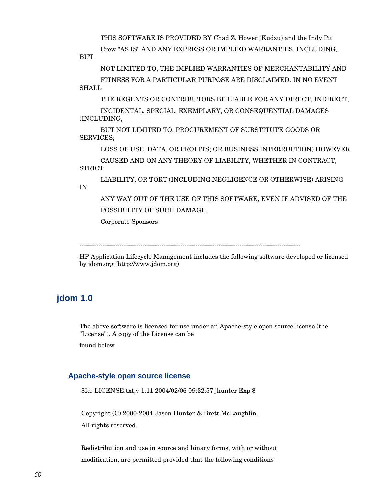THIS SOFTWARE IS PROVIDED BY Chad Z. Hower (Kudzu) and the Indy Pit

Crew "AS IS'' AND ANY EXPRESS OR IMPLIED WARRANTIES, INCLUDING,

**BUT** 

 NOT LIMITED TO, THE IMPLIED WARRANTIES OF MERCHANTABILITY AND FITNESS FOR A PARTICULAR PURPOSE ARE DISCLAIMED. IN NO EVENT **SHALL** 

THE REGENTS OR CONTRIBUTORS BE LIABLE FOR ANY DIRECT, INDIRECT,

 INCIDENTAL, SPECIAL, EXEMPLARY, OR CONSEQUENTIAL DAMAGES (INCLUDING,

 BUT NOT LIMITED TO, PROCUREMENT OF SUBSTITUTE GOODS OR SERVICES;

LOSS OF USE, DATA, OR PROFITS; OR BUSINESS INTERRUPTION) HOWEVER

 CAUSED AND ON ANY THEORY OF LIABILITY, WHETHER IN CONTRACT, **STRICT** 

 LIABILITY, OR TORT (INCLUDING NEGLIGENCE OR OTHERWISE) ARISING IN

 ANY WAY OUT OF THE USE OF THIS SOFTWARE, EVEN IF ADVISED OF THE POSSIBILITY OF SUCH DAMAGE.

Corporate Sponsors

---------------------------------------------------------------------------------------------------------

HP Application Lifecycle Management includes the following software developed or licensed by jdom.org (http://www.jdom.org)

# **jdom 1.0**

The above software is licensed for use under an Apache-style open source license (the "License"). A copy of the License can be

found below

## **Apache-style open source license**

\$Id: LICENSE.txt,v 1.11 2004/02/06 09:32:57 jhunter Exp \$

Copyright (C) 2000-2004 Jason Hunter & Brett McLaughlin. All rights reserved.

Redistribution and use in source and binary forms, with or without modification, are permitted provided that the following conditions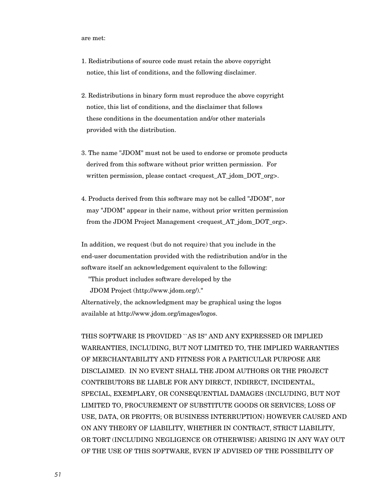are met:

- 1. Redistributions of source code must retain the above copyright notice, this list of conditions, and the following disclaimer.
- 2. Redistributions in binary form must reproduce the above copyright notice, this list of conditions, and the disclaimer that follows these conditions in the documentation and/or other materials provided with the distribution.
- 3. The name "JDOM" must not be used to endorse or promote products derived from this software without prior written permission. For written permission, please contact <request AT jdom DOT org>.
- 4. Products derived from this software may not be called "JDOM", nor may "JDOM" appear in their name, without prior written permission from the JDOM Project Management <request AT jdom DOT org>.

In addition, we request (but do not require) that you include in the end-user documentation provided with the redistribution and/or in the software itself an acknowledgement equivalent to the following:

"This product includes software developed by the

JDOM Project (http://www.jdom.org/)."

Alternatively, the acknowledgment may be graphical using the logos available at http://www.jdom.org/images/logos.

THIS SOFTWARE IS PROVIDED ``AS IS'' AND ANY EXPRESSED OR IMPLIED WARRANTIES, INCLUDING, BUT NOT LIMITED TO, THE IMPLIED WARRANTIES OF MERCHANTABILITY AND FITNESS FOR A PARTICULAR PURPOSE ARE DISCLAIMED. IN NO EVENT SHALL THE JDOM AUTHORS OR THE PROJECT CONTRIBUTORS BE LIABLE FOR ANY DIRECT, INDIRECT, INCIDENTAL, SPECIAL, EXEMPLARY, OR CONSEQUENTIAL DAMAGES (INCLUDING, BUT NOT LIMITED TO, PROCUREMENT OF SUBSTITUTE GOODS OR SERVICES; LOSS OF USE, DATA, OR PROFITS; OR BUSINESS INTERRUPTION) HOWEVER CAUSED AND ON ANY THEORY OF LIABILITY, WHETHER IN CONTRACT, STRICT LIABILITY, OR TORT (INCLUDING NEGLIGENCE OR OTHERWISE) ARISING IN ANY WAY OUT OF THE USE OF THIS SOFTWARE, EVEN IF ADVISED OF THE POSSIBILITY OF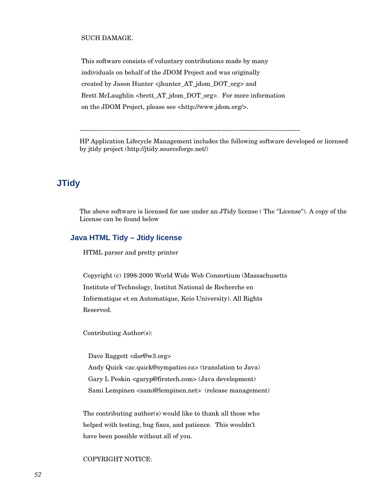### SUCH DAMAGE.

This software consists of voluntary contributions made by many individuals on behalf of the JDOM Project and was originally created by Jason Hunter <jhunter\_AT\_jdom\_DOT\_org> and Brett McLaughlin <brett\_AT\_jdom\_DOT\_org>. For more information on the JDOM Project, please see <http://www.jdom.org/>.

---------------------------------------------------------------------------------------------------------

HP Application Lifecycle Management includes the following software developed or licensed by jtidy project (http://jtidy.sourceforge.net/)

# **JTidy**

The above software is licensed for use under an JTidy license ( The "License"). A copy of the License can be found below

## **Java HTML Tidy – Jtidy license**

HTML parser and pretty printer

 Copyright (c) 1998-2000 World Wide Web Consortium (Massachusetts Institute of Technology, Institut National de Recherche en Informatique et en Automatique, Keio University). All Rights Reserved.

Contributing Author(s):

Dave Raggett <dsr@w3.org> Andy Quick <ac.quick@sympatico.ca> (translation to Java) Gary L Peskin <garyp@firstech.com> (Java development) Sami Lempinen <sami@lempinen.net> (release management)

 The contributing author(s) would like to thank all those who helped with testing, bug fixes, and patience. This wouldn't have been possible without all of you.

### COPYRIGHT NOTICE: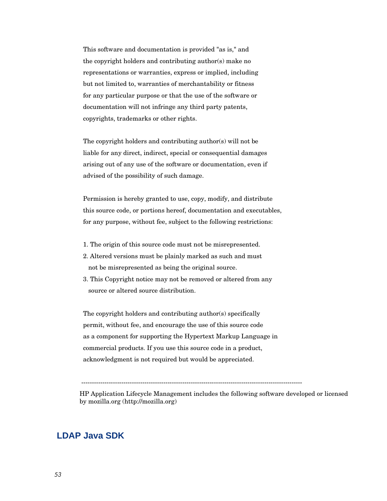This software and documentation is provided "as is," and the copyright holders and contributing author(s) make no representations or warranties, express or implied, including but not limited to, warranties of merchantability or fitness for any particular purpose or that the use of the software or documentation will not infringe any third party patents, copyrights, trademarks or other rights.

 The copyright holders and contributing author(s) will not be liable for any direct, indirect, special or consequential damages arising out of any use of the software or documentation, even if advised of the possibility of such damage.

 Permission is hereby granted to use, copy, modify, and distribute this source code, or portions hereof, documentation and executables, for any purpose, without fee, subject to the following restrictions:

- 1. The origin of this source code must not be misrepresented.
- 2. Altered versions must be plainly marked as such and must not be misrepresented as being the original source.
- 3. This Copyright notice may not be removed or altered from any source or altered source distribution.

 The copyright holders and contributing author(s) specifically permit, without fee, and encourage the use of this source code as a component for supporting the Hypertext Markup Language in commercial products. If you use this source code in a product, acknowledgment is not required but would be appreciated.

---------------------------------------------------------------------------------------------------------

HP Application Lifecycle Management includes the following software developed or licensed by mozilla.org (http://mozilla.org)

# **LDAP Java SDK**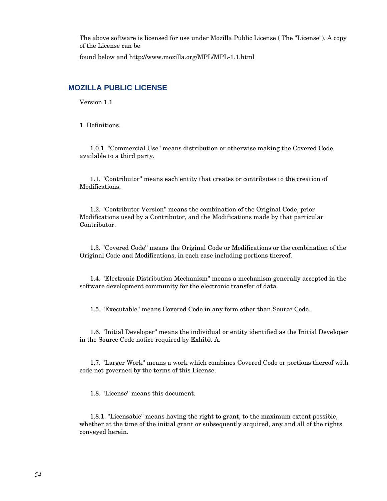The above software is licensed for use under Mozilla Public License ( The "License"). A copy of the License can be

found below and http://www.mozilla.org/MPL/MPL-1.1.html

## **MOZILLA PUBLIC LICENSE**

Version 1.1

1. Definitions.

 1.0.1. "Commercial Use" means distribution or otherwise making the Covered Code available to a third party.

 1.1. ''Contributor'' means each entity that creates or contributes to the creation of Modifications.

 1.2. ''Contributor Version'' means the combination of the Original Code, prior Modifications used by a Contributor, and the Modifications made by that particular Contributor.

 1.3. ''Covered Code'' means the Original Code or Modifications or the combination of the Original Code and Modifications, in each case including portions thereof.

 1.4. ''Electronic Distribution Mechanism'' means a mechanism generally accepted in the software development community for the electronic transfer of data.

1.5. ''Executable'' means Covered Code in any form other than Source Code.

 1.6. ''Initial Developer'' means the individual or entity identified as the Initial Developer in the Source Code notice required by Exhibit A.

 1.7. ''Larger Work'' means a work which combines Covered Code or portions thereof with code not governed by the terms of this License.

1.8. ''License'' means this document.

 1.8.1. "Licensable" means having the right to grant, to the maximum extent possible, whether at the time of the initial grant or subsequently acquired, any and all of the rights conveyed herein.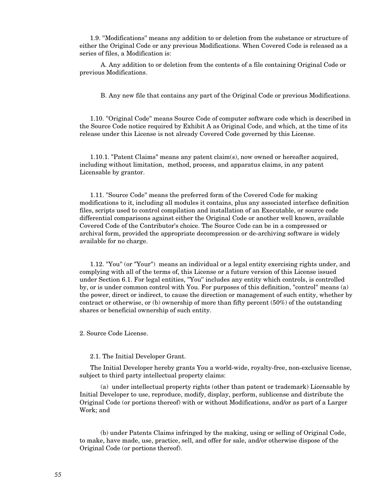1.9. ''Modifications'' means any addition to or deletion from the substance or structure of either the Original Code or any previous Modifications. When Covered Code is released as a series of files, a Modification is:

 A. Any addition to or deletion from the contents of a file containing Original Code or previous Modifications.

B. Any new file that contains any part of the Original Code or previous Modifications.

 1.10. ''Original Code'' means Source Code of computer software code which is described in the Source Code notice required by Exhibit A as Original Code, and which, at the time of its release under this License is not already Covered Code governed by this License.

 1.10.1. "Patent Claims" means any patent claim(s), now owned or hereafter acquired, including without limitation, method, process, and apparatus claims, in any patent Licensable by grantor.

 1.11. ''Source Code'' means the preferred form of the Covered Code for making modifications to it, including all modules it contains, plus any associated interface definition files, scripts used to control compilation and installation of an Executable, or source code differential comparisons against either the Original Code or another well known, available Covered Code of the Contributor's choice. The Source Code can be in a compressed or archival form, provided the appropriate decompression or de-archiving software is widely available for no charge.

 1.12. "You'' (or "Your") means an individual or a legal entity exercising rights under, and complying with all of the terms of, this License or a future version of this License issued under Section 6.1. For legal entities, "You'' includes any entity which controls, is controlled by, or is under common control with You. For purposes of this definition, "control'' means (a) the power, direct or indirect, to cause the direction or management of such entity, whether by contract or otherwise, or (b) ownership of more than fifty percent (50%) of the outstanding shares or beneficial ownership of such entity.

2. Source Code License.

### 2.1. The Initial Developer Grant.

 The Initial Developer hereby grants You a world-wide, royalty-free, non-exclusive license, subject to third party intellectual property claims:

 (a) under intellectual property rights (other than patent or trademark) Licensable by Initial Developer to use, reproduce, modify, display, perform, sublicense and distribute the Original Code (or portions thereof) with or without Modifications, and/or as part of a Larger Work; and

 (b) under Patents Claims infringed by the making, using or selling of Original Code, to make, have made, use, practice, sell, and offer for sale, and/or otherwise dispose of the Original Code (or portions thereof).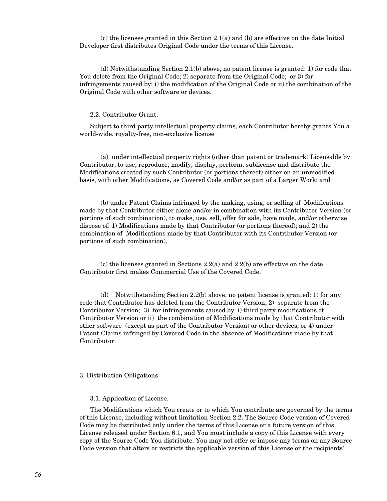(c) the licenses granted in this Section 2.1(a) and (b) are effective on the date Initial Developer first distributes Original Code under the terms of this License.

 (d) Notwithstanding Section 2.1(b) above, no patent license is granted: 1) for code that You delete from the Original Code; 2) separate from the Original Code; or 3) for infringements caused by: i) the modification of the Original Code or ii) the combination of the Original Code with other software or devices.

### 2.2. Contributor Grant.

 Subject to third party intellectual property claims, each Contributor hereby grants You a world-wide, royalty-free, non-exclusive license

 (a) under intellectual property rights (other than patent or trademark) Licensable by Contributor, to use, reproduce, modify, display, perform, sublicense and distribute the Modifications created by such Contributor (or portions thereof) either on an unmodified basis, with other Modifications, as Covered Code and/or as part of a Larger Work; and

 (b) under Patent Claims infringed by the making, using, or selling of Modifications made by that Contributor either alone and/or in combination with its Contributor Version (or portions of such combination), to make, use, sell, offer for sale, have made, and/or otherwise dispose of: 1) Modifications made by that Contributor (or portions thereof); and 2) the combination of Modifications made by that Contributor with its Contributor Version (or portions of such combination).

 (c) the licenses granted in Sections 2.2(a) and 2.2(b) are effective on the date Contributor first makes Commercial Use of the Covered Code.

 (d) Notwithstanding Section 2.2(b) above, no patent license is granted: 1) for any code that Contributor has deleted from the Contributor Version; 2) separate from the Contributor Version; 3) for infringements caused by: i) third party modifications of Contributor Version or ii) the combination of Modifications made by that Contributor with other software (except as part of the Contributor Version) or other devices; or 4) under Patent Claims infringed by Covered Code in the absence of Modifications made by that Contributor.

#### 3. Distribution Obligations.

#### 3.1. Application of License.

 The Modifications which You create or to which You contribute are governed by the terms of this License, including without limitation Section 2.2. The Source Code version of Covered Code may be distributed only under the terms of this License or a future version of this License released under Section 6.1, and You must include a copy of this License with every copy of the Source Code You distribute. You may not offer or impose any terms on any Source Code version that alters or restricts the applicable version of this License or the recipients'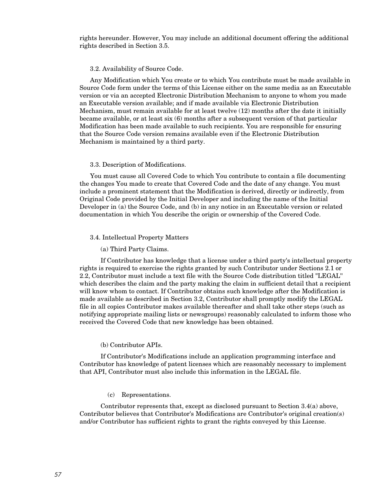rights hereunder. However, You may include an additional document offering the additional rights described in Section 3.5.

#### 3.2. Availability of Source Code.

 Any Modification which You create or to which You contribute must be made available in Source Code form under the terms of this License either on the same media as an Executable version or via an accepted Electronic Distribution Mechanism to anyone to whom you made an Executable version available; and if made available via Electronic Distribution Mechanism, must remain available for at least twelve (12) months after the date it initially became available, or at least six (6) months after a subsequent version of that particular Modification has been made available to such recipients. You are responsible for ensuring that the Source Code version remains available even if the Electronic Distribution Mechanism is maintained by a third party.

#### 3.3. Description of Modifications.

 You must cause all Covered Code to which You contribute to contain a file documenting the changes You made to create that Covered Code and the date of any change. You must include a prominent statement that the Modification is derived, directly or indirectly, from Original Code provided by the Initial Developer and including the name of the Initial Developer in (a) the Source Code, and (b) in any notice in an Executable version or related documentation in which You describe the origin or ownership of the Covered Code.

#### 3.4. Intellectual Property Matters

#### (a) Third Party Claims.

 If Contributor has knowledge that a license under a third party's intellectual property rights is required to exercise the rights granted by such Contributor under Sections 2.1 or 2.2, Contributor must include a text file with the Source Code distribution titled "LEGAL'' which describes the claim and the party making the claim in sufficient detail that a recipient will know whom to contact. If Contributor obtains such knowledge after the Modification is made available as described in Section 3.2, Contributor shall promptly modify the LEGAL file in all copies Contributor makes available thereafter and shall take other steps (such as notifying appropriate mailing lists or newsgroups) reasonably calculated to inform those who received the Covered Code that new knowledge has been obtained.

#### (b) Contributor APIs.

 If Contributor's Modifications include an application programming interface and Contributor has knowledge of patent licenses which are reasonably necessary to implement that API, Contributor must also include this information in the LEGAL file.

#### (c) Representations.

 Contributor represents that, except as disclosed pursuant to Section 3.4(a) above, Contributor believes that Contributor's Modifications are Contributor's original creation(s) and/or Contributor has sufficient rights to grant the rights conveyed by this License.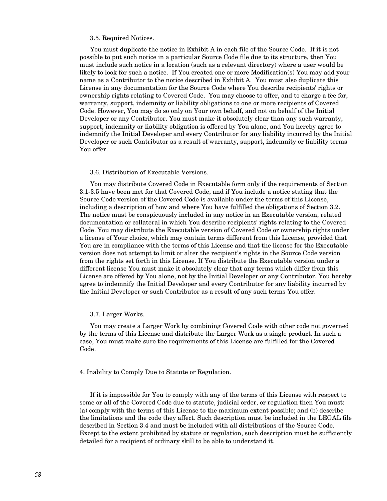#### 3.5. Required Notices.

 You must duplicate the notice in Exhibit A in each file of the Source Code. If it is not possible to put such notice in a particular Source Code file due to its structure, then You must include such notice in a location (such as a relevant directory) where a user would be likely to look for such a notice. If You created one or more Modification(s) You may add your name as a Contributor to the notice described in Exhibit A. You must also duplicate this License in any documentation for the Source Code where You describe recipients' rights or ownership rights relating to Covered Code. You may choose to offer, and to charge a fee for, warranty, support, indemnity or liability obligations to one or more recipients of Covered Code. However, You may do so only on Your own behalf, and not on behalf of the Initial Developer or any Contributor. You must make it absolutely clear than any such warranty, support, indemnity or liability obligation is offered by You alone, and You hereby agree to indemnify the Initial Developer and every Contributor for any liability incurred by the Initial Developer or such Contributor as a result of warranty, support, indemnity or liability terms You offer.

#### 3.6. Distribution of Executable Versions.

 You may distribute Covered Code in Executable form only if the requirements of Section 3.1-3.5 have been met for that Covered Code, and if You include a notice stating that the Source Code version of the Covered Code is available under the terms of this License, including a description of how and where You have fulfilled the obligations of Section 3.2. The notice must be conspicuously included in any notice in an Executable version, related documentation or collateral in which You describe recipients' rights relating to the Covered Code. You may distribute the Executable version of Covered Code or ownership rights under a license of Your choice, which may contain terms different from this License, provided that You are in compliance with the terms of this License and that the license for the Executable version does not attempt to limit or alter the recipient's rights in the Source Code version from the rights set forth in this License. If You distribute the Executable version under a different license You must make it absolutely clear that any terms which differ from this License are offered by You alone, not by the Initial Developer or any Contributor. You hereby agree to indemnify the Initial Developer and every Contributor for any liability incurred by the Initial Developer or such Contributor as a result of any such terms You offer.

#### 3.7. Larger Works.

 You may create a Larger Work by combining Covered Code with other code not governed by the terms of this License and distribute the Larger Work as a single product. In such a case, You must make sure the requirements of this License are fulfilled for the Covered Code.

#### 4. Inability to Comply Due to Statute or Regulation.

 If it is impossible for You to comply with any of the terms of this License with respect to some or all of the Covered Code due to statute, judicial order, or regulation then You must: (a) comply with the terms of this License to the maximum extent possible; and (b) describe the limitations and the code they affect. Such description must be included in the LEGAL file described in Section 3.4 and must be included with all distributions of the Source Code. Except to the extent prohibited by statute or regulation, such description must be sufficiently detailed for a recipient of ordinary skill to be able to understand it.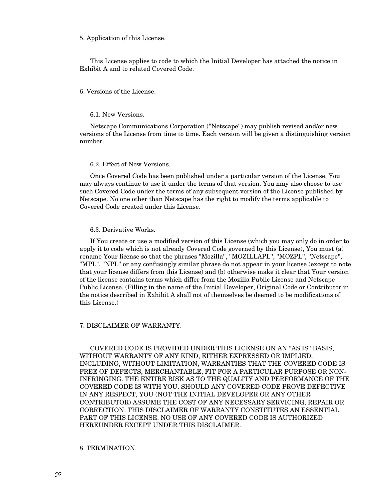5. Application of this License.

 This License applies to code to which the Initial Developer has attached the notice in Exhibit A and to related Covered Code.

### 6. Versions of the License.

#### 6.1. New Versions.

 Netscape Communications Corporation (''Netscape'') may publish revised and/or new versions of the License from time to time. Each version will be given a distinguishing version number.

## 6.2. Effect of New Versions.

 Once Covered Code has been published under a particular version of the License, You may always continue to use it under the terms of that version. You may also choose to use such Covered Code under the terms of any subsequent version of the License published by Netscape. No one other than Netscape has the right to modify the terms applicable to Covered Code created under this License.

### 6.3. Derivative Works.

 If You create or use a modified version of this License (which you may only do in order to apply it to code which is not already Covered Code governed by this License), You must (a) rename Your license so that the phrases ''Mozilla'', ''MOZILLAPL'', ''MOZPL'', ''Netscape'', "MPL", ''NPL'' or any confusingly similar phrase do not appear in your license (except to note that your license differs from this License) and (b) otherwise make it clear that Your version of the license contains terms which differ from the Mozilla Public License and Netscape Public License. (Filling in the name of the Initial Developer, Original Code or Contributor in the notice described in Exhibit A shall not of themselves be deemed to be modifications of this License.)

#### 7. DISCLAIMER OF WARRANTY.

 COVERED CODE IS PROVIDED UNDER THIS LICENSE ON AN "AS IS'' BASIS, WITHOUT WARRANTY OF ANY KIND, EITHER EXPRESSED OR IMPLIED, INCLUDING, WITHOUT LIMITATION, WARRANTIES THAT THE COVERED CODE IS FREE OF DEFECTS, MERCHANTABLE, FIT FOR A PARTICULAR PURPOSE OR NON-INFRINGING. THE ENTIRE RISK AS TO THE QUALITY AND PERFORMANCE OF THE COVERED CODE IS WITH YOU. SHOULD ANY COVERED CODE PROVE DEFECTIVE IN ANY RESPECT, YOU (NOT THE INITIAL DEVELOPER OR ANY OTHER CONTRIBUTOR) ASSUME THE COST OF ANY NECESSARY SERVICING, REPAIR OR CORRECTION. THIS DISCLAIMER OF WARRANTY CONSTITUTES AN ESSENTIAL PART OF THIS LICENSE. NO USE OF ANY COVERED CODE IS AUTHORIZED HEREUNDER EXCEPT UNDER THIS DISCLAIMER.

### 8. TERMINATION.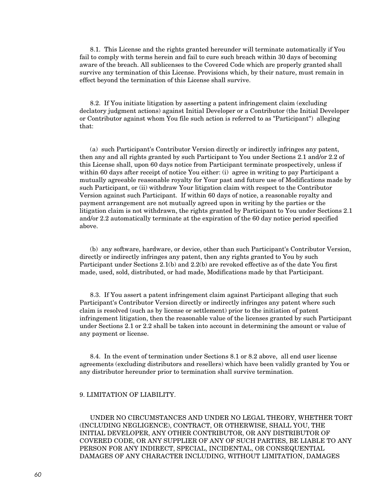8.1. This License and the rights granted hereunder will terminate automatically if You fail to comply with terms herein and fail to cure such breach within 30 days of becoming aware of the breach. All sublicenses to the Covered Code which are properly granted shall survive any termination of this License. Provisions which, by their nature, must remain in effect beyond the termination of this License shall survive.

 8.2. If You initiate litigation by asserting a patent infringement claim (excluding declatory judgment actions) against Initial Developer or a Contributor (the Initial Developer or Contributor against whom You file such action is referred to as "Participant") alleging that:

 (a) such Participant's Contributor Version directly or indirectly infringes any patent, then any and all rights granted by such Participant to You under Sections 2.1 and/or 2.2 of this License shall, upon 60 days notice from Participant terminate prospectively, unless if within 60 days after receipt of notice You either: (i) agree in writing to pay Participant a mutually agreeable reasonable royalty for Your past and future use of Modifications made by such Participant, or (ii) withdraw Your litigation claim with respect to the Contributor Version against such Participant. If within 60 days of notice, a reasonable royalty and payment arrangement are not mutually agreed upon in writing by the parties or the litigation claim is not withdrawn, the rights granted by Participant to You under Sections 2.1 and/or 2.2 automatically terminate at the expiration of the 60 day notice period specified above.

 (b) any software, hardware, or device, other than such Participant's Contributor Version, directly or indirectly infringes any patent, then any rights granted to You by such Participant under Sections 2.1(b) and 2.2(b) are revoked effective as of the date You first made, used, sold, distributed, or had made, Modifications made by that Participant.

 8.3. If You assert a patent infringement claim against Participant alleging that such Participant's Contributor Version directly or indirectly infringes any patent where such claim is resolved (such as by license or settlement) prior to the initiation of patent infringement litigation, then the reasonable value of the licenses granted by such Participant under Sections 2.1 or 2.2 shall be taken into account in determining the amount or value of any payment or license.

 8.4. In the event of termination under Sections 8.1 or 8.2 above, all end user license agreements (excluding distributors and resellers) which have been validly granted by You or any distributor hereunder prior to termination shall survive termination.

### 9. LIMITATION OF LIABILITY.

 UNDER NO CIRCUMSTANCES AND UNDER NO LEGAL THEORY, WHETHER TORT (INCLUDING NEGLIGENCE), CONTRACT, OR OTHERWISE, SHALL YOU, THE INITIAL DEVELOPER, ANY OTHER CONTRIBUTOR, OR ANY DISTRIBUTOR OF COVERED CODE, OR ANY SUPPLIER OF ANY OF SUCH PARTIES, BE LIABLE TO ANY PERSON FOR ANY INDIRECT, SPECIAL, INCIDENTAL, OR CONSEQUENTIAL DAMAGES OF ANY CHARACTER INCLUDING, WITHOUT LIMITATION, DAMAGES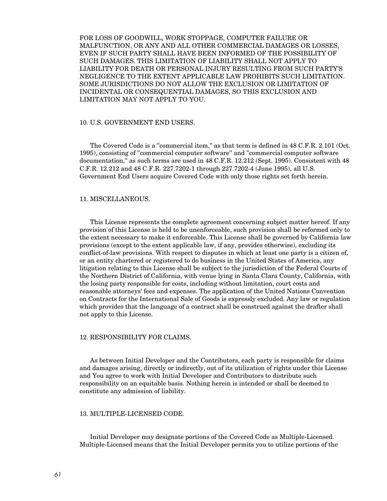FOR LOSS OF GOODWILL, WORK STOPPAGE, COMPUTER FAILURE OR MALFUNCTION, OR ANY AND ALL OTHER COMMERCIAL DAMAGES OR LOSSES, EVEN IF SUCH PARTY SHALL HAVE BEEN INFORMED OF THE POSSIBILITY OF SUCH DAMAGES. THIS LIMITATION OF LIABILITY SHALL NOT APPLY TO LIABILITY FOR DEATH OR PERSONAL INJURY RESULTING FROM SUCH PARTY'S NEGLIGENCE TO THE EXTENT APPLICABLE LAW PROHIBITS SUCH LIMITATION. SOME JURISDICTIONS DO NOT ALLOW THE EXCLUSION OR LIMITATION OF INCIDENTAL OR CONSEQUENTIAL DAMAGES, SO THIS EXCLUSION AND LIMITATION MAY NOT APPLY TO YOU.

### 10. U.S. GOVERNMENT END USERS.

 The Covered Code is a ''commercial item,'' as that term is defined in 48 C.F.R. 2.101 (Oct. 1995), consisting of ''commercial computer software'' and ''commercial computer software documentation,'' as such terms are used in 48 C.F.R. 12.212 (Sept. 1995). Consistent with 48 C.F.R. 12.212 and 48 C.F.R. 227.7202-1 through 227.7202-4 (June 1995), all U.S. Government End Users acquire Covered Code with only those rights set forth herein.

#### 11. MISCELLANEOUS.

 This License represents the complete agreement concerning subject matter hereof. If any provision of this License is held to be unenforceable, such provision shall be reformed only to the extent necessary to make it enforceable. This License shall be governed by California law provisions (except to the extent applicable law, if any, provides otherwise), excluding its conflict-of-law provisions. With respect to disputes in which at least one party is a citizen of, or an entity chartered or registered to do business in the United States of America, any litigation relating to this License shall be subject to the jurisdiction of the Federal Courts of the Northern District of California, with venue lying in Santa Clara County, California, with the losing party responsible for costs, including without limitation, court costs and reasonable attorneys' fees and expenses. The application of the United Nations Convention on Contracts for the International Sale of Goods is expressly excluded. Any law or regulation which provides that the language of a contract shall be construed against the drafter shall not apply to this License.

#### 12. RESPONSIBILITY FOR CLAIMS.

 As between Initial Developer and the Contributors, each party is responsible for claims and damages arising, directly or indirectly, out of its utilization of rights under this License and You agree to work with Initial Developer and Contributors to distribute such responsibility on an equitable basis. Nothing herein is intended or shall be deemed to constitute any admission of liability.

### 13. MULTIPLE-LICENSED CODE.

 Initial Developer may designate portions of the Covered Code as Multiple-Licensed. Multiple-Licensed means that the Initial Developer permits you to utilize portions of the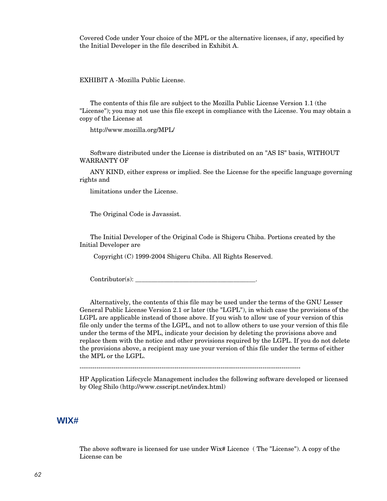Covered Code under Your choice of the MPL or the alternative licenses, if any, specified by the Initial Developer in the file described in Exhibit A.

EXHIBIT A -Mozilla Public License.

 The contents of this file are subject to the Mozilla Public License Version 1.1 (the "License"); you may not use this file except in compliance with the License. You may obtain a copy of the License at

http://www.mozilla.org/MPL/

 Software distributed under the License is distributed on an "AS IS" basis, WITHOUT WARRANTY OF

 ANY KIND, either express or implied. See the License for the specific language governing rights and

limitations under the License.

The Original Code is Javassist.

 The Initial Developer of the Original Code is Shigeru Chiba. Portions created by the Initial Developer are

Copyright (C) 1999-2004 Shigeru Chiba. All Rights Reserved.

 $Contribution(s):$ 

 Alternatively, the contents of this file may be used under the terms of the GNU Lesser General Public License Version 2.1 or later (the "LGPL"), in which case the provisions of the LGPL are applicable instead of those above. If you wish to allow use of your version of this file only under the terms of the LGPL, and not to allow others to use your version of this file under the terms of the MPL, indicate your decision by deleting the provisions above and replace them with the notice and other provisions required by the LGPL. If you do not delete the provisions above, a recipient may use your version of this file under the terms of either the MPL or the LGPL.

---------------------------------------------------------------------------------------------------------

HP Application Lifecycle Management includes the following software developed or licensed by Oleg Shilo (http://www.csscript.net/index.html)

## **WIX#**

The above software is licensed for use under Wix# Licence ( The "License"). A copy of the License can be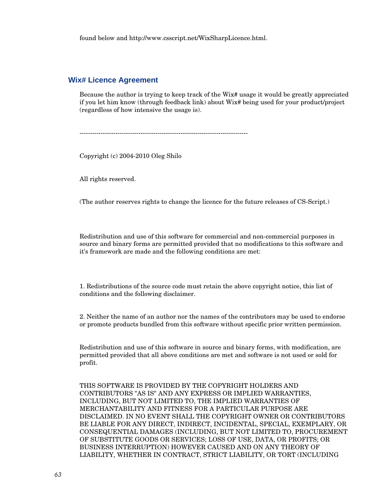found below and [http://www.csscript.net/WixSharpLicence.html.](http://www.csscript.net/WixSharpLicence.html)

## **Wix# Licence Agreement**

Because the author is trying to keep track of the Wix# usage it would be greatly appreciated if you let him know (through feedback link) about Wix# being used for your product/project (regardless of how intensive the usage is).

--------------------------------------------------------------------------------

Copyright (c) 2004-2010 Oleg Shilo

All rights reserved.

(The author reserves rights to change the licence for the future releases of CS-Script.)

Redistribution and use of this software for commercial and non-commercial purposes in source and binary forms are permitted provided that no modifications to this software and it's framework are made and the following conditions are met:

1. Redistributions of the source code must retain the above copyright notice, this list of conditions and the following disclaimer.

2. Neither the name of an author nor the names of the contributors may be used to endorse or promote products bundled from this software without specific prior written permission.

Redistribution and use of this software in source and binary forms, with modification, are permitted provided that all above conditions are met and software is not used or sold for profit.

THIS SOFTWARE IS PROVIDED BY THE COPYRIGHT HOLDERS AND CONTRIBUTORS "AS IS" AND ANY EXPRESS OR IMPLIED WARRANTIES, INCLUDING, BUT NOT LIMITED TO, THE IMPLIED WARRANTIES OF MERCHANTABILITY AND FITNESS FOR A PARTICULAR PURPOSE ARE DISCLAIMED. IN NO EVENT SHALL THE COPYRIGHT OWNER OR CONTRIBUTORS BE LIABLE FOR ANY DIRECT, INDIRECT, INCIDENTAL, SPECIAL, EXEMPLARY, OR CONSEQUENTIAL DAMAGES (INCLUDING, BUT NOT LIMITED TO, PROCUREMENT OF SUBSTITUTE GOODS OR SERVICES; LOSS OF USE, DATA, OR PROFITS; OR BUSINESS INTERRUPTION) HOWEVER CAUSED AND ON ANY THEORY OF LIABILITY, WHETHER IN CONTRACT, STRICT LIABILITY, OR TORT (INCLUDING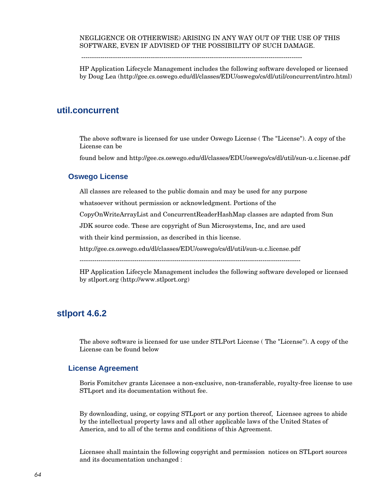## NEGLIGENCE OR OTHERWISE) ARISING IN ANY WAY OUT OF THE USE OF THIS SOFTWARE, EVEN IF ADVISED OF THE POSSIBILITY OF SUCH DAMAGE.

---------------------------------------------------------------------------------------------------------

HP Application Lifecycle Management includes the following software developed or licensed by Doug Lea (http://gee.cs.oswego.edu/dl/classes/EDU/oswego/cs/dl/util/concurrent/intro.html)

# **util.concurrent**

The above software is licensed for use under Oswego License ( The "License"). A copy of the License can be

found below and http://gee.cs.oswego.edu/dl/classes/EDU/oswego/cs/dl/util/sun-u.c.license.pdf

## **Oswego License**

All classes are released to the public domain and may be used for any purpose

whatsoever without permission or acknowledgment. Portions of the

CopyOnWriteArrayList and ConcurrentReaderHashMap classes are adapted from Sun

JDK source code. These are copyright of Sun Microsystems, Inc, and are used

with their kind permission, as described in this license.

http://gee.cs.oswego.edu/dl/classes/EDU/oswego/cs/dl/util/sun-u.c.license.pdf

---------------------------------------------------------------------------------------------------------

HP Application Lifecycle Management includes the following software developed or licensed by stlport.org (http://www.stlport.org)

# **stlport 4.6.2**

The above software is licensed for use under STLPort License ( The "License"). A copy of the License can be found below

## **License Agreement**

Boris Fomitchev grants Licensee a non-exclusive, non-transferable, royalty-free license to use STLport and its documentation without fee.

By downloading, using, or copying STLport or any portion thereof, Licensee agrees to abide by the intellectual property laws and all other applicable laws of the United States of America, and to all of the terms and conditions of this Agreement.

Licensee shall maintain the following copyright and permission notices on STLport sources and its documentation unchanged :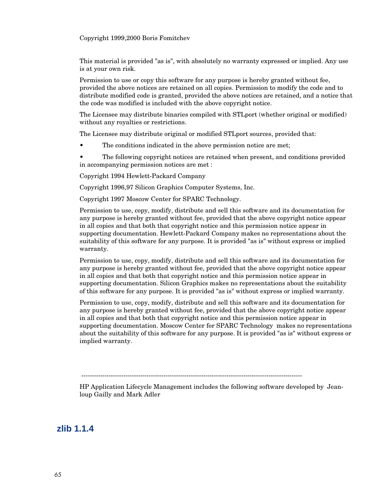Copyright 1999,2000 Boris Fomitchev

This material is provided "as is", with absolutely no warranty expressed or implied. Any use is at your own risk.

Permission to use or copy this software for any purpose is hereby granted without fee, provided the above notices are retained on all copies. Permission to modify the code and to distribute modified code is granted, provided the above notices are retained, and a notice that the code was modified is included with the above copyright notice.

The Licensee may distribute binaries compiled with STLport (whether original or modified) without any royalties or restrictions.

The Licensee may distribute original or modified STLport sources, provided that:

- The conditions indicated in the above permission notice are met;
- The following copyright notices are retained when present, and conditions provided in accompanying permission notices are met :

Copyright 1994 Hewlett-Packard Company

Copyright 1996,97 Silicon Graphics Computer Systems, Inc.

Copyright 1997 Moscow Center for SPARC Technology.

Permission to use, copy, modify, distribute and sell this software and its documentation for any purpose is hereby granted without fee, provided that the above copyright notice appear in all copies and that both that copyright notice and this permission notice appear in supporting documentation. Hewlett-Packard Company makes no representations about the suitability of this software for any purpose. It is provided "as is" without express or implied warranty.

Permission to use, copy, modify, distribute and sell this software and its documentation for any purpose is hereby granted without fee, provided that the above copyright notice appear in all copies and that both that copyright notice and this permission notice appear in supporting documentation. Silicon Graphics makes no representations about the suitability of this software for any purpose. It is provided "as is" without express or implied warranty.

Permission to use, copy, modify, distribute and sell this software and its documentation for any purpose is hereby granted without fee, provided that the above copyright notice appear in all copies and that both that copyright notice and this permission notice appear in supporting documentation. Moscow Center for SPARC Technology makes no representations about the suitability of this software for any purpose. It is provided "as is" without express or implied warranty.

---------------------------------------------------------------------------------------------------------

HP Application Lifecycle Management includes the following software developed by Jeanloup Gailly and Mark Adler

**zlib 1.1.4**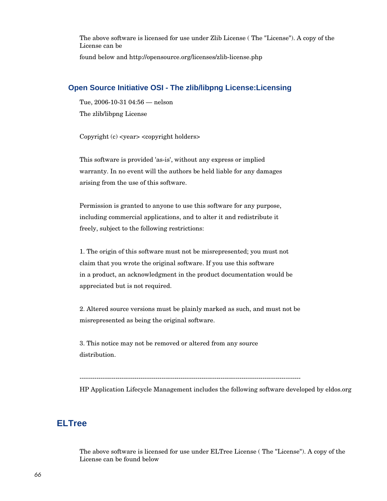The above software is licensed for use under Zlib License ( The "License"). A copy of the License can be

found below and http://opensource.org/licenses/zlib-license.php

## **Open Source Initiative OSI - The zlib/libpng License:Licensing**

Tue, 2006-10-31 04:56 — nelson

The zlib/libpng License

Copyright (c) <year> <copyright holders>

This software is provided 'as-is', without any express or implied warranty. In no event will the authors be held liable for any damages arising from the use of this software.

Permission is granted to anyone to use this software for any purpose, including commercial applications, and to alter it and redistribute it freely, subject to the following restrictions:

1. The origin of this software must not be misrepresented; you must not claim that you wrote the original software. If you use this software in a product, an acknowledgment in the product documentation would be appreciated but is not required.

2. Altered source versions must be plainly marked as such, and must not be misrepresented as being the original software.

3. This notice may not be removed or altered from any source distribution.

---------------------------------------------------------------------------------------------------------

HP Application Lifecycle Management includes the following software developed by eldos.org

# **ELTree**

The above software is licensed for use under ELTree License ( The "License"). A copy of the License can be found below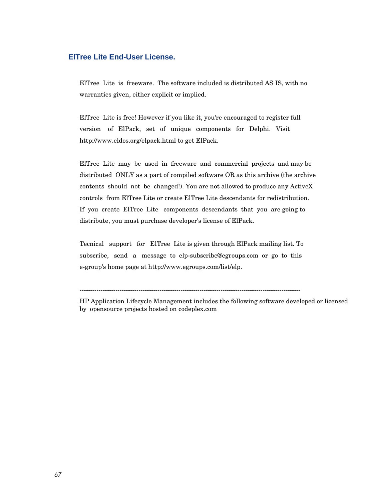## **ElTree Lite End-User License.**

ElTree Lite is freeware. The software included is distributed AS IS, with no warranties given, either explicit or implied.

ElTree Lite is free! However if you like it, you're encouraged to register full version of ElPack, set of unique components for Delphi. Visit http://www.eldos.org/elpack.html to get ElPack.

ElTree Lite may be used in freeware and commercial projects and may be distributed ONLY as a part of compiled software OR as this archive (the archive contents should not be changed!). You are not allowed to produce any ActiveX controls from ElTree Lite or create ElTree Lite descendants for redistribution. If you create ElTree Lite components descendants that you are going to distribute, you must purchase developer's license of ElPack.

Tecnical support for ElTree Lite is given through ElPack mailing list. To subscribe, send a message to elp-subscribe@egroups.com or go to this e-group's home page at http://www.egroups.com/list/elp.

---------------------------------------------------------------------------------------------------------

HP Application Lifecycle Management includes the following software developed or licensed by opensource projects hosted on codeplex.com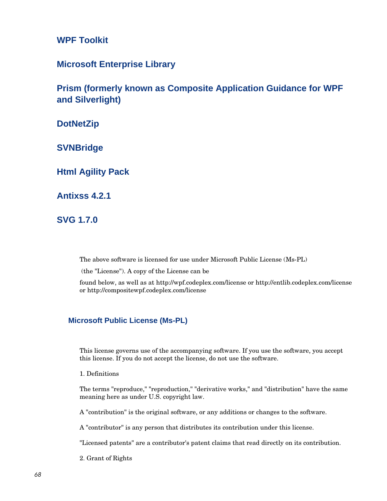**WPF Toolkit**

**Microsoft Enterprise Library**

**Prism (formerly known as Composite Application Guidance for WPF and Silverlight)**

**DotNetZip**

**SVNBridge**

**Html Agility Pack**

**Antixss 4.2.1**

**SVG 1.7.0**

The above software is licensed for use under Microsoft Public License (Ms-PL)

(the "License"). A copy of the License can be

found below, as well as at<http://wpf.codeplex.com/license> or http://entlib.codeplex.com/license or http://compositewpf.codeplex.com/license

## **Microsoft Public License (Ms-PL)**

This license governs use of the accompanying software. If you use the software, you accept this license. If you do not accept the license, do not use the software.

1. Definitions

The terms "reproduce," "reproduction," "derivative works," and "distribution" have the same meaning here as under U.S. copyright law.

A "contribution" is the original software, or any additions or changes to the software.

A "contributor" is any person that distributes its contribution under this license.

"Licensed patents" are a contributor's patent claims that read directly on its contribution.

2. Grant of Rights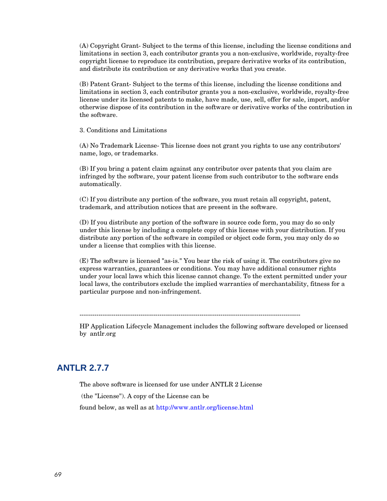(A) Copyright Grant- Subject to the terms of this license, including the license conditions and limitations in section 3, each contributor grants you a non-exclusive, worldwide, royalty-free copyright license to reproduce its contribution, prepare derivative works of its contribution, and distribute its contribution or any derivative works that you create.

(B) Patent Grant- Subject to the terms of this license, including the license conditions and limitations in section 3, each contributor grants you a non-exclusive, worldwide, royalty-free license under its licensed patents to make, have made, use, sell, offer for sale, import, and/or otherwise dispose of its contribution in the software or derivative works of the contribution in the software.

3. Conditions and Limitations

(A) No Trademark License- This license does not grant you rights to use any contributors' name, logo, or trademarks.

(B) If you bring a patent claim against any contributor over patents that you claim are infringed by the software, your patent license from such contributor to the software ends automatically.

(C) If you distribute any portion of the software, you must retain all copyright, patent, trademark, and attribution notices that are present in the software.

(D) If you distribute any portion of the software in source code form, you may do so only under this license by including a complete copy of this license with your distribution. If you distribute any portion of the software in compiled or object code form, you may only do so under a license that complies with this license.

(E) The software is licensed "as-is." You bear the risk of using it. The contributors give no express warranties, guarantees or conditions. You may have additional consumer rights under your local laws which this license cannot change. To the extent permitted under your local laws, the contributors exclude the implied warranties of merchantability, fitness for a particular purpose and non-infringement.

---------------------------------------------------------------------------------------------------------

HP Application Lifecycle Management includes the following software developed or licensed by antlr.org

# **ANTLR 2.7.7**

The above software is licensed for use under ANTLR 2 License

(the "License"). A copy of the License can be

found below, as well as at <http://www.antlr.org/license.html>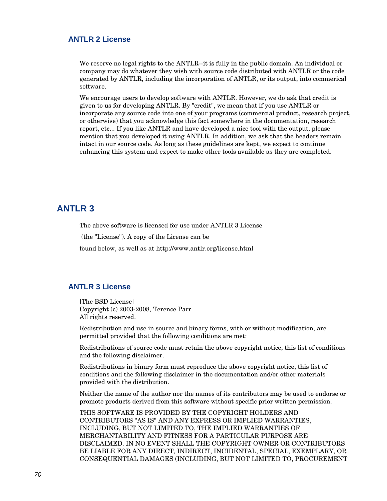## **ANTLR 2 License**

We reserve no legal rights to the ANTLR--it is fully in the public domain. An individual or company may do whatever they wish with source code distributed with ANTLR or the code generated by ANTLR, including the incorporation of ANTLR, or its output, into commerical software.

We encourage users to develop software with ANTLR. However, we do ask that credit is given to us for developing ANTLR. By "credit", we mean that if you use ANTLR or incorporate any source code into one of your programs (commercial product, research project, or otherwise) that you acknowledge this fact somewhere in the documentation, research report, etc... If you like ANTLR and have developed a nice tool with the output, please mention that you developed it using ANTLR. In addition, we ask that the headers remain intact in our source code. As long as these guidelines are kept, we expect to continue enhancing this system and expect to make other tools available as they are completed.

# **ANTLR 3**

The above software is licensed for use under ANTLR 3 License

(the "License"). A copy of the License can be

found below, as well as at http://www.antlr.org/license.html

## **ANTLR 3 License**

[The BSD License] Copyright (c) 2003-2008, Terence Parr All rights reserved.

Redistribution and use in source and binary forms, with or without modification, are permitted provided that the following conditions are met:

Redistributions of source code must retain the above copyright notice, this list of conditions and the following disclaimer.

Redistributions in binary form must reproduce the above copyright notice, this list of conditions and the following disclaimer in the documentation and/or other materials provided with the distribution.

Neither the name of the author nor the names of its contributors may be used to endorse or promote products derived from this software without specific prior written permission.

THIS SOFTWARE IS PROVIDED BY THE COPYRIGHT HOLDERS AND CONTRIBUTORS "AS IS" AND ANY EXPRESS OR IMPLIED WARRANTIES, INCLUDING, BUT NOT LIMITED TO, THE IMPLIED WARRANTIES OF MERCHANTABILITY AND FITNESS FOR A PARTICULAR PURPOSE ARE DISCLAIMED. IN NO EVENT SHALL THE COPYRIGHT OWNER OR CONTRIBUTORS BE LIABLE FOR ANY DIRECT, INDIRECT, INCIDENTAL, SPECIAL, EXEMPLARY, OR CONSEQUENTIAL DAMAGES (INCLUDING, BUT NOT LIMITED TO, PROCUREMENT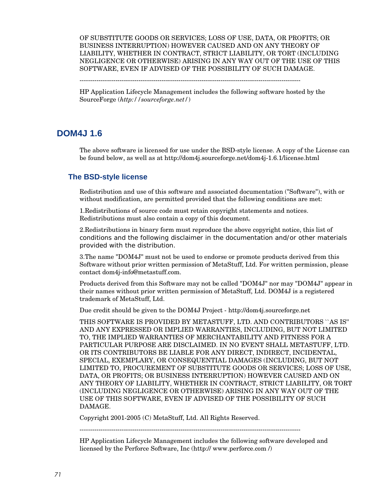OF SUBSTITUTE GOODS OR SERVICES; LOSS OF USE, DATA, OR PROFITS; OR BUSINESS INTERRUPTION) HOWEVER CAUSED AND ON ANY THEORY OF LIABILITY, WHETHER IN CONTRACT, STRICT LIABILITY, OR TORT (INCLUDING NEGLIGENCE OR OTHERWISE) ARISING IN ANY WAY OUT OF THE USE OF THIS SOFTWARE, EVEN IF ADVISED OF THE POSSIBILITY OF SUCH DAMAGE.

---------------------------------------------------------------------------------------------------------

HP Application Lifecycle Management includes the following software hosted by the SourceForge (*<http://sourceforge.net/>*)

# **DOM4J 1.6**

The above software is licensed for use under the BSD-style license. A copy of the License can be found below, as well as at http://dom4j.sourceforge.net/dom4j-1.6.1/license.html

## **The BSD-style license**

Redistribution and use of this software and associated documentation ("Software"), with or without modification, are permitted provided that the following conditions are met:

1.Redistributions of source code must retain copyright statements and notices. Redistributions must also contain a copy of this document.

2.Redistributions in binary form must reproduce the above copyright notice, this list of conditions and the following disclaimer in the documentation and/or other materials provided with the distribution.

3.The name "DOM4J" must not be used to endorse or promote products derived from this Software without prior written permission of MetaStuff, Ltd. For written permission, please contact dom4j-info@metastuff.com.

Products derived from this Software may not be called "DOM4J" nor may "DOM4J" appear in their names without prior written permission of MetaStuff, Ltd. DOM4J is a registered trademark of MetaStuff, Ltd.

Due credit should be given to the DOM4J Project - http://dom4j.sourceforge.net

THIS SOFTWARE IS PROVIDED BY METASTUFF, LTD. AND CONTRIBUTORS ``AS IS'' AND ANY EXPRESSED OR IMPLIED WARRANTIES, INCLUDING, BUT NOT LIMITED TO, THE IMPLIED WARRANTIES OF MERCHANTABILITY AND FITNESS FOR A PARTICULAR PURPOSE ARE DISCLAIMED. IN NO EVENT SHALL METASTUFF, LTD. OR ITS CONTRIBUTORS BE LIABLE FOR ANY DIRECT, INDIRECT, INCIDENTAL, SPECIAL, EXEMPLARY, OR CONSEQUENTIAL DAMAGES (INCLUDING, BUT NOT LIMITED TO, PROCUREMENT OF SUBSTITUTE GOODS OR SERVICES; LOSS OF USE, DATA, OR PROFITS; OR BUSINESS INTERRUPTION) HOWEVER CAUSED AND ON ANY THEORY OF LIABILITY, WHETHER IN CONTRACT, STRICT LIABILITY, OR TORT (INCLUDING NEGLIGENCE OR OTHERWISE) ARISING IN ANY WAY OUT OF THE USE OF THIS SOFTWARE, EVEN IF ADVISED OF THE POSSIBILITY OF SUCH DAMAGE.

Copyright 2001-2005 (C) MetaStuff, Ltd. All Rights Reserved.

---------------------------------------------------------------------------------------------------------

HP Application Lifecycle Management includes the following software developed and licensed by the Perforce Software, Inc [\(http:// www.perforce.com /\)](http://sourceforge.net/)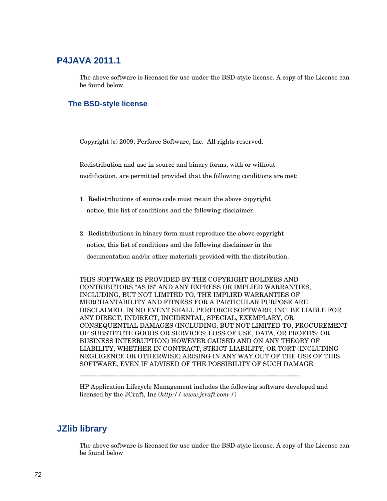# **P4JAVA 2011.1**

The above software is licensed for use under the BSD-style license. A copy of the License can be found below

## **The BSD-style license**

Copyright (c) 2009, Perforce Software, Inc. All rights reserved.

Redistribution and use in source and binary forms, with or without modification, are permitted provided that the following conditions are met:

- 1. Redistributions of source code must retain the above copyright notice, this list of conditions and the following disclaimer.
- 2. Redistributions in binary form must reproduce the above copyright notice, this list of conditions and the following disclaimer in the documentation and/or other materials provided with the distribution.

THIS SOFTWARE IS PROVIDED BY THE COPYRIGHT HOLDERS AND CONTRIBUTORS "AS IS" AND ANY EXPRESS OR IMPLIED WARRANTIES, INCLUDING, BUT NOT LIMITED TO, THE IMPLIED WARRANTIES OF MERCHANTABILITY AND FITNESS FOR A PARTICULAR PURPOSE ARE DISCLAIMED. IN NO EVENT SHALL PERFORCE SOFTWARE, INC. BE LIABLE FOR ANY DIRECT, INDIRECT, INCIDENTAL, SPECIAL, EXEMPLARY, OR CONSEQUENTIAL DAMAGES (INCLUDING, BUT NOT LIMITED TO, PROCUREMENT OF SUBSTITUTE GOODS OR SERVICES; LOSS OF USE, DATA, OR PROFITS; OR BUSINESS INTERRUPTION) HOWEVER CAUSED AND ON ANY THEORY OF LIABILITY, WHETHER IN CONTRACT, STRICT LIABILITY, OR TORT (INCLUDING NEGLIGENCE OR OTHERWISE) ARISING IN ANY WAY OUT OF THE USE OF THIS SOFTWARE, EVEN IF ADVISED OF THE POSSIBILITY OF SUCH DAMAGE.

HP Application Lifecycle Management includes the following software developed and licensed by the JCraft, Inc (*http:// www.jcraft.com /*)

# **JZlib library**

The above software is licensed for use under the BSD-style license. A copy of the License can be found below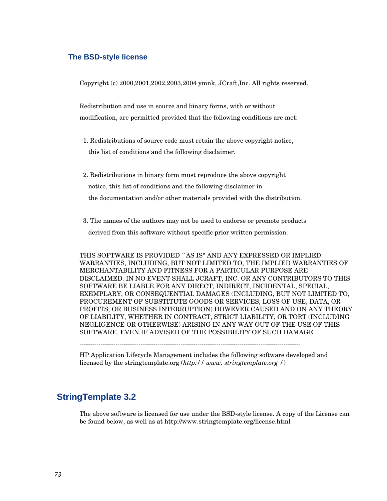#### **The BSD-style license**

Copyright (c) 2000,2001,2002,2003,2004 ymnk, JCraft,Inc. All rights reserved.

Redistribution and use in source and binary forms, with or without modification, are permitted provided that the following conditions are met:

- 1. Redistributions of source code must retain the above copyright notice, this list of conditions and the following disclaimer.
- 2. Redistributions in binary form must reproduce the above copyright notice, this list of conditions and the following disclaimer in the documentation and/or other materials provided with the distribution.
- 3. The names of the authors may not be used to endorse or promote products

derived from this software without specific prior written permission.

THIS SOFTWARE IS PROVIDED ``AS IS'' AND ANY EXPRESSED OR IMPLIED WARRANTIES, INCLUDING, BUT NOT LIMITED TO, THE IMPLIED WARRANTIES OF MERCHANTABILITY AND FITNESS FOR A PARTICULAR PURPOSE ARE DISCLAIMED. IN NO EVENT SHALL JCRAFT, INC. OR ANY CONTRIBUTORS TO THIS SOFTWARE BE LIABLE FOR ANY DIRECT, INDIRECT, INCIDENTAL, SPECIAL, EXEMPLARY, OR CONSEQUENTIAL DAMAGES (INCLUDING, BUT NOT LIMITED TO, PROCUREMENT OF SUBSTITUTE GOODS OR SERVICES; LOSS OF USE, DATA, OR PROFITS; OR BUSINESS INTERRUPTION) HOWEVER CAUSED AND ON ANY THEORY OF LIABILITY, WHETHER IN CONTRACT, STRICT LIABILITY, OR TORT (INCLUDING NEGLIGENCE OR OTHERWISE) ARISING IN ANY WAY OUT OF THE USE OF THIS SOFTWARE, EVEN IF ADVISED OF THE POSSIBILITY OF SUCH DAMAGE.

---------------------------------------------------------------------------------------------------------

HP Application Lifecycle Management includes the following software developed and licensed by the stringtemplate.org (*http:// www. stringtemplate.org /*)

# **StringTemplate 3.2**

The above software is licensed for use under the BSD-style license. A copy of the License can be found below, as well as at http://www.stringtemplate.org/license.html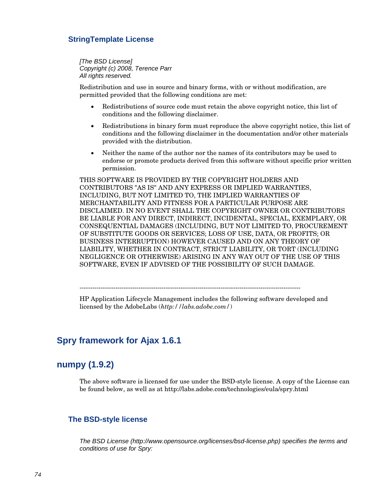#### **StringTemplate License**

*[The BSD License] Copyright (c) 2008, Terence Parr All rights reserved.* 

Redistribution and use in source and binary forms, with or without modification, are permitted provided that the following conditions are met:

- Redistributions of source code must retain the above copyright notice, this list of conditions and the following disclaimer.
- Redistributions in binary form must reproduce the above copyright notice, this list of conditions and the following disclaimer in the documentation and/or other materials provided with the distribution.
- Neither the name of the author nor the names of its contributors may be used to endorse or promote products derived from this software without specific prior written permission.

THIS SOFTWARE IS PROVIDED BY THE COPYRIGHT HOLDERS AND CONTRIBUTORS "AS IS" AND ANY EXPRESS OR IMPLIED WARRANTIES, INCLUDING, BUT NOT LIMITED TO, THE IMPLIED WARRANTIES OF MERCHANTABILITY AND FITNESS FOR A PARTICULAR PURPOSE ARE DISCLAIMED. IN NO EVENT SHALL THE COPYRIGHT OWNER OR CONTRIBUTORS BE LIABLE FOR ANY DIRECT, INDIRECT, INCIDENTAL, SPECIAL, EXEMPLARY, OR CONSEQUENTIAL DAMAGES (INCLUDING, BUT NOT LIMITED TO, PROCUREMENT OF SUBSTITUTE GOODS OR SERVICES; LOSS OF USE, DATA, OR PROFITS; OR BUSINESS INTERRUPTION) HOWEVER CAUSED AND ON ANY THEORY OF LIABILITY, WHETHER IN CONTRACT, STRICT LIABILITY, OR TORT (INCLUDING NEGLIGENCE OR OTHERWISE) ARISING IN ANY WAY OUT OF THE USE OF THIS SOFTWARE, EVEN IF ADVISED OF THE POSSIBILITY OF SUCH DAMAGE.

---------------------------------------------------------------------------------------------------------

HP Application Lifecycle Management includes the following software developed and licensed by the AdobeLabs (*http://labs.adobe.com/*)

# **Spry framework for Ajax 1.6.1**

#### **numpy (1.9.2)**

The above software is licensed for use under the BSD-style license. A copy of the License can be found below, as well as at http://labs.adobe.com/technologies/eula/spry.html

#### **The BSD-style license**

*The BSD License [\(http://www.opensource.org/licenses/bsd-license.php\)](http://www.opensource.org/licenses/bsd-license.php) specifies the terms and conditions of use for Spry:*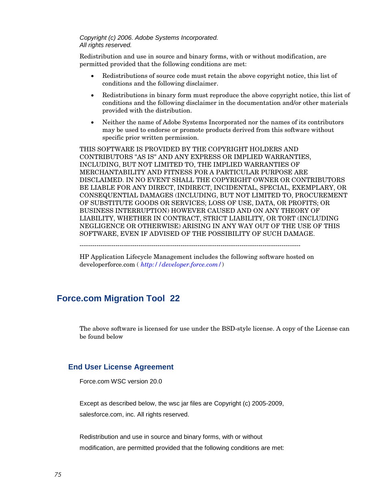#### *Copyright (c) 2006. Adobe Systems Incorporated. All rights reserved.*

Redistribution and use in source and binary forms, with or without modification, are permitted provided that the following conditions are met:

- Redistributions of source code must retain the above copyright notice, this list of conditions and the following disclaimer.
- Redistributions in binary form must reproduce the above copyright notice, this list of conditions and the following disclaimer in the documentation and/or other materials provided with the distribution.
- Neither the name of Adobe Systems Incorporated nor the names of its contributors may be used to endorse or promote products derived from this software without specific prior written permission.

THIS SOFTWARE IS PROVIDED BY THE COPYRIGHT HOLDERS AND CONTRIBUTORS "AS IS" AND ANY EXPRESS OR IMPLIED WARRANTIES, INCLUDING, BUT NOT LIMITED TO, THE IMPLIED WARRANTIES OF MERCHANTABILITY AND FITNESS FOR A PARTICULAR PURPOSE ARE DISCLAIMED. IN NO EVENT SHALL THE COPYRIGHT OWNER OR CONTRIBUTORS BE LIABLE FOR ANY DIRECT, INDIRECT, INCIDENTAL, SPECIAL, EXEMPLARY, OR CONSEQUENTIAL DAMAGES (INCLUDING, BUT NOT LIMITED TO, PROCUREMENT OF SUBSTITUTE GOODS OR SERVICES; LOSS OF USE, DATA, OR PROFITS; OR BUSINESS INTERRUPTION) HOWEVER CAUSED AND ON ANY THEORY OF LIABILITY, WHETHER IN CONTRACT, STRICT LIABILITY, OR TORT (INCLUDING NEGLIGENCE OR OTHERWISE) ARISING IN ANY WAY OUT OF THE USE OF THIS SOFTWARE, EVEN IF ADVISED OF THE POSSIBILITY OF SUCH DAMAGE.

---------------------------------------------------------------------------------------------------------

HP Application Lifecycle Management includes the following software hosted on developerforce.com ( *<http://developer.force.com/>*)

# **Force.com Migration Tool 22**

The above software is licensed for use under the BSD-style license. A copy of the License can be found below

#### **End User License Agreement**

Force.com WSC version 20.0

Except as described below, the wsc jar files are Copyright (c) 2005-2009, salesforce.com, inc. All rights reserved.

Redistribution and use in source and binary forms, with or without modification, are permitted provided that the following conditions are met: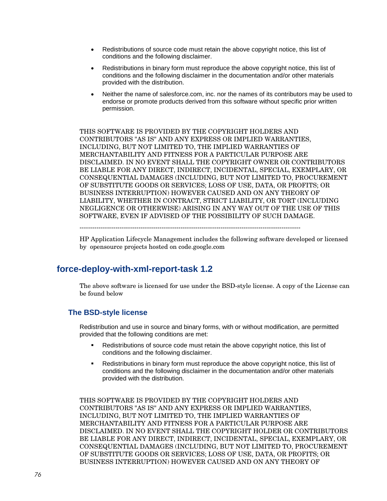- Redistributions of source code must retain the above copyright notice, this list of conditions and the following disclaimer.
- Redistributions in binary form must reproduce the above copyright notice, this list of conditions and the following disclaimer in the documentation and/or other materials provided with the distribution.
- Neither the name of salesforce.com, inc. nor the names of its contributors may be used to endorse or promote products derived from this software without specific prior written permission.

THIS SOFTWARE IS PROVIDED BY THE COPYRIGHT HOLDERS AND CONTRIBUTORS "AS IS" AND ANY EXPRESS OR IMPLIED WARRANTIES, INCLUDING, BUT NOT LIMITED TO, THE IMPLIED WARRANTIES OF MERCHANTABILITY AND FITNESS FOR A PARTICULAR PURPOSE ARE DISCLAIMED. IN NO EVENT SHALL THE COPYRIGHT OWNER OR CONTRIBUTORS BE LIABLE FOR ANY DIRECT, INDIRECT, INCIDENTAL, SPECIAL, EXEMPLARY, OR CONSEQUENTIAL DAMAGES (INCLUDING, BUT NOT LIMITED TO, PROCUREMENT OF SUBSTITUTE GOODS OR SERVICES; LOSS OF USE, DATA, OR PROFITS; OR BUSINESS INTERRUPTION) HOWEVER CAUSED AND ON ANY THEORY OF LIABILITY, WHETHER IN CONTRACT, STRICT LIABILITY, OR TORT (INCLUDING NEGLIGENCE OR OTHERWISE) ARISING IN ANY WAY OUT OF THE USE OF THIS SOFTWARE, EVEN IF ADVISED OF THE POSSIBILITY OF SUCH DAMAGE.

---------------------------------------------------------------------------------------------------------

HP Application Lifecycle Management includes the following software developed or licensed by opensource projects hosted on code.google.com

# **[force-deploy-with-xml-report-task](http://code.google.com/p/force-deploy-with-xml-report-task/) 1.2**

The above software is licensed for use under the BSD-style license. A copy of the License can be found below

#### **The BSD-style license**

Redistribution and use in source and binary forms, with or without modification, are permitted provided that the following conditions are met:

- **Redistributions of source code must retain the above copyright notice, this list of** conditions and the following disclaimer.
- Redistributions in binary form must reproduce the above copyright notice, this list of conditions and the following disclaimer in the documentation and/or other materials provided with the distribution.

THIS SOFTWARE IS PROVIDED BY THE COPYRIGHT HOLDERS AND CONTRIBUTORS "AS IS" AND ANY EXPRESS OR IMPLIED WARRANTIES, INCLUDING, BUT NOT LIMITED TO, THE IMPLIED WARRANTIES OF MERCHANTABILITY AND FITNESS FOR A PARTICULAR PURPOSE ARE DISCLAIMED. IN NO EVENT SHALL THE COPYRIGHT HOLDER OR CONTRIBUTORS BE LIABLE FOR ANY DIRECT, INDIRECT, INCIDENTAL, SPECIAL, EXEMPLARY, OR CONSEQUENTIAL DAMAGES (INCLUDING, BUT NOT LIMITED TO, PROCUREMENT OF SUBSTITUTE GOODS OR SERVICES; LOSS OF USE, DATA, OR PROFITS; OR BUSINESS INTERRUPTION) HOWEVER CAUSED AND ON ANY THEORY OF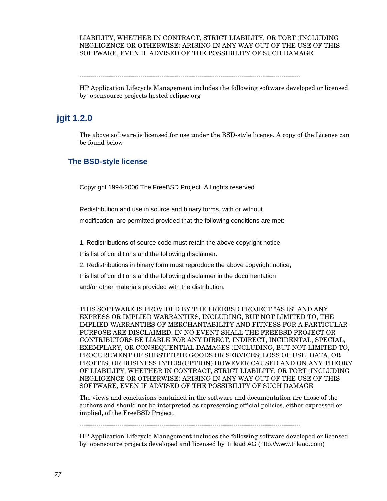#### LIABILITY, WHETHER IN CONTRACT, STRICT LIABILITY, OR TORT (INCLUDING NEGLIGENCE OR OTHERWISE) ARISING IN ANY WAY OUT OF THE USE OF THIS SOFTWARE, EVEN IF ADVISED OF THE POSSIBILITY OF SUCH DAMAGE

---------------------------------------------------------------------------------------------------------

HP Application Lifecycle Management includes the following software developed or licensed by opensource projects hosted eclipse.org

## **[jgit](http://code.google.com/p/force-deploy-with-xml-report-task/) 1.2.0**

The above software is licensed for use under the BSD-style license. A copy of the License can be found below

#### **The BSD-style license**

Copyright 1994-2006 The FreeBSD Project. All rights reserved.

Redistribution and use in source and binary forms, with or without modification, are permitted provided that the following conditions are met:

1. Redistributions of source code must retain the above copyright notice,

this list of conditions and the following disclaimer.

2. Redistributions in binary form must reproduce the above copyright notice,

this list of conditions and the following disclaimer in the documentation

and/or other materials provided with the distribution.

THIS SOFTWARE IS PROVIDED BY THE FREEBSD PROJECT ''AS IS'' AND ANY EXPRESS OR IMPLIED WARRANTIES, INCLUDING, BUT NOT LIMITED TO, THE IMPLIED WARRANTIES OF MERCHANTABILITY AND FITNESS FOR A PARTICULAR PURPOSE ARE DISCLAIMED. IN NO EVENT SHALL THE FREEBSD PROJECT OR CONTRIBUTORS BE LIABLE FOR ANY DIRECT, INDIRECT, INCIDENTAL, SPECIAL, EXEMPLARY, OR CONSEQUENTIAL DAMAGES (INCLUDING, BUT NOT LIMITED TO, PROCUREMENT OF SUBSTITUTE GOODS OR SERVICES; LOSS OF USE, DATA, OR PROFITS; OR BUSINESS INTERRUPTION) HOWEVER CAUSED AND ON ANY THEORY OF LIABILITY, WHETHER IN CONTRACT, STRICT LIABILITY, OR TORT (INCLUDING NEGLIGENCE OR OTHERWISE) ARISING IN ANY WAY OUT OF THE USE OF THIS SOFTWARE, EVEN IF ADVISED OF THE POSSIBILITY OF SUCH DAMAGE.

The views and conclusions contained in the software and documentation are those of the authors and should not be interpreted as representing official policies, either expressed or implied, of the FreeBSD Project.

---------------------------------------------------------------------------------------------------------

HP Application Lifecycle Management includes the following software developed or licensed by opensource projects developed and licensed by Trilead AG (http://www.trilead.com)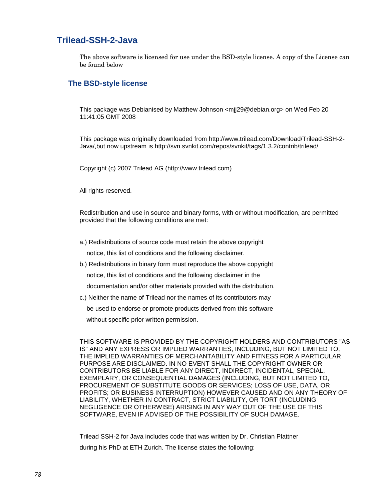## **Trilead-SSH-2-Java**

The above software is licensed for use under the BSD-style license. A copy of the License can be found below

#### **The BSD-style license**

This package was Debianised by Matthew Johnson <mjj29@debian.org> on Wed Feb 20 11:41:05 GMT 2008

This package was originally downloaded from http://www.trilead.com/Download/Trilead-SSH-2- Java/,but now upstream is http://svn.svnkit.com/repos/svnkit/tags/1.3.2/contrib/trilead/

Copyright (c) 2007 Trilead AG (http://www.trilead.com)

All rights reserved.

Redistribution and use in source and binary forms, with or without modification, are permitted provided that the following conditions are met:

- a.) Redistributions of source code must retain the above copyright notice, this list of conditions and the following disclaimer.
- b.) Redistributions in binary form must reproduce the above copyright notice, this list of conditions and the following disclaimer in the documentation and/or other materials provided with the distribution.
- c.) Neither the name of Trilead nor the names of its contributors may be used to endorse or promote products derived from this software

without specific prior written permission.

THIS SOFTWARE IS PROVIDED BY THE COPYRIGHT HOLDERS AND CONTRIBUTORS "AS IS" AND ANY EXPRESS OR IMPLIED WARRANTIES, INCLUDING, BUT NOT LIMITED TO, THE IMPLIED WARRANTIES OF MERCHANTABILITY AND FITNESS FOR A PARTICULAR PURPOSE ARE DISCLAIMED. IN NO EVENT SHALL THE COPYRIGHT OWNER OR CONTRIBUTORS BE LIABLE FOR ANY DIRECT, INDIRECT, INCIDENTAL, SPECIAL, EXEMPLARY, OR CONSEQUENTIAL DAMAGES (INCLUDING, BUT NOT LIMITED TO, PROCUREMENT OF SUBSTITUTE GOODS OR SERVICES; LOSS OF USE, DATA, OR PROFITS; OR BUSINESS INTERRUPTION) HOWEVER CAUSED AND ON ANY THEORY OF LIABILITY, WHETHER IN CONTRACT, STRICT LIABILITY, OR TORT (INCLUDING NEGLIGENCE OR OTHERWISE) ARISING IN ANY WAY OUT OF THE USE OF THIS SOFTWARE, EVEN IF ADVISED OF THE POSSIBILITY OF SUCH DAMAGE.

Trilead SSH-2 for Java includes code that was written by Dr. Christian Plattner during his PhD at ETH Zurich. The license states the following: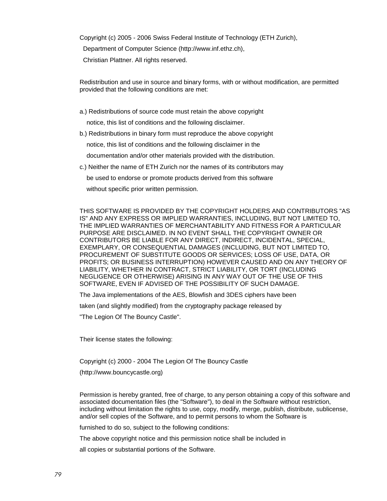Copyright (c) 2005 - 2006 Swiss Federal Institute of Technology (ETH Zurich), Department of Computer Science (http://www.inf.ethz.ch), Christian Plattner. All rights reserved.

Redistribution and use in source and binary forms, with or without modification, are permitted provided that the following conditions are met:

a.) Redistributions of source code must retain the above copyright

notice, this list of conditions and the following disclaimer.

b.) Redistributions in binary form must reproduce the above copyright

notice, this list of conditions and the following disclaimer in the

documentation and/or other materials provided with the distribution.

c.) Neither the name of ETH Zurich nor the names of its contributors may

be used to endorse or promote products derived from this software

without specific prior written permission.

THIS SOFTWARE IS PROVIDED BY THE COPYRIGHT HOLDERS AND CONTRIBUTORS "AS IS" AND ANY EXPRESS OR IMPLIED WARRANTIES, INCLUDING, BUT NOT LIMITED TO, THE IMPLIED WARRANTIES OF MERCHANTABILITY AND FITNESS FOR A PARTICULAR PURPOSE ARE DISCLAIMED. IN NO EVENT SHALL THE COPYRIGHT OWNER OR CONTRIBUTORS BE LIABLE FOR ANY DIRECT, INDIRECT, INCIDENTAL, SPECIAL, EXEMPLARY, OR CONSEQUENTIAL DAMAGES (INCLUDING, BUT NOT LIMITED TO, PROCUREMENT OF SUBSTITUTE GOODS OR SERVICES; LOSS OF USE, DATA, OR PROFITS; OR BUSINESS INTERRUPTION) HOWEVER CAUSED AND ON ANY THEORY OF LIABILITY, WHETHER IN CONTRACT, STRICT LIABILITY, OR TORT (INCLUDING NEGLIGENCE OR OTHERWISE) ARISING IN ANY WAY OUT OF THE USE OF THIS SOFTWARE, EVEN IF ADVISED OF THE POSSIBILITY OF SUCH DAMAGE.

The Java implementations of the AES, Blowfish and 3DES ciphers have been

taken (and slightly modified) from the cryptography package released by

"The Legion Of The Bouncy Castle".

Their license states the following:

Copyright (c) 2000 - 2004 The Legion Of The Bouncy Castle

(http://www.bouncycastle.org)

Permission is hereby granted, free of charge, to any person obtaining a copy of this software and associated documentation files (the "Software"), to deal in the Software without restriction, including without limitation the rights to use, copy, modify, merge, publish, distribute, sublicense, and/or sell copies of the Software, and to permit persons to whom the Software is

furnished to do so, subject to the following conditions:

The above copyright notice and this permission notice shall be included in

all copies or substantial portions of the Software.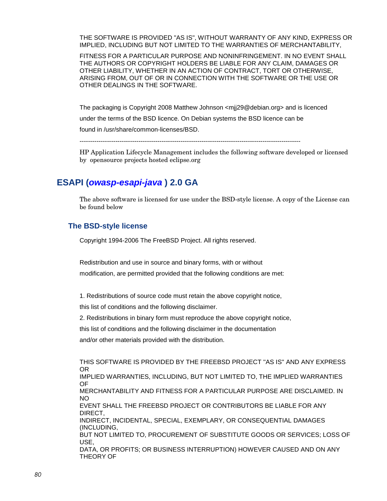THE SOFTWARE IS PROVIDED "AS IS", WITHOUT WARRANTY OF ANY KIND, EXPRESS OR IMPLIED, INCLUDING BUT NOT LIMITED TO THE WARRANTIES OF MERCHANTABILITY,

FITNESS FOR A PARTICULAR PURPOSE AND NONINFRINGEMENT. IN NO EVENT SHALL THE AUTHORS OR COPYRIGHT HOLDERS BE LIABLE FOR ANY CLAIM, DAMAGES OR OTHER LIABILITY, WHETHER IN AN ACTION OF CONTRACT, TORT OR OTHERWISE, ARISING FROM, OUT OF OR IN CONNECTION WITH THE SOFTWARE OR THE USE OR OTHER DEALINGS IN THE SOFTWARE.

The packaging is Copyright 2008 Matthew Johnson <mjj29@debian.org> and is licenced under the terms of the BSD licence. On Debian systems the BSD licence can be found in /usr/share/common-licenses/BSD.

---------------------------------------------------------------------------------------------------------

HP Application Lifecycle Management includes the following software developed or licensed by opensource projects hosted eclipse.org

# **ESAPI (***[owasp-esapi-java](http://code.google.com/p/owasp-esapi-java/)* **) 2.0 GA**

The above software is licensed for use under the BSD-style license. A copy of the License can be found below

#### **The BSD-style license**

Copyright 1994-2006 The FreeBSD Project. All rights reserved.

Redistribution and use in source and binary forms, with or without modification, are permitted provided that the following conditions are met:

1. Redistributions of source code must retain the above copyright notice,

this list of conditions and the following disclaimer.

2. Redistributions in binary form must reproduce the above copyright notice,

this list of conditions and the following disclaimer in the documentation

and/or other materials provided with the distribution.

THIS SOFTWARE IS PROVIDED BY THE FREEBSD PROJECT ''AS IS'' AND ANY EXPRESS OR IMPLIED WARRANTIES, INCLUDING, BUT NOT LIMITED TO, THE IMPLIED WARRANTIES OF MERCHANTABILITY AND FITNESS FOR A PARTICULAR PURPOSE ARE DISCLAIMED. IN NO EVENT SHALL THE FREEBSD PROJECT OR CONTRIBUTORS BE LIABLE FOR ANY DIRECT, INDIRECT, INCIDENTAL, SPECIAL, EXEMPLARY, OR CONSEQUENTIAL DAMAGES (INCLUDING, BUT NOT LIMITED TO, PROCUREMENT OF SUBSTITUTE GOODS OR SERVICES; LOSS OF USE, DATA, OR PROFITS; OR BUSINESS INTERRUPTION) HOWEVER CAUSED AND ON ANY THEORY OF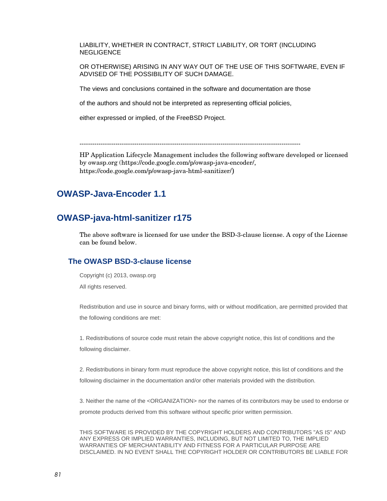LIABILITY, WHETHER IN CONTRACT, STRICT LIABILITY, OR TORT (INCLUDING **NEGLIGENCE** 

OR OTHERWISE) ARISING IN ANY WAY OUT OF THE USE OF THIS SOFTWARE, EVEN IF ADVISED OF THE POSSIBILITY OF SUCH DAMAGE.

The views and conclusions contained in the software and documentation are those

of the authors and should not be interpreted as representing official policies,

either expressed or implied, of the FreeBSD Project.

---------------------------------------------------------------------------------------------------------

HP Application Lifecycle Management includes the following software developed or licensed by owasp.org [\(https://code.google.com/p/owasp-java-encoder/,](https://code.google.com/p/owasp-java-encoder/) https://code.google.com/p/owasp-java-html-sanitizer/)

# **OWASP-Java-Encoder 1.1**

## **OWASP-java-html-sanitizer r175**

The above software is licensed for use under the BSD-3-clause license. A copy of the License can be found below.

#### **The OWASP BSD-3-clause license**

Copyright (c) 2013, owasp.org All rights reserved.

Redistribution and use in source and binary forms, with or without modification, are permitted provided that the following conditions are met:

1. Redistributions of source code must retain the above copyright notice, this list of conditions and the following disclaimer.

2. Redistributions in binary form must reproduce the above copyright notice, this list of conditions and the following disclaimer in the documentation and/or other materials provided with the distribution.

3. Neither the name of the <ORGANIZATION> nor the names of its contributors may be used to endorse or promote products derived from this software without specific prior written permission.

THIS SOFTWARE IS PROVIDED BY THE COPYRIGHT HOLDERS AND CONTRIBUTORS "AS IS" AND ANY EXPRESS OR IMPLIED WARRANTIES, INCLUDING, BUT NOT LIMITED TO, THE IMPLIED WARRANTIES OF MERCHANTABILITY AND FITNESS FOR A PARTICULAR PURPOSE ARE DISCLAIMED. IN NO EVENT SHALL THE COPYRIGHT HOLDER OR CONTRIBUTORS BE LIABLE FOR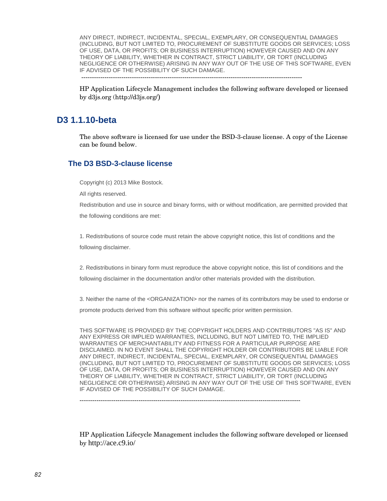ANY DIRECT, INDIRECT, INCIDENTAL, SPECIAL, EXEMPLARY, OR CONSEQUENTIAL DAMAGES (INCLUDING, BUT NOT LIMITED TO, PROCUREMENT OF SUBSTITUTE GOODS OR SERVICES; LOSS OF USE, DATA, OR PROFITS; OR BUSINESS INTERRUPTION) HOWEVER CAUSED AND ON ANY THEORY OF LIABILITY, WHETHER IN CONTRACT, STRICT LIABILITY, OR TORT (INCLUDING NEGLIGENCE OR OTHERWISE) ARISING IN ANY WAY OUT OF THE USE OF THIS SOFTWARE, EVEN IF ADVISED OF THE POSSIBILITY OF SUCH DAMAGE.

---------------------------------------------------------------------------------------------------------

HP Application Lifecycle Management includes the following software developed or licensed by d3js.org (http://d3js.org/)

#### **D3 1.1.10-beta**

The above software is licensed for use under the BSD-3-clause license. A copy of the License can be found below.

#### **The D3 BSD-3-clause license**

Copyright (c) 201[3 Mike Bostock.](http://bost.ocks.org/mike/)

All rights reserved.

Redistribution and use in source and binary forms, with or without modification, are permitted provided that the following conditions are met:

1. Redistributions of source code must retain the above copyright notice, this list of conditions and the following disclaimer.

2. Redistributions in binary form must reproduce the above copyright notice, this list of conditions and the following disclaimer in the documentation and/or other materials provided with the distribution.

3. Neither the name of the <ORGANIZATION> nor the names of its contributors may be used to endorse or promote products derived from this software without specific prior written permission.

THIS SOFTWARE IS PROVIDED BY THE COPYRIGHT HOLDERS AND CONTRIBUTORS "AS IS" AND ANY EXPRESS OR IMPLIED WARRANTIES, INCLUDING, BUT NOT LIMITED TO, THE IMPLIED WARRANTIES OF MERCHANTABILITY AND FITNESS FOR A PARTICULAR PURPOSE ARE DISCLAIMED. IN NO EVENT SHALL THE COPYRIGHT HOLDER OR CONTRIBUTORS BE LIABLE FOR ANY DIRECT, INDIRECT, INCIDENTAL, SPECIAL, EXEMPLARY, OR CONSEQUENTIAL DAMAGES (INCLUDING, BUT NOT LIMITED TO, PROCUREMENT OF SUBSTITUTE GOODS OR SERVICES; LOSS OF USE, DATA, OR PROFITS; OR BUSINESS INTERRUPTION) HOWEVER CAUSED AND ON ANY THEORY OF LIABILITY, WHETHER IN CONTRACT, STRICT LIABILITY, OR TORT (INCLUDING NEGLIGENCE OR OTHERWISE) ARISING IN ANY WAY OUT OF THE USE OF THIS SOFTWARE, EVEN IF ADVISED OF THE POSSIBILITY OF SUCH DAMAGE.

---------------------------------------------------------------------------------------------------------

HP Application Lifecycle Management includes the following software developed or licensed by http://ace.c9.io/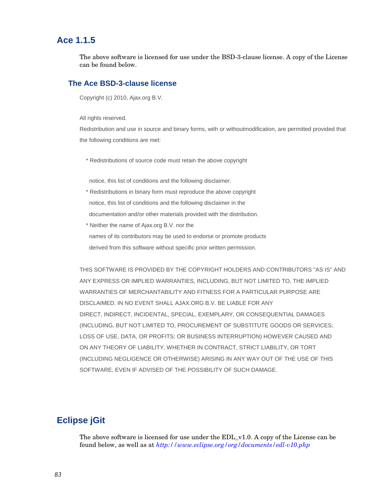### **Ace 1.1.5**

The above software is licensed for use under the BSD-3-clause license. A copy of the License can be found below.

#### **The Ace BSD-3-clause license**

Copyright (c) 2010, Ajax.org B.V.

All rights reserved.

Redistribution and use in source and binary forms, with or withoutmodification, are permitted provided that the following conditions are met:

\* Redistributions of source code must retain the above copyright

notice, this list of conditions and the following disclaimer.

- \* Redistributions in binary form must reproduce the above copyright notice, this list of conditions and the following disclaimer in the documentation and/or other materials provided with the distribution.
- \* Neither the name of Ajax.org B.V. nor the

names of its contributors may be used to endorse or promote products

derived from this software without specific prior written permission.

THIS SOFTWARE IS PROVIDED BY THE COPYRIGHT HOLDERS AND CONTRIBUTORS "AS IS" AND ANY EXPRESS OR IMPLIED WARRANTIES, INCLUDING, BUT NOT LIMITED TO, THE IMPLIED WARRANTIES OF MERCHANTABILITY AND FITNESS FOR A PARTICULAR PURPOSE ARE DISCLAIMED. IN NO EVENT SHALL AJAX.ORG B.V. BE LIABLE FOR ANY DIRECT, INDIRECT, INCIDENTAL, SPECIAL, EXEMPLARY, OR CONSEQUENTIAL DAMAGES (INCLUDING, BUT NOT LIMITED TO, PROCUREMENT OF SUBSTITUTE GOODS OR SERVICES; LOSS OF USE, DATA, OR PROFITS; OR BUSINESS INTERRUPTION) HOWEVER CAUSED AND ON ANY THEORY OF LIABILITY, WHETHER IN CONTRACT, STRICT LIABILITY, OR TORT (INCLUDING NEGLIGENCE OR OTHERWISE) ARISING IN ANY WAY OUT OF THE USE OF THIS SOFTWARE, EVEN IF ADVISED OF THE POSSIBILITY OF SUCH DAMAGE.

# **Eclipse jGit**

The above software is licensed for use under the EDL  $v1.0$ . A copy of the License can be found below, as well as at *<http://www.eclipse.org/org/documents/edl-v10.php>*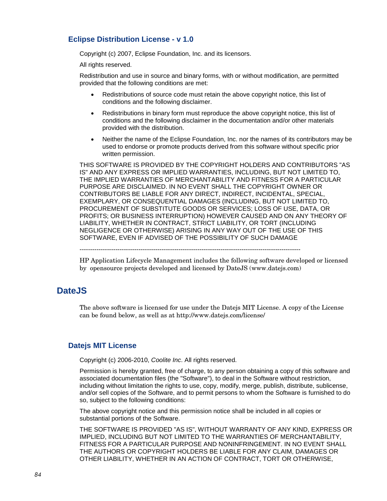#### **Eclipse Distribution License - v 1.0**

Copyright (c) 2007, Eclipse Foundation, Inc. and its licensors.

All rights reserved.

Redistribution and use in source and binary forms, with or without modification, are permitted provided that the following conditions are met:

- Redistributions of source code must retain the above copyright notice, this list of conditions and the following disclaimer.
- Redistributions in binary form must reproduce the above copyright notice, this list of conditions and the following disclaimer in the documentation and/or other materials provided with the distribution.
- Neither the name of the Eclipse Foundation, Inc. nor the names of its contributors may be used to endorse or promote products derived from this software without specific prior written permission.

THIS SOFTWARE IS PROVIDED BY THE COPYRIGHT HOLDERS AND CONTRIBUTORS "AS IS" AND ANY EXPRESS OR IMPLIED WARRANTIES, INCLUDING, BUT NOT LIMITED TO, THE IMPLIED WARRANTIES OF MERCHANTABILITY AND FITNESS FOR A PARTICULAR PURPOSE ARE DISCLAIMED. IN NO EVENT SHALL THE COPYRIGHT OWNER OR CONTRIBUTORS BE LIABLE FOR ANY DIRECT, INDIRECT, INCIDENTAL, SPECIAL, EXEMPLARY, OR CONSEQUENTIAL DAMAGES (INCLUDING, BUT NOT LIMITED TO, PROCUREMENT OF SUBSTITUTE GOODS OR SERVICES; LOSS OF USE, DATA, OR PROFITS; OR BUSINESS INTERRUPTION) HOWEVER CAUSED AND ON ANY THEORY OF LIABILITY, WHETHER IN CONTRACT, STRICT LIABILITY, OR TORT (INCLUDING NEGLIGENCE OR OTHERWISE) ARISING IN ANY WAY OUT OF THE USE OF THIS SOFTWARE, EVEN IF ADVISED OF THE POSSIBILITY OF SUCH DAMAGE

---------------------------------------------------------------------------------------------------------

HP Application Lifecycle Management includes the following software developed or licensed by opensource projects developed and licensed by DateJS (www.datejs.com)

## **DateJS**

The above software is licensed for use under the Datejs MIT License. A copy of the License can be found below, as well as at http://www.datejs.com/license/

#### **Datejs MIT License**

Copyright (c) 2006-2010, *[Coolite Inc](http://www.coolite.com/)*. All rights reserved.

Permission is hereby granted, free of charge, to any person obtaining a copy of this software and associated documentation files (the "Software"), to deal in the Software without restriction, including without limitation the rights to use, copy, modify, merge, publish, distribute, sublicense, and/or sell copies of the Software, and to permit persons to whom the Software is furnished to do so, subject to the following conditions:

The above copyright notice and this permission notice shall be included in all copies or substantial portions of the Software.

THE SOFTWARE IS PROVIDED "AS IS", WITHOUT WARRANTY OF ANY KIND, EXPRESS OR IMPLIED, INCLUDING BUT NOT LIMITED TO THE WARRANTIES OF MERCHANTABILITY, FITNESS FOR A PARTICULAR PURPOSE AND NONINFRINGEMENT. IN NO EVENT SHALL THE AUTHORS OR COPYRIGHT HOLDERS BE LIABLE FOR ANY CLAIM, DAMAGES OR OTHER LIABILITY, WHETHER IN AN ACTION OF CONTRACT, TORT OR OTHERWISE,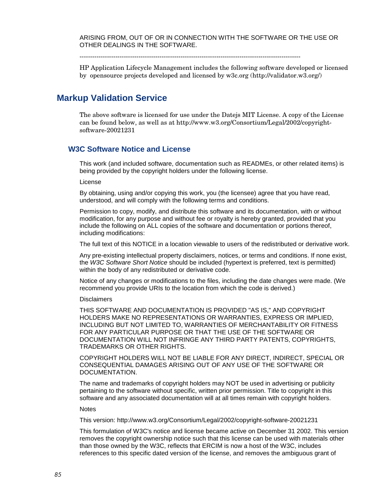ARISING FROM, OUT OF OR IN CONNECTION WITH THE SOFTWARE OR THE USE OR OTHER DEALINGS IN THE SOFTWARE.

---------------------------------------------------------------------------------------------------------

HP Application Lifecycle Management includes the following software developed or licensed by opensource projects developed and licensed by w3c.org (http://validator.w3.org/)

#### **[Markup Validation Service](http://validator.w3.org/)**

The above software is licensed for use under the Datejs MIT License. A copy of the License can be found below, as well as at http://www.w3.org/Consortium/Legal/2002/copyrightsoftware-20021231

#### **W3C Software Notice and License**

This work (and included software, documentation such as READMEs, or other related items) is being provided by the copyright holders under the following license.

#### License

By obtaining, using and/or copying this work, you (the licensee) agree that you have read, understood, and will comply with the following terms and conditions.

Permission to copy, modify, and distribute this software and its documentation, with or without modification, for any purpose and without fee or royalty is hereby granted, provided that you include the following on ALL copies of the software and documentation or portions thereof, including modifications:

The full text of this NOTICE in a location viewable to users of the redistributed or derivative work.

Any pre-existing intellectual property disclaimers, notices, or terms and conditions. If none exist, the *[W3C Software Short Notice](http://www.w3.org/Consortium/Legal/2002/copyright-software-short-notice-20021231.html)* should be included (hypertext is preferred, text is permitted) within the body of any redistributed or derivative code.

Notice of any changes or modifications to the files, including the date changes were made. (We recommend you provide URIs to the location from which the code is derived.)

#### **Disclaimers**

THIS SOFTWARE AND DOCUMENTATION IS PROVIDED "AS IS," AND COPYRIGHT HOLDERS MAKE NO REPRESENTATIONS OR WARRANTIES, EXPRESS OR IMPLIED, INCLUDING BUT NOT LIMITED TO, WARRANTIES OF MERCHANTABILITY OR FITNESS FOR ANY PARTICULAR PURPOSE OR THAT THE USE OF THE SOFTWARE OR DOCUMENTATION WILL NOT INFRINGE ANY THIRD PARTY PATENTS, COPYRIGHTS, TRADEMARKS OR OTHER RIGHTS.

COPYRIGHT HOLDERS WILL NOT BE LIABLE FOR ANY DIRECT, INDIRECT, SPECIAL OR CONSEQUENTIAL DAMAGES ARISING OUT OF ANY USE OF THE SOFTWARE OR DOCUMENTATION.

The name and trademarks of copyright holders may NOT be used in advertising or publicity pertaining to the software without specific, written prior permission. Title to copyright in this software and any associated documentation will at all times remain with copyright holders.

**Notes** 

This version: http://www.w3.org/Consortium/Legal/2002/copyright-software-20021231

This formulation of W3C's notice and license became active on December 31 2002. This version removes the copyright ownership notice such that this license can be used with materials other than those owned by the W3C, reflects that ERCIM is now a host of the W3C, includes references to this specific dated version of the license, and removes the ambiguous grant of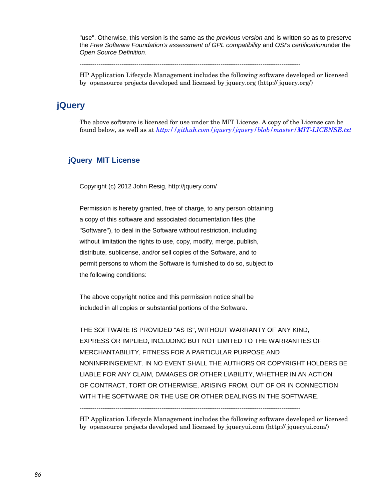"use". Otherwise, this version is the same as the *[previous version](http://www.w3.org/Consortium/Legal/copyright-software-19980720)* and is written so as to preserve the *[Free Software Foundation's assessment of GPL compatibility](http://www.gnu.org/philosophy/license-list.html#GPLCompatibleLicenses)* and *[OSI's certification](http://www.opensource.org/licenses/W3C.php)*under the *[Open Source Definition](http://www.opensource.org/docs/definition.php)*.

---------------------------------------------------------------------------------------------------------

HP Application Lifecycle Management includes the following software developed or licensed by opensource projects developed and licensed by jquery.org (http:// jquery.org/)

# **[jQuery](http://validator.w3.org/)**

The above software is licensed for use under the MIT License. A copy of the License can be found below, as well as at *[http://github.com/jquery/jquery/blob/master/MIT-LICENSE.txt](https://github.com/jquery/jquery/blob/master/MIT-LICENSE.txt)*

#### **[jQuery](http://validator.w3.org/) MIT License**

Copyright (c) 2012 John Resig, http://jquery.com/

Permission is hereby granted, free of charge, to any person obtaining a copy of this software and associated documentation files (the "Software"), to deal in the Software without restriction, including without limitation the rights to use, copy, modify, merge, publish, distribute, sublicense, and/or sell copies of the Software, and to permit persons to whom the Software is furnished to do so, subject to the following conditions:

The above copyright notice and this permission notice shall be included in all copies or substantial portions of the Software.

THE SOFTWARE IS PROVIDED "AS IS", WITHOUT WARRANTY OF ANY KIND, EXPRESS OR IMPLIED, INCLUDING BUT NOT LIMITED TO THE WARRANTIES OF MERCHANTABILITY, FITNESS FOR A PARTICULAR PURPOSE AND NONINFRINGEMENT. IN NO EVENT SHALL THE AUTHORS OR COPYRIGHT HOLDERS BE LIABLE FOR ANY CLAIM, DAMAGES OR OTHER LIABILITY, WHETHER IN AN ACTION OF CONTRACT, TORT OR OTHERWISE, ARISING FROM, OUT OF OR IN CONNECTION WITH THE SOFTWARE OR THE USE OR OTHER DEALINGS IN THE SOFTWARE.

---------------------------------------------------------------------------------------------------------

HP Application Lifecycle Management includes the following software developed or licensed by opensource projects developed and licensed by jqueryui.com (http:// jqueryui.com/)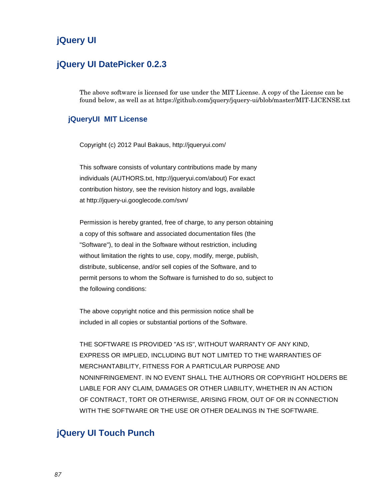# **[jQuery](http://validator.w3.org/) UI**

## **jQuery UI DatePicker 0.2.3**

The above software is licensed for use under the MIT License. A copy of the License can be found below, as well as at https://github.com/jquery/jquery-ui/blob/master/MIT-LICENSE.txt

#### **[jQueryU](http://validator.w3.org/)I MIT License**

Copyright (c) 2012 Paul Bakaus, http://jqueryui.com/

This software consists of voluntary contributions made by many individuals (AUTHORS.txt, http://jqueryui.com/about) For exact contribution history, see the revision history and logs, available at http://jquery-ui.googlecode.com/svn/

Permission is hereby granted, free of charge, to any person obtaining a copy of this software and associated documentation files (the "Software"), to deal in the Software without restriction, including without limitation the rights to use, copy, modify, merge, publish, distribute, sublicense, and/or sell copies of the Software, and to permit persons to whom the Software is furnished to do so, subject to the following conditions:

The above copyright notice and this permission notice shall be included in all copies or substantial portions of the Software.

THE SOFTWARE IS PROVIDED "AS IS", WITHOUT WARRANTY OF ANY KIND, EXPRESS OR IMPLIED, INCLUDING BUT NOT LIMITED TO THE WARRANTIES OF MERCHANTABILITY, FITNESS FOR A PARTICULAR PURPOSE AND NONINFRINGEMENT. IN NO EVENT SHALL THE AUTHORS OR COPYRIGHT HOLDERS BE LIABLE FOR ANY CLAIM, DAMAGES OR OTHER LIABILITY, WHETHER IN AN ACTION OF CONTRACT, TORT OR OTHERWISE, ARISING FROM, OUT OF OR IN CONNECTION WITH THE SOFTWARE OR THE USE OR OTHER DEALINGS IN THE SOFTWARE.

# **jQuery UI Touch Punch**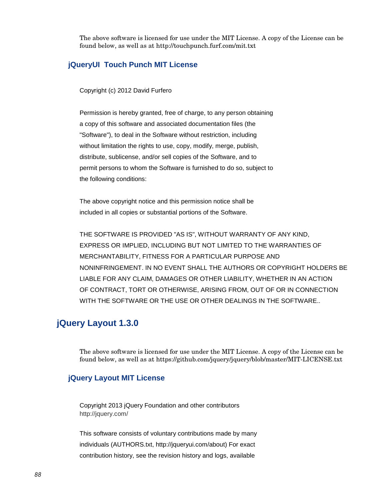The above software is licensed for use under the MIT License. A copy of the License can be found below, as well as at http://touchpunch.furf.com/mit.txt

#### **[jQueryU](http://validator.w3.org/)I Touch Punch MIT License**

Copyright (c) 2012 David Furfero

Permission is hereby granted, free of charge, to any person obtaining a copy of this software and associated documentation files (the "Software"), to deal in the Software without restriction, including without limitation the rights to use, copy, modify, merge, publish, distribute, sublicense, and/or sell copies of the Software, and to permit persons to whom the Software is furnished to do so, subject to the following conditions:

The above copyright notice and this permission notice shall be included in all copies or substantial portions of the Software.

THE SOFTWARE IS PROVIDED "AS IS", WITHOUT WARRANTY OF ANY KIND, EXPRESS OR IMPLIED, INCLUDING BUT NOT LIMITED TO THE WARRANTIES OF MERCHANTABILITY, FITNESS FOR A PARTICULAR PURPOSE AND NONINFRINGEMENT. IN NO EVENT SHALL THE AUTHORS OR COPYRIGHT HOLDERS BE LIABLE FOR ANY CLAIM, DAMAGES OR OTHER LIABILITY, WHETHER IN AN ACTION OF CONTRACT, TORT OR OTHERWISE, ARISING FROM, OUT OF OR IN CONNECTION WITH THE SOFTWARE OR THE USE OR OTHER DEALINGS IN THE SOFTWARE..

## **jQuery Layout 1.3.0**

The above software is licensed for use under the MIT License. A copy of the License can be found below, as well as at https://github.com/jquery/jquery/blob/master/MIT-LICENSE.txt

#### **[jQuery](http://validator.w3.org/) Layout MIT License**

Copyright 2013 jQuery Foundation and other contributors http://jquery.com/

This software consists of voluntary contributions made by many individuals (AUTHORS.txt, http://jqueryui.com/about) For exact contribution history, see the revision history and logs, available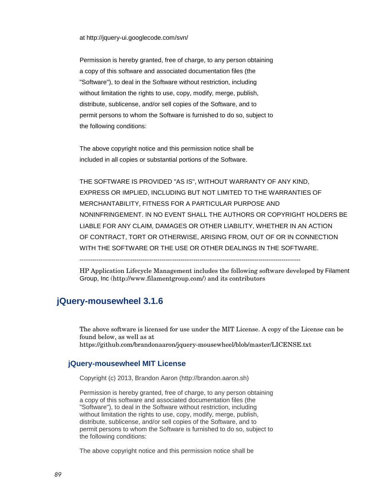at http://jquery-ui.googlecode.com/svn/

Permission is hereby granted, free of charge, to any person obtaining a copy of this software and associated documentation files (the "Software"), to deal in the Software without restriction, including without limitation the rights to use, copy, modify, merge, publish, distribute, sublicense, and/or sell copies of the Software, and to permit persons to whom the Software is furnished to do so, subject to the following conditions:

The above copyright notice and this permission notice shall be included in all copies or substantial portions of the Software.

THE SOFTWARE IS PROVIDED "AS IS", WITHOUT WARRANTY OF ANY KIND, EXPRESS OR IMPLIED, INCLUDING BUT NOT LIMITED TO THE WARRANTIES OF MERCHANTABILITY, FITNESS FOR A PARTICULAR PURPOSE AND NONINFRINGEMENT. IN NO EVENT SHALL THE AUTHORS OR COPYRIGHT HOLDERS BE LIABLE FOR ANY CLAIM, DAMAGES OR OTHER LIABILITY, WHETHER IN AN ACTION OF CONTRACT, TORT OR OTHERWISE, ARISING FROM, OUT OF OR IN CONNECTION WITH THE SOFTWARE OR THE USE OR OTHER DEALINGS IN THE SOFTWARE.

---------------------------------------------------------------------------------------------------------

HP Application Lifecycle Management includes the following software developed by Filament Group, Inc (http://www.filamentgroup.com/) and its contributors

## **jQuery-mousewheel 3.1.6**

The above software is licensed for use under the MIT License. A copy of the License can be found below, as well as at https://github.com/brandonaaron/jquery-mousewheel/blob/master/LICENSE.txt

#### **[jQuery-](http://validator.w3.org/)mousewheel MIT License**

Copyright (c) 2013, Brandon Aaron (http://brandon.aaron.sh)

Permission is hereby granted, free of charge, to any person obtaining a copy of this software and associated documentation files (the "Software"), to deal in the Software without restriction, including without limitation the rights to use, copy, modify, merge, publish, distribute, sublicense, and/or sell copies of the Software, and to permit persons to whom the Software is furnished to do so, subject to the following conditions:

The above copyright notice and this permission notice shall be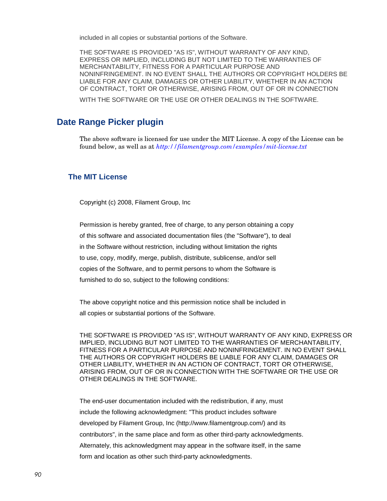included in all copies or substantial portions of the Software.

THE SOFTWARE IS PROVIDED "AS IS", WITHOUT WARRANTY OF ANY KIND, EXPRESS OR IMPLIED, INCLUDING BUT NOT LIMITED TO THE WARRANTIES OF MERCHANTABILITY, FITNESS FOR A PARTICULAR PURPOSE AND NONINFRINGEMENT. IN NO EVENT SHALL THE AUTHORS OR COPYRIGHT HOLDERS BE LIABLE FOR ANY CLAIM, DAMAGES OR OTHER LIABILITY, WHETHER IN AN ACTION OF CONTRACT, TORT OR OTHERWISE, ARISING FROM, OUT OF OR IN CONNECTION

WITH THE SOFTWARE OR THE USE OR OTHER DEALINGS IN THE SOFTWARE.

## **Date Range Picker plugin**

The above software is licensed for use under the MIT License. A copy of the License can be found below, as well as at *<http://filamentgroup.com/examples/mit-license.txt>*

#### **The MIT License**

Copyright (c) 2008, Filament Group, Inc

Permission is hereby granted, free of charge, to any person obtaining a copy of this software and associated documentation files (the "Software"), to deal in the Software without restriction, including without limitation the rights to use, copy, modify, merge, publish, distribute, sublicense, and/or sell copies of the Software, and to permit persons to whom the Software is furnished to do so, subject to the following conditions:

The above copyright notice and this permission notice shall be included in all copies or substantial portions of the Software.

THE SOFTWARE IS PROVIDED "AS IS", WITHOUT WARRANTY OF ANY KIND, EXPRESS OR IMPLIED, INCLUDING BUT NOT LIMITED TO THE WARRANTIES OF MERCHANTABILITY, FITNESS FOR A PARTICULAR PURPOSE AND NONINFRINGEMENT. IN NO EVENT SHALL THE AUTHORS OR COPYRIGHT HOLDERS BE LIABLE FOR ANY CLAIM, DAMAGES OR OTHER LIABILITY, WHETHER IN AN ACTION OF CONTRACT, TORT OR OTHERWISE, ARISING FROM, OUT OF OR IN CONNECTION WITH THE SOFTWARE OR THE USE OR OTHER DEALINGS IN THE SOFTWARE.

The end-user documentation included with the redistribution, if any, must include the following acknowledgment: "This product includes software developed by Filament Group, Inc (http://www.filamentgroup.com/) and its contributors", in the same place and form as other third-party acknowledgments. Alternately, this acknowledgment may appear in the software itself, in the same form and location as other such third-party acknowledgments.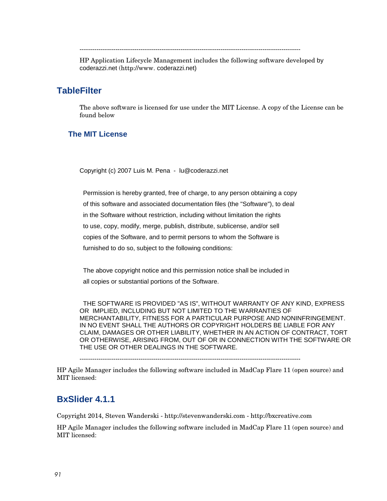---------------------------------------------------------------------------------------------------------

HP Application Lifecycle Management includes the following software developed by coderazzi.net (http://www. coderazzi.net)

#### **TableFilter**

The above software is licensed for use under the MIT License. A copy of the License can be found below

#### **The MIT License**

Copyright (c) 2007 Luis M. Pena - lu@coderazzi.net

 Permission is hereby granted, free of charge, to any person obtaining a copy of this software and associated documentation files (the "Software"), to deal in the Software without restriction, including without limitation the rights to use, copy, modify, merge, publish, distribute, sublicense, and/or sell copies of the Software, and to permit persons to whom the Software is furnished to do so, subject to the following conditions:

 The above copyright notice and this permission notice shall be included in all copies or substantial portions of the Software.

 THE SOFTWARE IS PROVIDED "AS IS", WITHOUT WARRANTY OF ANY KIND, EXPRESS OR IMPLIED, INCLUDING BUT NOT LIMITED TO THE WARRANTIES OF MERCHANTABILITY, FITNESS FOR A PARTICULAR PURPOSE AND NONINFRINGEMENT. IN NO EVENT SHALL THE AUTHORS OR COPYRIGHT HOLDERS BE LIABLE FOR ANY CLAIM, DAMAGES OR OTHER LIABILITY, WHETHER IN AN ACTION OF CONTRACT, TORT OR OTHERWISE, ARISING FROM, OUT OF OR IN CONNECTION WITH THE SOFTWARE OR THE USE OR OTHER DEALINGS IN THE SOFTWARE.

---------------------------------------------------------------------------------------------------------

HP Agile Manager includes the following software included in MadCap Flare 11 (open source) and MIT licensed:

## **BxSlider 4.1.1**

Copyright 2014, Steven Wanderski - http://stevenwanderski.com - [http://bxcreative.com](http://bxcreative.com/)

HP Agile Manager includes the following software included in MadCap Flare 11 (open source) and MIT licensed: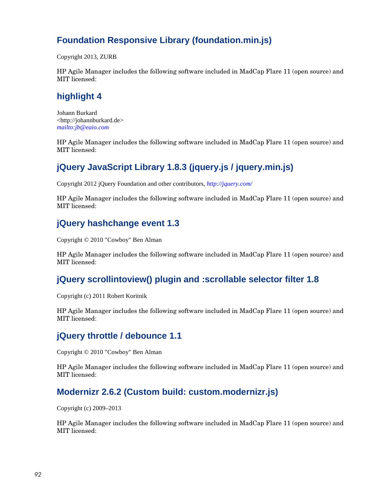# **Foundation Responsive Library (foundation.min.js)**

Copyright 2013, ZURB

HP Agile Manager includes the following software included in MadCap Flare 11 (open source) and MIT licensed:

# **highlight 4**

Johann Burkard <http://johannburkard.de> *<mailto:jb@eaio.com>*

HP Agile Manager includes the following software included in MadCap Flare 11 (open source) and MIT licensed:

# **jQuery JavaScript Library 1.8.3 (jquery.js / jquery.min.js)**

Copyright 2012 jQuery Foundation and other contributors, *<http://jquery.com/>*

HP Agile Manager includes the following software included in MadCap Flare 11 (open source) and MIT licensed:

# **jQuery hashchange event 1.3**

Copyright © 2010 "Cowboy" Ben Alman

HP Agile Manager includes the following software included in MadCap Flare 11 (open source) and MIT licensed:

# **jQuery scrollintoview() plugin and :scrollable selector filter 1.8**

Copyright (c) 2011 Robert Koritnik

HP Agile Manager includes the following software included in MadCap Flare 11 (open source) and MIT licensed:

# **jQuery throttle / debounce 1.1**

Copyright © 2010 "Cowboy" Ben Alman

HP Agile Manager includes the following software included in MadCap Flare 11 (open source) and MIT licensed:

# **Modernizr 2.6.2 (Custom build: custom.modernizr.js)**

Copyright (c) 2009–2013

HP Agile Manager includes the following software included in MadCap Flare 11 (open source) and MIT licensed: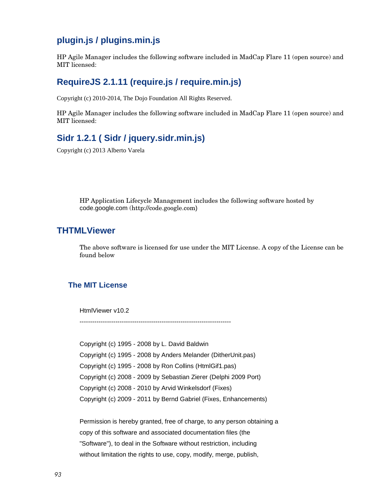# **plugin.js / plugins.min.js**

HP Agile Manager includes the following software included in MadCap Flare 11 (open source) and MIT licensed:

# **RequireJS 2.1.11 (require.js / require.min.js)**

Copyright (c) 2010-2014, The Dojo Foundation All Rights Reserved.

HP Agile Manager includes the following software included in MadCap Flare 11 (open source) and MIT licensed:

# **Sidr 1.2.1 ( Sidr / jquery.sidr.min.js)**

Copyright (c) 2013 Alberto Varela

HP Application Lifecycle Management includes the following software hosted by code.google.com (http://code.google.com)

## **THTMLViewer**

The above software is licensed for use under the MIT License. A copy of the License can be found below

#### **The MIT License**

HtmlViewer v10.2

------------------------------------------------------------------------

Copyright (c) 1995 - 2008 by L. David Baldwin Copyright (c) 1995 - 2008 by Anders Melander (DitherUnit.pas) Copyright (c) 1995 - 2008 by Ron Collins (HtmlGif1.pas) Copyright (c) 2008 - 2009 by Sebastian Zierer (Delphi 2009 Port) Copyright (c) 2008 - 2010 by Arvid Winkelsdorf (Fixes) Copyright (c) 2009 - 2011 by Bernd Gabriel (Fixes, Enhancements)

Permission is hereby granted, free of charge, to any person obtaining a copy of this software and associated documentation files (the "Software"), to deal in the Software without restriction, including without limitation the rights to use, copy, modify, merge, publish,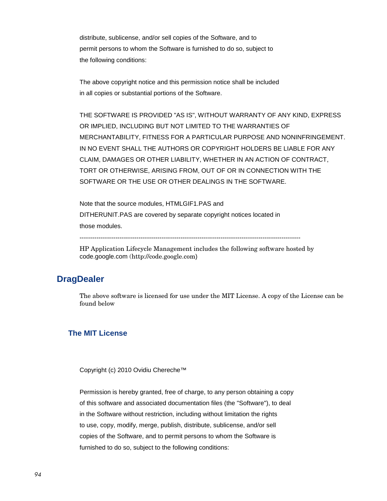distribute, sublicense, and/or sell copies of the Software, and to permit persons to whom the Software is furnished to do so, subject to the following conditions:

The above copyright notice and this permission notice shall be included in all copies or substantial portions of the Software.

THE SOFTWARE IS PROVIDED "AS IS", WITHOUT WARRANTY OF ANY KIND, EXPRESS OR IMPLIED, INCLUDING BUT NOT LIMITED TO THE WARRANTIES OF MERCHANTABILITY, FITNESS FOR A PARTICULAR PURPOSE AND NONINFRINGEMENT. IN NO EVENT SHALL THE AUTHORS OR COPYRIGHT HOLDERS BE LIABLE FOR ANY CLAIM, DAMAGES OR OTHER LIABILITY, WHETHER IN AN ACTION OF CONTRACT, TORT OR OTHERWISE, ARISING FROM, OUT OF OR IN CONNECTION WITH THE SOFTWARE OR THE USE OR OTHER DEALINGS IN THE SOFTWARE.

Note that the source modules, HTMLGIF1.PAS and DITHERUNIT.PAS are covered by separate copyright notices located in those modules.

---------------------------------------------------------------------------------------------------------

HP Application Lifecycle Management includes the following software hosted by code.google.com (http://code.google.com)

# **DragDealer**

The above software is licensed for use under the MIT License. A copy of the License can be found below

#### **The MIT License**

Copyright (c) 2010 Ovidiu Chereche™

Permission is hereby granted, free of charge, to any person obtaining a copy of this software and associated documentation files (the "Software"), to deal in the Software without restriction, including without limitation the rights to use, copy, modify, merge, publish, distribute, sublicense, and/or sell copies of the Software, and to permit persons to whom the Software is furnished to do so, subject to the following conditions: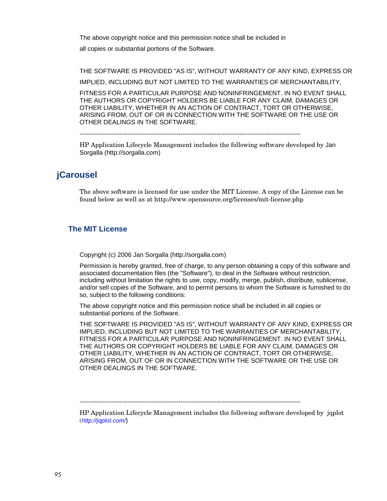The above copyright notice and this permission notice shall be included in

all copies or substantial portions of the Software.

THE SOFTWARE IS PROVIDED "AS IS", WITHOUT WARRANTY OF ANY KIND, EXPRESS OR IMPLIED, INCLUDING BUT NOT LIMITED TO THE WARRANTIES OF MERCHANTABILITY, FITNESS FOR A PARTICULAR PURPOSE AND NONINFRINGEMENT. IN NO EVENT SHALL THE AUTHORS OR COPYRIGHT HOLDERS BE LIABLE FOR ANY CLAIM, DAMAGES OR OTHER LIABILITY, WHETHER IN AN ACTION OF CONTRACT, TORT OR OTHERWISE, ARISING FROM, OUT OF OR IN CONNECTION WITH THE SOFTWARE OR THE USE OR OTHER DEALINGS IN THE SOFTWARE.

---------------------------------------------------------------------------------------------------------

HP Application Lifecycle Management includes the following software developed by Jan Sorgalla (http://sorgalla.com)

### **jCarousel**

The above software is licensed for use under the MIT License. A copy of the License can be found below as well as at http://www.opensource.org/licenses/mit-license.php

#### **The MIT License**

Copyright (c) 2006 Jan Sorgalla (http://sorgalla.com)

Permission is hereby granted, free of charge, to any person obtaining a copy of this software and associated documentation files (the "Software"), to deal in the Software without restriction, including without limitation the rights to use, copy, modify, merge, publish, distribute, sublicense, and/or sell copies of the Software, and to permit persons to whom the Software is furnished to do so, subject to the following conditions:

The above copyright notice and this permission notice shall be included in all copies or substantial portions of the Software.

THE SOFTWARE IS PROVIDED "AS IS", WITHOUT WARRANTY OF ANY KIND, EXPRESS OR IMPLIED, INCLUDING BUT NOT LIMITED TO THE WARRANTIES OF MERCHANTABILITY, FITNESS FOR A PARTICULAR PURPOSE AND NONINFRINGEMENT. IN NO EVENT SHALL THE AUTHORS OR COPYRIGHT HOLDERS BE LIABLE FOR ANY CLAIM, DAMAGES OR OTHER LIABILITY, WHETHER IN AN ACTION OF CONTRACT, TORT OR OTHERWISE, ARISING FROM, OUT OF OR IN CONNECTION WITH THE SOFTWARE OR THE USE OR OTHER DEALINGS IN THE SOFTWARE.

---------------------------------------------------------------------------------------------------------

HP Application Lifecycle Management includes the following software developed by jqplot (*[http://jqplot.com/](http://www.jqplot.com/)*)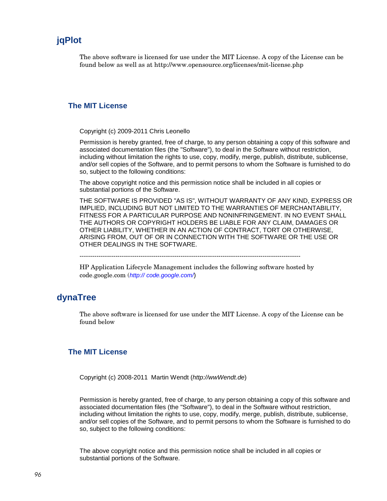# **jqPlot**

The above software is licensed for use under the MIT License. A copy of the License can be found below as well as at http://www.opensource.org/licenses/mit-license.php

#### **The MIT License**

Copyright (c) 2009-2011 Chris Leonello

Permission is hereby granted, free of charge, to any person obtaining a copy of this software and associated documentation files (the "Software"), to deal in the Software without restriction, including without limitation the rights to use, copy, modify, merge, publish, distribute, sublicense, and/or sell copies of the Software, and to permit persons to whom the Software is furnished to do so, subject to the following conditions:

The above copyright notice and this permission notice shall be included in all copies or substantial portions of the Software.

THE SOFTWARE IS PROVIDED "AS IS", WITHOUT WARRANTY OF ANY KIND, EXPRESS OR IMPLIED, INCLUDING BUT NOT LIMITED TO THE WARRANTIES OF MERCHANTABILITY, FITNESS FOR A PARTICULAR PURPOSE AND NONINFRINGEMENT. IN NO EVENT SHALL THE AUTHORS OR COPYRIGHT HOLDERS BE LIABLE FOR ANY CLAIM, DAMAGES OR OTHER LIABILITY, WHETHER IN AN ACTION OF CONTRACT, TORT OR OTHERWISE, ARISING FROM, OUT OF OR IN CONNECTION WITH THE SOFTWARE OR THE USE OR OTHER DEALINGS IN THE SOFTWARE.

---------------------------------------------------------------------------------------------------------

HP Application Lifecycle Management includes the following software hosted by code.google.com (*http:// [code.google.com/](http://www.jqplot.com/)*)

## **dynaTree**

The above software is licensed for use under the MIT License. A copy of the License can be found below

#### **The MIT License**

Copyright (c) 2008-2011 Martin Wendt (*[http://wwWendt.de](http://www.google.com/url?q=http://wwWendt.de&usg=AFQjCNGW9OOCAJd6PILG-NRf4yJy22NAVw)*)

Permission is hereby granted, free of charge, to any person obtaining a copy of this software and associated documentation files (the "Software"), to deal in the Software without restriction, including without limitation the rights to use, copy, modify, merge, publish, distribute, sublicense, and/or sell copies of the Software, and to permit persons to whom the Software is furnished to do so, subject to the following conditions:

The above copyright notice and this permission notice shall be included in all copies or substantial portions of the Software.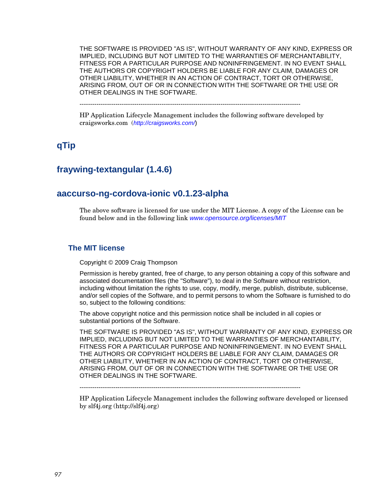THE SOFTWARE IS PROVIDED "AS IS", WITHOUT WARRANTY OF ANY KIND, EXPRESS OR IMPLIED, INCLUDING BUT NOT LIMITED TO THE WARRANTIES OF MERCHANTABILITY, FITNESS FOR A PARTICULAR PURPOSE AND NONINFRINGEMENT. IN NO EVENT SHALL THE AUTHORS OR COPYRIGHT HOLDERS BE LIABLE FOR ANY CLAIM, DAMAGES OR OTHER LIABILITY, WHETHER IN AN ACTION OF CONTRACT, TORT OR OTHERWISE, ARISING FROM, OUT OF OR IN CONNECTION WITH THE SOFTWARE OR THE USE OR OTHER DEALINGS IN THE SOFTWARE.

---------------------------------------------------------------------------------------------------------

HP Application Lifecycle Management includes the following software developed by craigsworks.com (*<http://craigsworks.com/>*)

# **qTip**

# **fraywing-textangular (1.4.6)**

# **aaccurso-ng-cordova-ionic v0.1.23-alpha**

The above software is licensed for use under the MIT License. A copy of the License can be found below and in the following link *[www.opensource.org/licenses/MIT](http://www.opensource.org/licenses/MIT)*

#### **The MIT license**

Copyright © 2009 Craig Thompson

Permission is hereby granted, free of charge, to any person obtaining a copy of this software and associated documentation files (the "Software"), to deal in the Software without restriction, including without limitation the rights to use, copy, modify, merge, publish, distribute, sublicense, and/or sell copies of the Software, and to permit persons to whom the Software is furnished to do so, subject to the following conditions:

The above copyright notice and this permission notice shall be included in all copies or substantial portions of the Software.

THE SOFTWARE IS PROVIDED "AS IS", WITHOUT WARRANTY OF ANY KIND, EXPRESS OR IMPLIED, INCLUDING BUT NOT LIMITED TO THE WARRANTIES OF MERCHANTABILITY, FITNESS FOR A PARTICULAR PURPOSE AND NONINFRINGEMENT. IN NO EVENT SHALL THE AUTHORS OR COPYRIGHT HOLDERS BE LIABLE FOR ANY CLAIM, DAMAGES OR OTHER LIABILITY, WHETHER IN AN ACTION OF CONTRACT, TORT OR OTHERWISE, ARISING FROM, OUT OF OR IN CONNECTION WITH THE SOFTWARE OR THE USE OR OTHER DEALINGS IN THE SOFTWARE.

---------------------------------------------------------------------------------------------------------

HP Application Lifecycle Management includes the following software developed or licensed by slf4j.org [\(http://slf4j.org\)](http://slf4j.org/)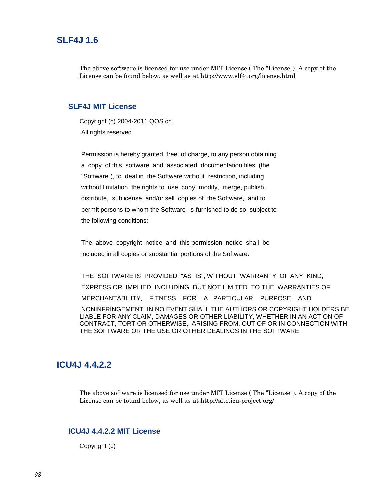#### **SLF4J 1.6**

The above software is licensed for use under MIT License ( The "License"). A copy of the License can be found below, as well as at http://www.slf4j.org/license.html

#### **SLF4J MIT License**

Copyright (c) 2004-2011 QOS.ch All rights reserved.

Permission is hereby granted, free of charge, to any person obtaining a copy of this software and associated documentation files (the "Software"), to deal in the Software without restriction, including without limitation the rights to use, copy, modify, merge, publish, distribute, sublicense, and/or sell copies of the Software, and to permit persons to whom the Software is furnished to do so, subject to the following conditions:

The above copyright notice and this permission notice shall be included in all copies or substantial portions of the Software.

THE SOFTWARE IS PROVIDED "AS IS", WITHOUT WARRANTY OF ANY KIND, EXPRESS OR IMPLIED, INCLUDING BUT NOT LIMITED TO THE WARRANTIES OF MERCHANTABILITY, FITNESS FOR A PARTICULAR PURPOSE AND NONINFRINGEMENT. IN NO EVENT SHALL THE AUTHORS OR COPYRIGHT HOLDERS BE LIABLE FOR ANY CLAIM, DAMAGES OR OTHER LIABILITY, WHETHER IN AN ACTION OF CONTRACT, TORT OR OTHERWISE, ARISING FROM, OUT OF OR IN CONNECTION WITH THE SOFTWARE OR THE USE OR OTHER DEALINGS IN THE SOFTWARE.

#### **ICU4J 4.4.2.2**

The above software is licensed for use under MIT License ( The "License"). A copy of the License can be found below, as well as at http://site.icu-project.org/

#### **ICU4J 4.4.2.2 MIT License**

Copyright (c)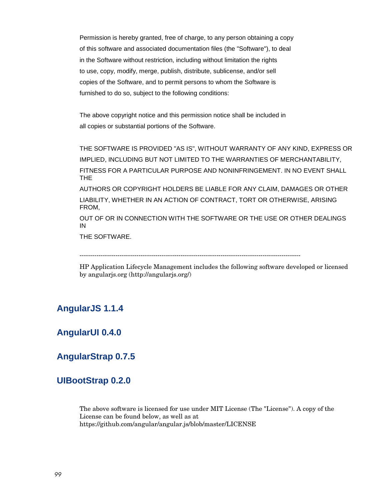Permission is hereby granted, free of charge, to any person obtaining a copy of this software and associated documentation files (the "Software"), to deal in the Software without restriction, including without limitation the rights to use, copy, modify, merge, publish, distribute, sublicense, and/or sell copies of the Software, and to permit persons to whom the Software is furnished to do so, subject to the following conditions:

The above copyright notice and this permission notice shall be included in all copies or substantial portions of the Software.

THE SOFTWARE IS PROVIDED "AS IS", WITHOUT WARRANTY OF ANY KIND, EXPRESS OR IMPLIED, INCLUDING BUT NOT LIMITED TO THE WARRANTIES OF MERCHANTABILITY, FITNESS FOR A PARTICULAR PURPOSE AND NONINFRINGEMENT. IN NO EVENT SHALL THE

AUTHORS OR COPYRIGHT HOLDERS BE LIABLE FOR ANY CLAIM, DAMAGES OR OTHER LIABILITY, WHETHER IN AN ACTION OF CONTRACT, TORT OR OTHERWISE, ARISING FROM,

OUT OF OR IN CONNECTION WITH THE SOFTWARE OR THE USE OR OTHER DEALINGS IN

THE SOFTWARE.

---------------------------------------------------------------------------------------------------------

HP Application Lifecycle Management includes the following software developed or licensed by angularjs.org (http://angularjs.org/)

# **AngularJS 1.1.4**

# **AngularUI 0.4.0**

# **AngularStrap 0.7.5**

# **UIBootStrap 0.2.0**

The above software is licensed for use under MIT License (The "License"). A copy of the License can be found below, as well as at https://github.com/angular/angular.js/blob/master/LICENSE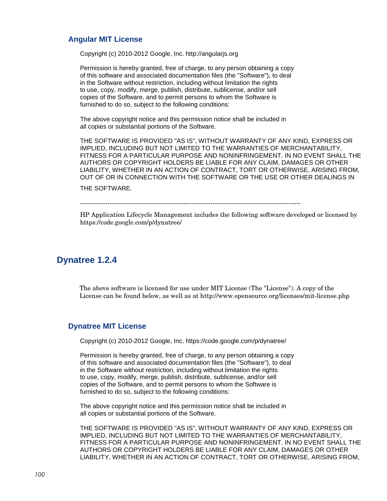#### **Angular MIT License**

Copyright (c) 2010-2012 Google, Inc. http://angularjs.org

Permission is hereby granted, free of charge, to any person obtaining a copy of this software and associated documentation files (the "Software"), to deal in the Software without restriction, including without limitation the rights to use, copy, modify, merge, publish, distribute, sublicense, and/or sell copies of the Software, and to permit persons to whom the Software is furnished to do so, subject to the following conditions:

The above copyright notice and this permission notice shall be included in all copies or substantial portions of the Software.

THE SOFTWARE IS PROVIDED "AS IS", WITHOUT WARRANTY OF ANY KIND, EXPRESS OR IMPLIED, INCLUDING BUT NOT LIMITED TO THE WARRANTIES OF MERCHANTABILITY, FITNESS FOR A PARTICULAR PURPOSE AND NONINFRINGEMENT. IN NO EVENT SHALL THE AUTHORS OR COPYRIGHT HOLDERS BE LIABLE FOR ANY CLAIM, DAMAGES OR OTHER LIABILITY, WHETHER IN AN ACTION OF CONTRACT, TORT OR OTHERWISE, ARISING FROM, OUT OF OR IN CONNECTION WITH THE SOFTWARE OR THE USE OR OTHER DEALINGS IN

THE SOFTWARE.

---------------------------------------------------------------------------------------------------------

HP Application Lifecycle Management includes the following software developed or licensed by https://code.google.com/p/dynatree/

#### **Dynatree 1.2.4**

The above software is licensed for use under MIT License (The "License"). A copy of the License can be found below, as well as at http://www.opensource.org/licenses/mit-license.php

#### **Dynatree MIT License**

Copyright (c) 2010-2012 Google, Inc. https://code.google.com/p/dynatree/

Permission is hereby granted, free of charge, to any person obtaining a copy of this software and associated documentation files (the "Software"), to deal in the Software without restriction, including without limitation the rights to use, copy, modify, merge, publish, distribute, sublicense, and/or sell copies of the Software, and to permit persons to whom the Software is furnished to do so, subject to the following conditions:

The above copyright notice and this permission notice shall be included in all copies or substantial portions of the Software.

THE SOFTWARE IS PROVIDED "AS IS", WITHOUT WARRANTY OF ANY KIND, EXPRESS OR IMPLIED, INCLUDING BUT NOT LIMITED TO THE WARRANTIES OF MERCHANTABILITY, FITNESS FOR A PARTICULAR PURPOSE AND NONINFRINGEMENT. IN NO EVENT SHALL THE AUTHORS OR COPYRIGHT HOLDERS BE LIABLE FOR ANY CLAIM, DAMAGES OR OTHER LIABILITY, WHETHER IN AN ACTION OF CONTRACT, TORT OR OTHERWISE, ARISING FROM,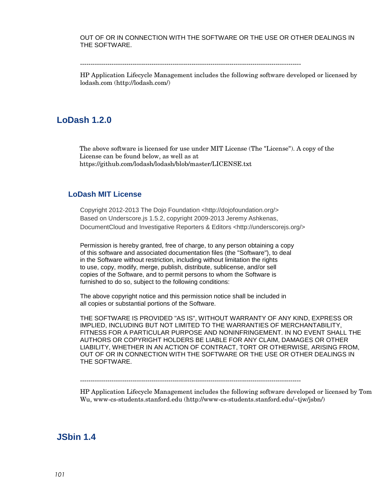OUT OF OR IN CONNECTION WITH THE SOFTWARE OR THE USE OR OTHER DEALINGS IN THE SOFTWARE.

---------------------------------------------------------------------------------------------------------

HP Application Lifecycle Management includes the following software developed or licensed by lodash.com (http://lodash.com/)

#### **LoDash 1.2.0**

The above software is licensed for use under MIT License (The "License"). A copy of the License can be found below, as well as at https://github.com/lodash/lodash/blob/master/LICENSE.txt

#### **LoDash MIT License**

Copyright 2012-2013 The Dojo Foundation <http://dojofoundation.org/> Based on Underscore.js 1.5.2, copyright 2009-2013 Jeremy Ashkenas, DocumentCloud and Investigative Reporters & Editors <http://underscorejs.org/>

Permission is hereby granted, free of charge, to any person obtaining a copy of this software and associated documentation files (the "Software"), to deal in the Software without restriction, including without limitation the rights to use, copy, modify, merge, publish, distribute, sublicense, and/or sell copies of the Software, and to permit persons to whom the Software is furnished to do so, subject to the following conditions:

The above copyright notice and this permission notice shall be included in all copies or substantial portions of the Software.

THE SOFTWARE IS PROVIDED "AS IS", WITHOUT WARRANTY OF ANY KIND, EXPRESS OR IMPLIED, INCLUDING BUT NOT LIMITED TO THE WARRANTIES OF MERCHANTABILITY, FITNESS FOR A PARTICULAR PURPOSE AND NONINFRINGEMENT. IN NO EVENT SHALL THE AUTHORS OR COPYRIGHT HOLDERS BE LIABLE FOR ANY CLAIM, DAMAGES OR OTHER LIABILITY, WHETHER IN AN ACTION OF CONTRACT, TORT OR OTHERWISE, ARISING FROM, OUT OF OR IN CONNECTION WITH THE SOFTWARE OR THE USE OR OTHER DEALINGS IN THE SOFTWARE.

---------------------------------------------------------------------------------------------------------

HP Application Lifecycle Management includes the following software developed or licensed by Tom Wu, www-cs-students.stanford.edu (http://www-cs-students.stanford.edu/~tjw/jsbn/)

#### **JSbin 1.4**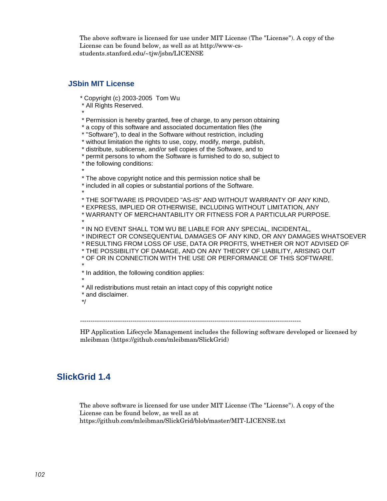The above software is licensed for use under MIT License (The "License"). A copy of the License can be found below, as well as at http://www-csstudents.stanford.edu/~tjw/jsbn/LICENSE

#### **JSbin MIT License**

\* Copyright (c) 2003-2005 Tom Wu

\* All Rights Reserved.

\* \* Permission is hereby granted, free of charge, to any person obtaining

\* a copy of this software and associated documentation files (the

\* "Software"), to deal in the Software without restriction, including

\* without limitation the rights to use, copy, modify, merge, publish,

\* distribute, sublicense, and/or sell copies of the Software, and to

\* permit persons to whom the Software is furnished to do so, subject to

\* the following conditions:

\* \* The above copyright notice and this permission notice shall be

\* included in all copies or substantial portions of the Software.

\* \* THE SOFTWARE IS PROVIDED "AS-IS" AND WITHOUT WARRANTY OF ANY KIND,

\* EXPRESS, IMPLIED OR OTHERWISE, INCLUDING WITHOUT LIMITATION, ANY

\* WARRANTY OF MERCHANTABILITY OR FITNESS FOR A PARTICULAR PURPOSE.

\* \* IN NO EVENT SHALL TOM WU BE LIABLE FOR ANY SPECIAL, INCIDENTAL,

\* INDIRECT OR CONSEQUENTIAL DAMAGES OF ANY KIND, OR ANY DAMAGES WHATSOEVER

\* RESULTING FROM LOSS OF USE, DATA OR PROFITS, WHETHER OR NOT ADVISED OF

- \* THE POSSIBILITY OF DAMAGE, AND ON ANY THEORY OF LIABILITY, ARISING OUT
- \* OF OR IN CONNECTION WITH THE USE OR PERFORMANCE OF THIS SOFTWARE.

\* \* In addition, the following condition applies:

\* \* All redistributions must retain an intact copy of this copyright notice

\* and disclaimer.

\*/

---------------------------------------------------------------------------------------------------------

HP Application Lifecycle Management includes the following software developed or licensed by mleibman (https://github.com/mleibman/SlickGrid)

# **SlickGrid 1.4**

The above software is licensed for use under MIT License (The "License"). A copy of the License can be found below, as well as at https://github.com/mleibman/SlickGrid/blob/master/MIT-LICENSE.txt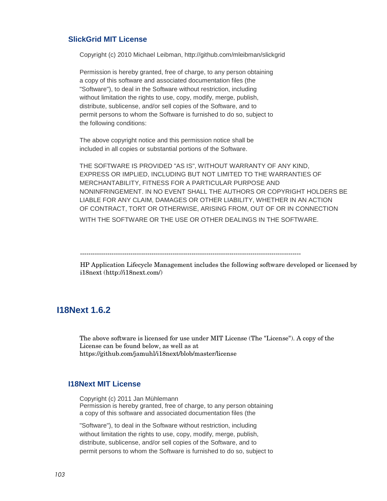#### **SlickGrid MIT License**

Copyright (c) 2010 Michael Leibman, http://github.com/mleibman/slickgrid

Permission is hereby granted, free of charge, to any person obtaining a copy of this software and associated documentation files (the "Software"), to deal in the Software without restriction, including without limitation the rights to use, copy, modify, merge, publish, distribute, sublicense, and/or sell copies of the Software, and to permit persons to whom the Software is furnished to do so, subject to the following conditions:

The above copyright notice and this permission notice shall be included in all copies or substantial portions of the Software.

THE SOFTWARE IS PROVIDED "AS IS", WITHOUT WARRANTY OF ANY KIND, EXPRESS OR IMPLIED, INCLUDING BUT NOT LIMITED TO THE WARRANTIES OF MERCHANTABILITY, FITNESS FOR A PARTICULAR PURPOSE AND NONINFRINGEMENT. IN NO EVENT SHALL THE AUTHORS OR COPYRIGHT HOLDERS BE LIABLE FOR ANY CLAIM, DAMAGES OR OTHER LIABILITY, WHETHER IN AN ACTION OF CONTRACT, TORT OR OTHERWISE, ARISING FROM, OUT OF OR IN CONNECTION

WITH THE SOFTWARE OR THE USE OR OTHER DEALINGS IN THE SOFTWARE.

HP Application Lifecycle Management includes the following software developed or licensed by i18next (http://i18next.com/)

#### **I18Next 1.6.2**

The above software is licensed for use under MIT License (The "License"). A copy of the License can be found below, as well as at https://github.com/jamuhl/i18next/blob/master/license

#### **I18Next MIT License**

Copyright (c) 2011 Jan Mühlemann Permission is hereby granted, free of charge, to any person obtaining a copy of this software and associated documentation files (the

"Software"), to deal in the Software without restriction, including without limitation the rights to use, copy, modify, merge, publish, distribute, sublicense, and/or sell copies of the Software, and to permit persons to whom the Software is furnished to do so, subject to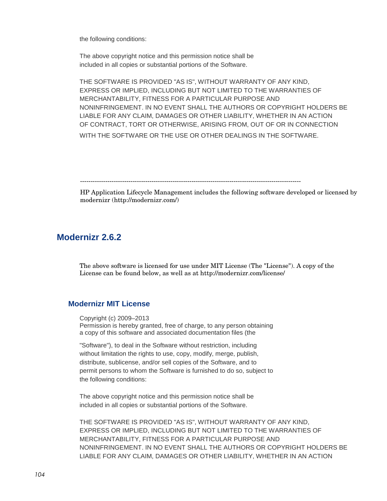the following conditions:

The above copyright notice and this permission notice shall be included in all copies or substantial portions of the Software.

THE SOFTWARE IS PROVIDED "AS IS", WITHOUT WARRANTY OF ANY KIND, EXPRESS OR IMPLIED, INCLUDING BUT NOT LIMITED TO THE WARRANTIES OF MERCHANTABILITY, FITNESS FOR A PARTICULAR PURPOSE AND NONINFRINGEMENT. IN NO EVENT SHALL THE AUTHORS OR COPYRIGHT HOLDERS BE LIABLE FOR ANY CLAIM, DAMAGES OR OTHER LIABILITY, WHETHER IN AN ACTION OF CONTRACT, TORT OR OTHERWISE, ARISING FROM, OUT OF OR IN CONNECTION WITH THE SOFTWARE OR THE USE OR OTHER DEALINGS IN THE SOFTWARE.

---------------------------------------------------------------------------------------------------------

HP Application Lifecycle Management includes the following software developed or licensed by modernizr (http://modernizr.com/)

## **Modernizr 2.6.2**

The above software is licensed for use under MIT License (The "License"). A copy of the License can be found below, as well as at http://modernizr.com/license/

#### **Modernizr MIT License**

Copyright (c) 2009–2013 Permission is hereby granted, free of charge, to any person obtaining a copy of this software and associated documentation files (the

"Software"), to deal in the Software without restriction, including without limitation the rights to use, copy, modify, merge, publish, distribute, sublicense, and/or sell copies of the Software, and to permit persons to whom the Software is furnished to do so, subject to the following conditions:

The above copyright notice and this permission notice shall be included in all copies or substantial portions of the Software.

THE SOFTWARE IS PROVIDED "AS IS", WITHOUT WARRANTY OF ANY KIND, EXPRESS OR IMPLIED, INCLUDING BUT NOT LIMITED TO THE WARRANTIES OF MERCHANTABILITY, FITNESS FOR A PARTICULAR PURPOSE AND NONINFRINGEMENT. IN NO EVENT SHALL THE AUTHORS OR COPYRIGHT HOLDERS BE LIABLE FOR ANY CLAIM, DAMAGES OR OTHER LIABILITY, WHETHER IN AN ACTION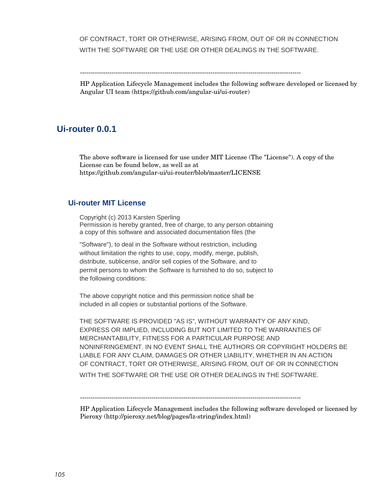OF CONTRACT, TORT OR OTHERWISE, ARISING FROM, OUT OF OR IN CONNECTION WITH THE SOFTWARE OR THE USE OR OTHER DEALINGS IN THE SOFTWARE.

---------------------------------------------------------------------------------------------------------

HP Application Lifecycle Management includes the following software developed or licensed by Angular UI team (https://github.com/angular-ui/ui-router)

#### **Ui-router 0.0.1**

The above software is licensed for use under MIT License (The "License"). A copy of the License can be found below, as well as at https://github.com/angular-ui/ui-router/blob/master/LICENSE

#### **Ui-router MIT License**

Copyright (c) 2013 Karsten Sperling Permission is hereby granted, free of charge, to any person obtaining a copy of this software and associated documentation files (the

"Software"), to deal in the Software without restriction, including without limitation the rights to use, copy, modify, merge, publish, distribute, sublicense, and/or sell copies of the Software, and to permit persons to whom the Software is furnished to do so, subject to the following conditions:

The above copyright notice and this permission notice shall be included in all copies or substantial portions of the Software.

THE SOFTWARE IS PROVIDED "AS IS", WITHOUT WARRANTY OF ANY KIND, EXPRESS OR IMPLIED, INCLUDING BUT NOT LIMITED TO THE WARRANTIES OF MERCHANTABILITY, FITNESS FOR A PARTICULAR PURPOSE AND NONINFRINGEMENT. IN NO EVENT SHALL THE AUTHORS OR COPYRIGHT HOLDERS BE LIABLE FOR ANY CLAIM, DAMAGES OR OTHER LIABILITY, WHETHER IN AN ACTION OF CONTRACT, TORT OR OTHERWISE, ARISING FROM, OUT OF OR IN CONNECTION WITH THE SOFTWARE OR THE USE OR OTHER DEALINGS IN THE SOFTWARE.

---------------------------------------------------------------------------------------------------------

HP Application Lifecycle Management includes the following software developed or licensed by Pieroxy (http://pieroxy.net/blog/pages/lz-string/index.html)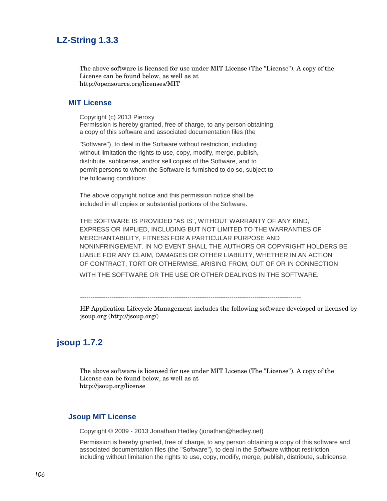# **LZ-String 1.3.3**

The above software is licensed for use under MIT License (The "License"). A copy of the License can be found below, as well as at http://opensource.org/licenses/MIT

#### **MIT License**

Copyright (c) 2013 Pieroxy Permission is hereby granted, free of charge, to any person obtaining a copy of this software and associated documentation files (the

"Software"), to deal in the Software without restriction, including without limitation the rights to use, copy, modify, merge, publish, distribute, sublicense, and/or sell copies of the Software, and to permit persons to whom the Software is furnished to do so, subject to the following conditions:

The above copyright notice and this permission notice shall be included in all copies or substantial portions of the Software.

THE SOFTWARE IS PROVIDED "AS IS", WITHOUT WARRANTY OF ANY KIND, EXPRESS OR IMPLIED, INCLUDING BUT NOT LIMITED TO THE WARRANTIES OF MERCHANTABILITY, FITNESS FOR A PARTICULAR PURPOSE AND NONINFRINGEMENT. IN NO EVENT SHALL THE AUTHORS OR COPYRIGHT HOLDERS BE LIABLE FOR ANY CLAIM, DAMAGES OR OTHER LIABILITY, WHETHER IN AN ACTION OF CONTRACT, TORT OR OTHERWISE, ARISING FROM, OUT OF OR IN CONNECTION

WITH THE SOFTWARE OR THE USE OR OTHER DEALINGS IN THE SOFTWARE.

---------------------------------------------------------------------------------------------------------

HP Application Lifecycle Management includes the following software developed or licensed by jsoup.org (http://jsoup.org/)

# **jsoup 1.7.2**

The above software is licensed for use under MIT License (The "License"). A copy of the License can be found below, as well as at http://jsoup.org/license

#### **Jsoup MIT License**

Copyright © 2009 - 2013 [Jonathan Hedley](http://jonathanhedley.com/) [\(jonathan@hedley.net\)](mailto:jonathan@hedley.net)

Permission is hereby granted, free of charge, to any person obtaining a copy of this software and associated documentation files (the "Software"), to deal in the Software without restriction, including without limitation the rights to use, copy, modify, merge, publish, distribute, sublicense,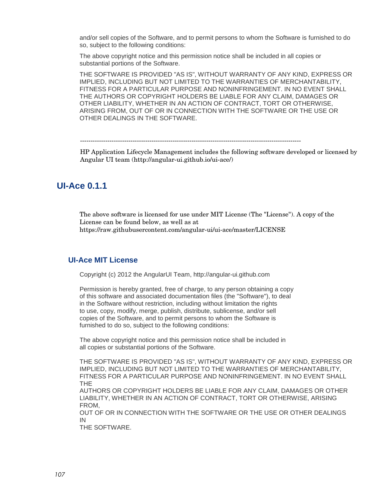and/or sell copies of the Software, and to permit persons to whom the Software is furnished to do so, subject to the following conditions:

The above copyright notice and this permission notice shall be included in all copies or substantial portions of the Software.

THE SOFTWARE IS PROVIDED "AS IS", WITHOUT WARRANTY OF ANY KIND, EXPRESS OR IMPLIED, INCLUDING BUT NOT LIMITED TO THE WARRANTIES OF MERCHANTABILITY, FITNESS FOR A PARTICULAR PURPOSE AND NONINFRINGEMENT. IN NO EVENT SHALL THE AUTHORS OR COPYRIGHT HOLDERS BE LIABLE FOR ANY CLAIM, DAMAGES OR OTHER LIABILITY, WHETHER IN AN ACTION OF CONTRACT, TORT OR OTHERWISE, ARISING FROM, OUT OF OR IN CONNECTION WITH THE SOFTWARE OR THE USE OR OTHER DEALINGS IN THE SOFTWARE.

---------------------------------------------------------------------------------------------------------

HP Application Lifecycle Management includes the following software developed or licensed by Angular UI team (http://angular-ui.github.io/ui-ace/)

## **UI-Ace 0.1.1**

The above software is licensed for use under MIT License (The "License"). A copy of the License can be found below, as well as at https://raw.githubusercontent.com/angular-ui/ui-ace/master/LICENSE

#### **UI-Ace MIT License**

Copyright (c) 2012 the AngularUI Team, http://angular-ui.github.com

Permission is hereby granted, free of charge, to any person obtaining a copy of this software and associated documentation files (the "Software"), to deal in the Software without restriction, including without limitation the rights to use, copy, modify, merge, publish, distribute, sublicense, and/or sell copies of the Software, and to permit persons to whom the Software is furnished to do so, subject to the following conditions:

The above copyright notice and this permission notice shall be included in all copies or substantial portions of the Software.

THE SOFTWARE IS PROVIDED "AS IS", WITHOUT WARRANTY OF ANY KIND, EXPRESS OR IMPLIED, INCLUDING BUT NOT LIMITED TO THE WARRANTIES OF MERCHANTABILITY, FITNESS FOR A PARTICULAR PURPOSE AND NONINFRINGEMENT. IN NO EVENT SHALL THE

AUTHORS OR COPYRIGHT HOLDERS BE LIABLE FOR ANY CLAIM, DAMAGES OR OTHER LIABILITY, WHETHER IN AN ACTION OF CONTRACT, TORT OR OTHERWISE, ARISING FROM,

OUT OF OR IN CONNECTION WITH THE SOFTWARE OR THE USE OR OTHER DEALINGS IN

THE SOFTWARE.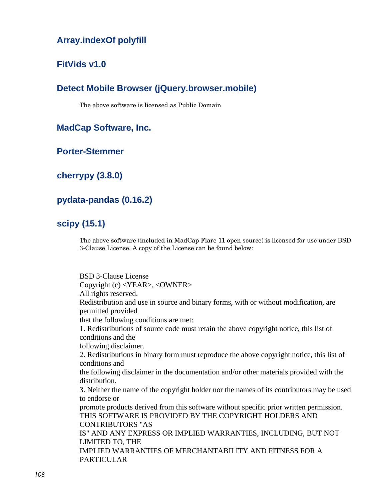# **Array.indexOf polyfill**

# **FitVids v1.0**

# **Detect Mobile Browser (jQuery.browser.mobile)**

The above software is licensed as Public Domain

**MadCap Software, Inc.**

**Porter-Stemmer**

**cherrypy (3.8.0)**

## **pydata-pandas (0.16.2)**

# **scipy (15.1)**

The above software (included in MadCap Flare 11 open source) is licensed for use under BSD 3-Clause License. A copy of the License can be found below:

BSD 3-Clause License Copyright (c) <YEAR>, <OWNER> All rights reserved. Redistribution and use in source and binary forms, with or without modification, are permitted provided that the following conditions are met: 1. Redistributions of source code must retain the above copyright notice, this list of conditions and the following disclaimer. 2. Redistributions in binary form must reproduce the above copyright notice, this list of conditions and the following disclaimer in the documentation and/or other materials provided with the distribution. 3. Neither the name of the copyright holder nor the names of its contributors may be used to endorse or promote products derived from this software without specific prior written permission. THIS SOFTWARE IS PROVIDED BY THE COPYRIGHT HOLDERS AND CONTRIBUTORS "AS IS" AND ANY EXPRESS OR IMPLIED WARRANTIES, INCLUDING, BUT NOT LIMITED TO, THE IMPLIED WARRANTIES OF MERCHANTABILITY AND FITNESS FOR A PARTICULAR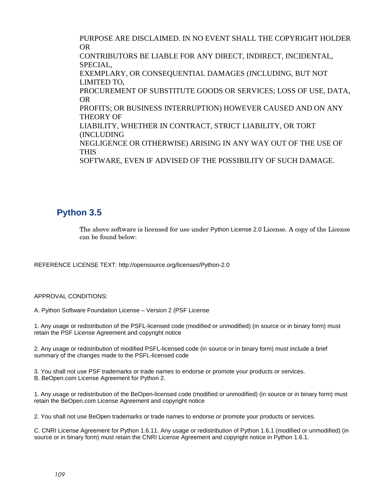PURPOSE ARE DISCLAIMED. IN NO EVENT SHALL THE COPYRIGHT HOLDER OR CONTRIBUTORS BE LIABLE FOR ANY DIRECT, INDIRECT, INCIDENTAL, SPECIAL, EXEMPLARY, OR CONSEQUENTIAL DAMAGES (INCLUDING, BUT NOT LIMITED TO, PROCUREMENT OF SUBSTITUTE GOODS OR SERVICES; LOSS OF USE, DATA, OR PROFITS; OR BUSINESS INTERRUPTION) HOWEVER CAUSED AND ON ANY THEORY OF LIABILITY, WHETHER IN CONTRACT, STRICT LIABILITY, OR TORT (INCLUDING NEGLIGENCE OR OTHERWISE) ARISING IN ANY WAY OUT OF THE USE OF THIS SOFTWARE, EVEN IF ADVISED OF THE POSSIBILITY OF SUCH DAMAGE.

## **Python 3.5**

The above software is licensed for use under Python License 2.0 License. A copy of the License can be found below:

REFERENCE LICENSE TEXT: http://opensource.org/licenses/Python-2.0

## APPROVAL CONDITIONS:

A. Python Software Foundation License – Version 2 (PSF License

1. Any usage or redistribution of the PSFL-licensed code (modified or unmodified) (in source or in binary form) must retain the PSF License Agreement and copyright notice

2. Any usage or redistribution of modified PSFL-licensed code (in source or in binary form) must include a brief summary of the changes made to the PSFL-licensed code

3. You shall not use PSF trademarks or trade names to endorse or promote your products or services. B. BeOpen.com License Agreement for Python 2.

1. Any usage or redistribution of the BeOpen-licensed code (modified or unmodified) (in source or in binary form) must retain the BeOpen.com License Agreement and copyright notice

2. You shall not use BeOpen trademarks or trade names to endorse or promote your products or services.

C. CNRI License Agreement for Python 1.6.11. Any usage or redistribution of Python 1.6.1 (modified or unmodified) (in source or in binary form) must retain the CNRI License Agreement and copyright notice in Python 1.6.1.